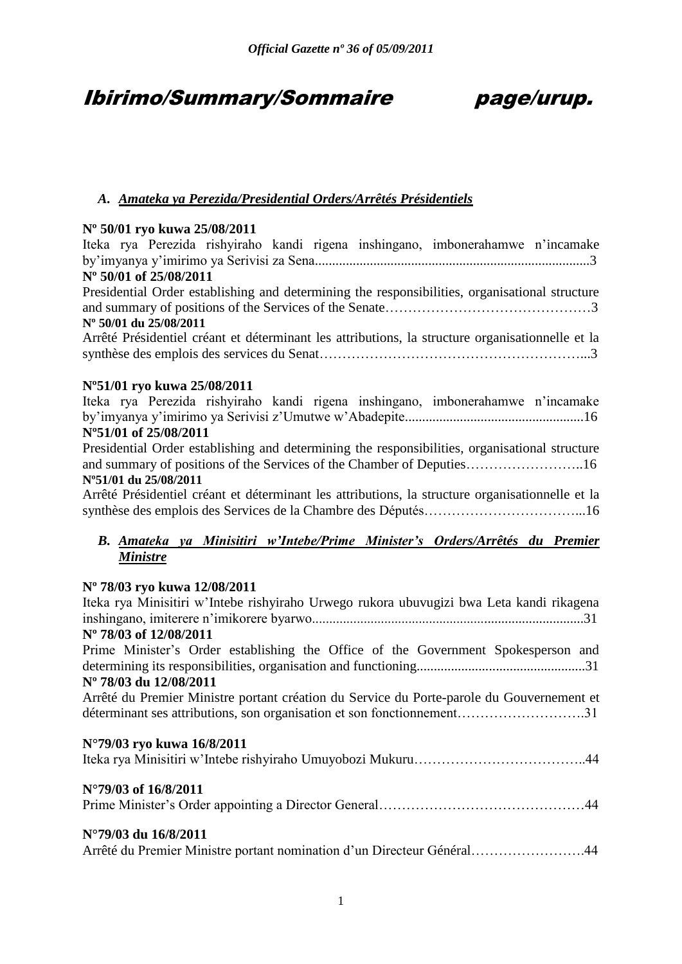## Ibirimo/Summary/Sommaire page/urup.

## *A. Amateka ya Perezida/Presidential Orders/Arrêtés Présidentiels*

#### **Nº 50/01 ryo kuwa 25/08/2011**

Iteka rya Perezida rishyiraho kandi rigena inshingano, imbonerahamwe n"incamake by"imyanya y"imirimo ya Serivisi za Sena................................................................................3 **Nº 50/01 of 25/08/2011** Presidential Order establishing and determining the responsibilities, organisational structure and summary of positions of the Services of the Senate………………………………………3 **Nº 50/01 du 25/08/2011** Arrêté Présidentiel créant et déterminant les attributions, la structure organisationnelle et la synthèse des emplois des services du Senat…………………………………………………...3 **Nº51/01 ryo kuwa 25/08/2011** Iteka rya Perezida rishyiraho kandi rigena inshingano, imbonerahamwe n"incamake by"imyanya y"imirimo ya Serivisi z"Umutwe w"Abadepite....................................................16 **Nº51/01 of 25/08/2011** Presidential Order establishing and determining the responsibilities, organisational structure and summary of positions of the Services of the Chamber of Deputies……………………..16 **Nº51/01 du 25/08/2011** Arrêté Présidentiel créant et déterminant les attributions, la structure organisationnelle et la synthèse des emplois des Services de la Chambre des Députés……………………………...16 *B. Amateka ya Minisitiri w'Intebe/Prime Minister's Orders/Arrêtés du Premier Ministre* **Nº 78/03 ryo kuwa 12/08/2011** Iteka rya Minisitiri w"Intebe rishyiraho Urwego rukora ubuvugizi bwa Leta kandi rikagena inshingano, imiterere n"imikorere byarwo...............................................................................31 **Nº 78/03 of 12/08/2011** Prime Minister's Order establishing the Office of the Government Spokesperson and determining its responsibilities, organisation and functioning.................................................31 **Nº 78/03 du 12/08/2011** Arrêté du Premier Ministre portant création du Service du Porte-parole du Gouvernement et déterminant ses attributions, son organisation et son fonctionnement……………………….31 **N°79/03 ryo kuwa 16/8/2011** Iteka rya Minisitiri w"Intebe rishyiraho Umuyobozi Mukuru………………………………..44 **N°79/03 of 16/8/2011** Prime Minister"s Order appointing a Director General………………………………………44 **N°79/03 du 16/8/2011**

Arrêté du Premier Ministre portant nomination d"un Directeur Général…………………….44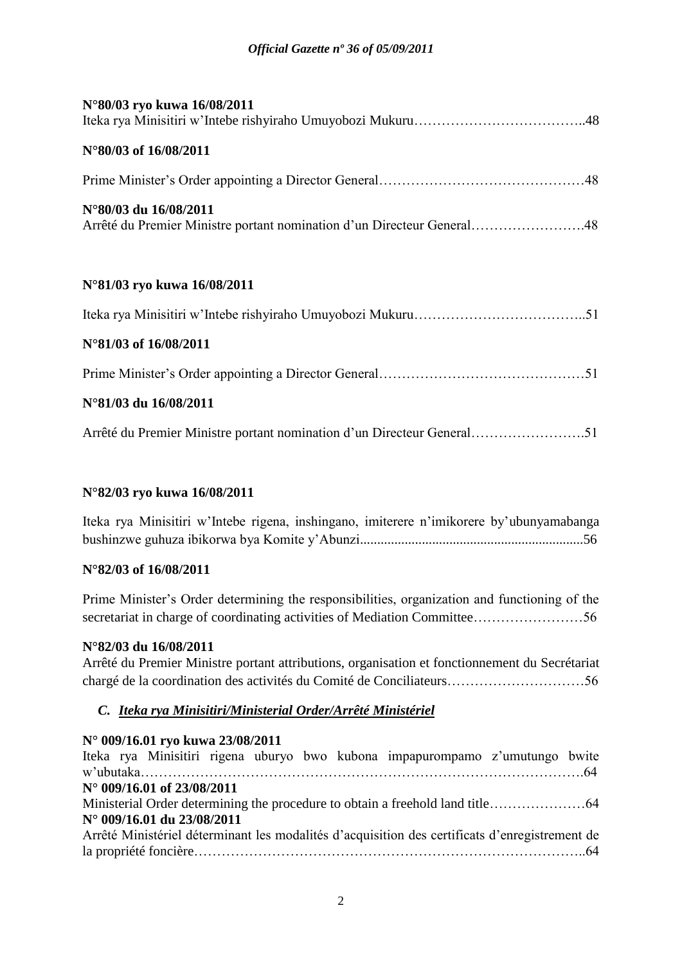| N°80/03 ryo kuwa 16/08/2011                                                                     |
|-------------------------------------------------------------------------------------------------|
| N°80/03 of 16/08/2011                                                                           |
|                                                                                                 |
| N°80/03 du 16/08/2011<br>Arrêté du Premier Ministre portant nomination d'un Directeur General48 |
| N°81/03 ryo kuwa 16/08/2011                                                                     |
|                                                                                                 |
| N°81/03 of 16/08/2011                                                                           |
|                                                                                                 |
| N°81/03 du 16/08/2011                                                                           |
| Arrêté du Premier Ministre portant nomination d'un Directeur General51                          |

#### **N°82/03 ryo kuwa 16/08/2011**

Iteka rya Minisitiri w"Intebe rigena, inshingano, imiterere n"imikorere by"ubunyamabanga bushinzwe guhuza ibikorwa bya Komite y"Abunzi.................................................................56

#### **N°82/03 of 16/08/2011**

Prime Minister's Order determining the responsibilities, organization and functioning of the secretariat in charge of coordinating activities of Mediation Committee……………………56

#### **N°82/03 du 16/08/2011**

Arrêté du Premier Ministre portant attributions, organisation et fonctionnement du Secrétariat chargé de la coordination des activités du Comité de Conciliateurs…………………………56

#### *C. Iteka rya Minisitiri/Ministerial Order/Arrêté Ministériel*

|  | N° 009/16.01 ryo kuwa 23/08/2011    |  |  |                                                                                                |  |
|--|-------------------------------------|--|--|------------------------------------------------------------------------------------------------|--|
|  |                                     |  |  | Iteka rya Minisitiri rigena uburyo bwo kubona impapurompamo z'umutungo bwite                   |  |
|  |                                     |  |  |                                                                                                |  |
|  | $N^{\circ}$ 009/16.01 of 23/08/2011 |  |  |                                                                                                |  |
|  |                                     |  |  |                                                                                                |  |
|  | N° 009/16.01 du 23/08/2011          |  |  |                                                                                                |  |
|  |                                     |  |  | Arrêté Ministériel déterminant les modalités d'acquisition des certificats d'enregistrement de |  |
|  |                                     |  |  |                                                                                                |  |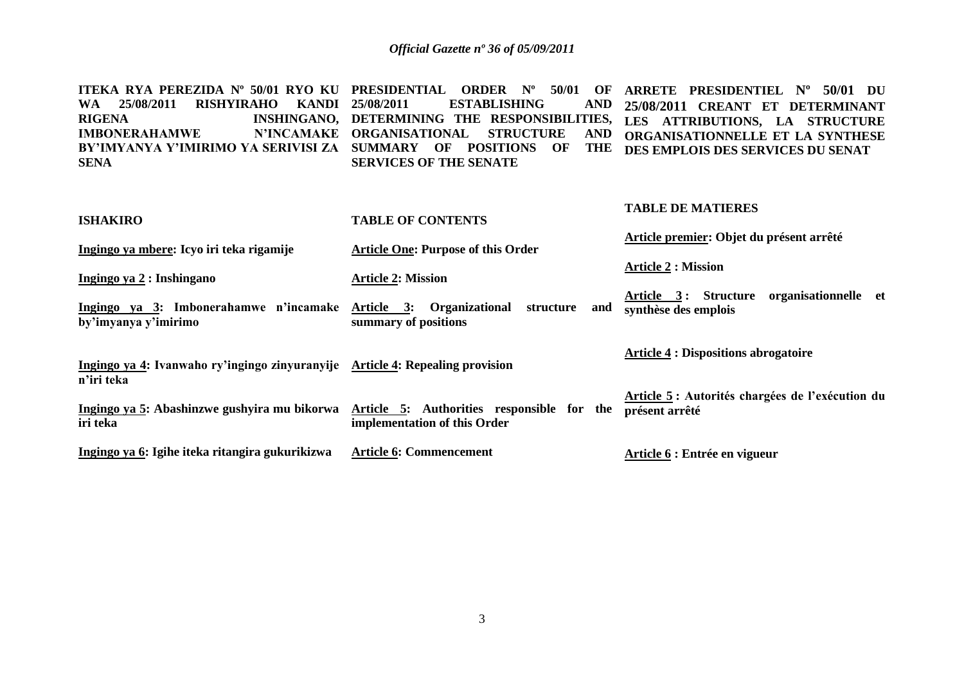**ITEKA RYA PEREZIDA Nº 50/01 RYO KU PRESIDENTIAL ORDER Nº 50/01 OF ARRETE PRESIDENTIEL Nº 50/01 DU**  WA 25/08/2011 RISHYIRAHO KANDI 25/08/2011<br>RIGENA **INSHINGANO**. DETERMI **RIGENA INSHINGANO, DETERMINING THE RESPONSIBILITIES, LES ATTRIBUTIONS, LA STRUCTURE IMBONERAHAMWE BY'IMYANYA Y'IMIRIMO YA SERIVISI ZA SUMMARY OF POSITIONS OF THE SENA 25 TABLISHING N'INCAMAKE ORGANISATIONAL STRUCTURE SERVICES OF THE SENATE 25/08/2011 CREANT ET DETERMINANT ORGANISATIONNELLE ET LA SYNTHESE DES EMPLOIS DES SERVICES DU SENAT**

| <b>ISHAKIRO</b>                                                                             | <b>TABLE OF CONTENTS</b>                                                   | <b>TABLE DE MATIERES</b>                                          |
|---------------------------------------------------------------------------------------------|----------------------------------------------------------------------------|-------------------------------------------------------------------|
| Ingingo ya mbere: Icyo iri teka rigamije                                                    | <b>Article One: Purpose of this Order</b>                                  | Article premier: Objet du présent arrêté                          |
| Ingingo ya 2 : Inshingano                                                                   | <b>Article 2: Mission</b>                                                  | <b>Article 2 : Mission</b>                                        |
| Ingingo ya 3: Imbonerahamwe n'incamake Article 3: Organizational<br>by'imyanya y'imirimo    | structure<br>and<br>summary of positions                                   | Article 3: Structure organisationnelle et<br>synthèse des emplois |
| Ingingo ya 4: Ivanwaho ry'ingingo zinyuranyije Article 4: Repealing provision<br>n'iri teka |                                                                            | <b>Article 4 : Dispositions abrogatoire</b>                       |
| Ingingo ya 5: Abashinzwe gushyira mu bikorwa<br>iri teka                                    | Article 5: Authorities responsible for the<br>implementation of this Order | Article 5: Autorités chargées de l'exécution du<br>présent arrêté |
| Ingingo ya 6: Igihe iteka ritangira gukurikizwa                                             | <b>Article 6: Commencement</b>                                             | Article 6 : Entrée en vigueur                                     |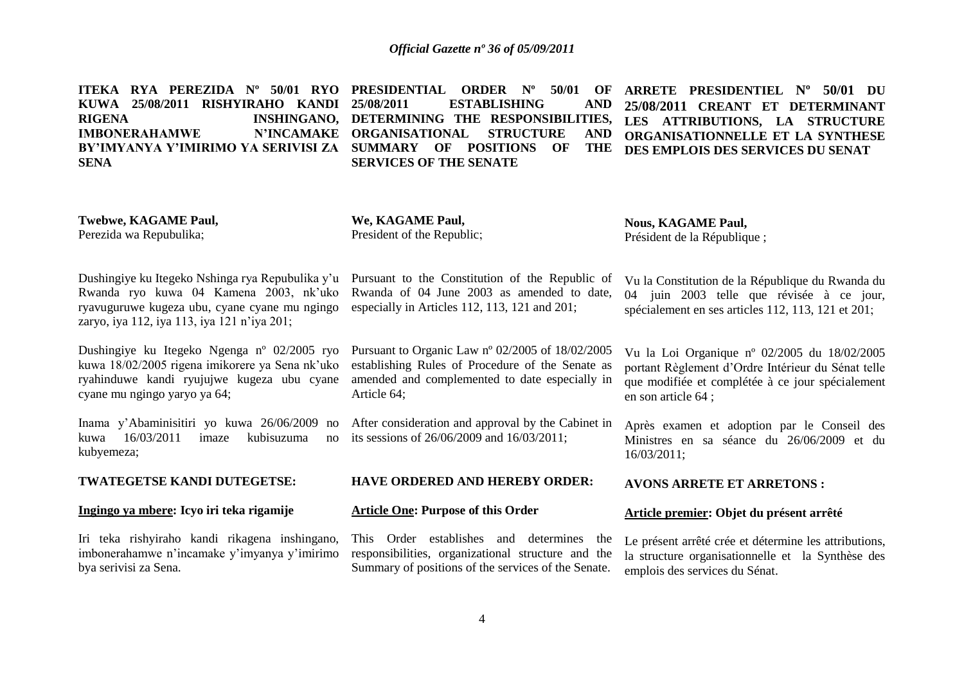**ITEKA RYA PEREZIDA Nº 50/01 RYO PRESIDENTIAL ORDER Nº 50/01 OF KUWA 25/08/2011 RISHYIRAHO KANDI RIGENA INSHINGANO, DETERMINING THE RESPONSIBILITIES, IMBONERAHAMWE BY'IMYANYA Y'IMIRIMO YA SERIVISI ZA SUMMARY OF POSITIONS OF THE SENA 25/08/2011 ESTABLISHING AND ORGANISATIONAL STRUCTURE AND SERVICES OF THE SENATE ARRETE PRESIDENTIEL Nº 50/01 DU 25/08/2011 CREANT ET DETERMINANT LES ATTRIBUTIONS, LA STRUCTURE ORGANISATIONNELLE ET LA SYNTHESE**  THE DES EMPLOIS DES SERVICES DU SENAT

**Twebwe, KAGAME Paul,**  Perezida wa Repubulika;

**We, KAGAME Paul,**  President of the Republic;

Article 64;

**Nous, KAGAME Paul,** Président de la République ;

Dushingiye ku Itegeko Nshinga rya Repubulika y"u Rwanda ryo kuwa 04 Kamena 2003, nk"uko ryavuguruwe kugeza ubu, cyane cyane mu ngingo zaryo, iya 112, iya 113, iya 121 n"iya 201;

Dushingiye ku Itegeko Ngenga nº 02/2005 ryo kuwa 18/02/2005 rigena imikorere ya Sena nk"uko ryahinduwe kandi ryujujwe kugeza ubu cyane cyane mu ngingo yaryo ya 64;

Inama y"Abaminisitiri yo kuwa 26/06/2009 no kuwa 16/03/2011 imaze kubisuzuma no kubyemeza;

**TWATEGETSE KANDI DUTEGETSE:**

#### **Ingingo ya mbere: Icyo iri teka rigamije**

Iri teka rishyiraho kandi rikagena inshingano, imbonerahamwe n"incamake y"imyanya y"imirimo bya serivisi za Sena.

Pursuant to Organic Law nº 02/2005 of 18/02/2005 establishing Rules of Procedure of the Senate as amended and complemented to date especially in

Pursuant to the Constitution of the Republic of Rwanda of 04 June 2003 as amended to date, especially in Articles 112, 113, 121 and 201;

After consideration and approval by the Cabinet in its sessions of 26/06/2009 and 16/03/2011;

**HAVE ORDERED AND HEREBY ORDER:** 

#### **Article One: Purpose of this Order**

This Order establishes and determines the responsibilities, organizational structure and the Summary of positions of the services of the Senate.

spécialement en ses articles 112, 113, 121 et 201; Vu la Loi Organique nº 02/2005 du 18/02/2005

Vu la Constitution de la République du Rwanda du 04 juin 2003 telle que révisée à ce jour,

portant Règlement d"Ordre Intérieur du Sénat telle que modifiée et complétée à ce jour spécialement en son article 64 ;

Après examen et adoption par le Conseil des Ministres en sa séance du 26/06/2009 et du 16/03/2011;

#### **AVONS ARRETE ET ARRETONS :**

#### **Article premier: Objet du présent arrêté**

Le présent arrêté crée et détermine les attributions, la structure organisationnelle et la Synthèse des emplois des services du Sénat.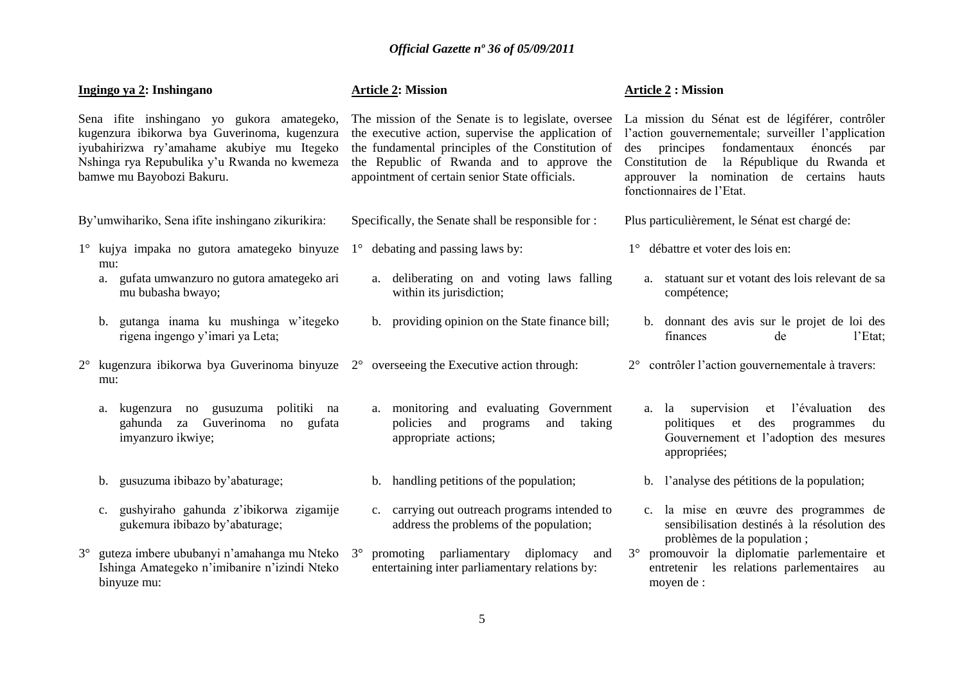| Ingingo ya 2: Inshingano                                                                                                                                                                                              |                                                                                                              | <b>Article 2: Mission</b>                                                                                                                                                                                                                                    | <b>Article 2 : Mission</b>                                                                                                                                                                                                                                                          |  |
|-----------------------------------------------------------------------------------------------------------------------------------------------------------------------------------------------------------------------|--------------------------------------------------------------------------------------------------------------|--------------------------------------------------------------------------------------------------------------------------------------------------------------------------------------------------------------------------------------------------------------|-------------------------------------------------------------------------------------------------------------------------------------------------------------------------------------------------------------------------------------------------------------------------------------|--|
| Sena ifite inshingano yo gukora amategeko,<br>kugenzura ibikorwa bya Guverinoma, kugenzura<br>iyubahirizwa ry'amahame akubiye mu Itegeko<br>Nshinga rya Repubulika y'u Rwanda no kwemeza<br>bamwe mu Bayobozi Bakuru. |                                                                                                              | The mission of the Senate is to legislate, oversee<br>the executive action, supervise the application of<br>the fundamental principles of the Constitution of<br>the Republic of Rwanda and to approve the<br>appointment of certain senior State officials. | La mission du Sénat est de légiférer, contrôler<br>l'action gouvernementale; surveiller l'application<br>principes fondamentaux<br>énoncés<br>des<br>par<br>la République du Rwanda et<br>Constitution de<br>approuver la nomination de certains hauts<br>fonctionnaires de l'Etat. |  |
|                                                                                                                                                                                                                       | By'umwihariko, Sena ifite inshingano zikurikira:                                                             | Specifically, the Senate shall be responsible for :                                                                                                                                                                                                          | Plus particulièrement, le Sénat est chargé de:                                                                                                                                                                                                                                      |  |
|                                                                                                                                                                                                                       | $1^{\circ}$ kujya impaka no gutora amategeko binyuze $1^{\circ}$ debating and passing laws by:<br>mu:        |                                                                                                                                                                                                                                                              | 1° débattre et voter des lois en:                                                                                                                                                                                                                                                   |  |
|                                                                                                                                                                                                                       | a. gufata umwanzuro no gutora amategeko ari<br>mu bubasha bwayo;                                             | a. deliberating on and voting laws falling<br>within its jurisdiction;                                                                                                                                                                                       | a. statuant sur et votant des lois relevant de sa<br>compétence;                                                                                                                                                                                                                    |  |
|                                                                                                                                                                                                                       | gutanga inama ku mushinga w'itegeko<br>b.<br>rigena ingengo y'imari ya Leta;                                 | b. providing opinion on the State finance bill;                                                                                                                                                                                                              | b. donnant des avis sur le projet de loi des<br>finances<br>l'Etat;<br>de                                                                                                                                                                                                           |  |
| $2^{\circ}$                                                                                                                                                                                                           | kugenzura ibikorwa bya Guverinoma binyuze $2^{\circ}$ overseeing the Executive action through:<br>mu:        |                                                                                                                                                                                                                                                              | contrôler l'action gouvernementale à travers:<br>$2^{\circ}$                                                                                                                                                                                                                        |  |
|                                                                                                                                                                                                                       | kugenzura no gusuzuma<br>politiki<br>na<br>a.<br>gahunda za Guverinoma<br>no<br>gufata<br>imyanzuro ikwiye;  | a. monitoring and evaluating Government<br>policies and<br>taking<br>programs<br>and<br>appropriate actions;                                                                                                                                                 | l'évaluation<br>a. la supervision<br>et<br>des<br>politiques<br>et<br>des<br>programmes<br>du<br>Gouvernement et l'adoption des mesures<br>appropriées;                                                                                                                             |  |
|                                                                                                                                                                                                                       | gusuzuma ibibazo by'abaturage;<br>b.                                                                         | b. handling petitions of the population;                                                                                                                                                                                                                     | b. l'analyse des pétitions de la population;                                                                                                                                                                                                                                        |  |
|                                                                                                                                                                                                                       | gushyiraho gahunda z'ibikorwa zigamije<br>c.<br>gukemura ibibazo by'abaturage;                               | c. carrying out outreach programs intended to<br>address the problems of the population;                                                                                                                                                                     | c. la mise en œuvre des programmes de<br>sensibilisation destinés à la résolution des<br>problèmes de la population;                                                                                                                                                                |  |
| $3^\circ$                                                                                                                                                                                                             | guteza imbere ububanyi n'amahanga mu Nteko 3°<br>Ishinga Amategeko n'imibanire n'izindi Nteko<br>binyuze mu: | promoting parliamentary diplomacy<br>and<br>entertaining inter parliamentary relations by:                                                                                                                                                                   | 3° promouvoir la diplomatie parlementaire et<br>entretenir les relations parlementaires<br>au<br>moyen de :                                                                                                                                                                         |  |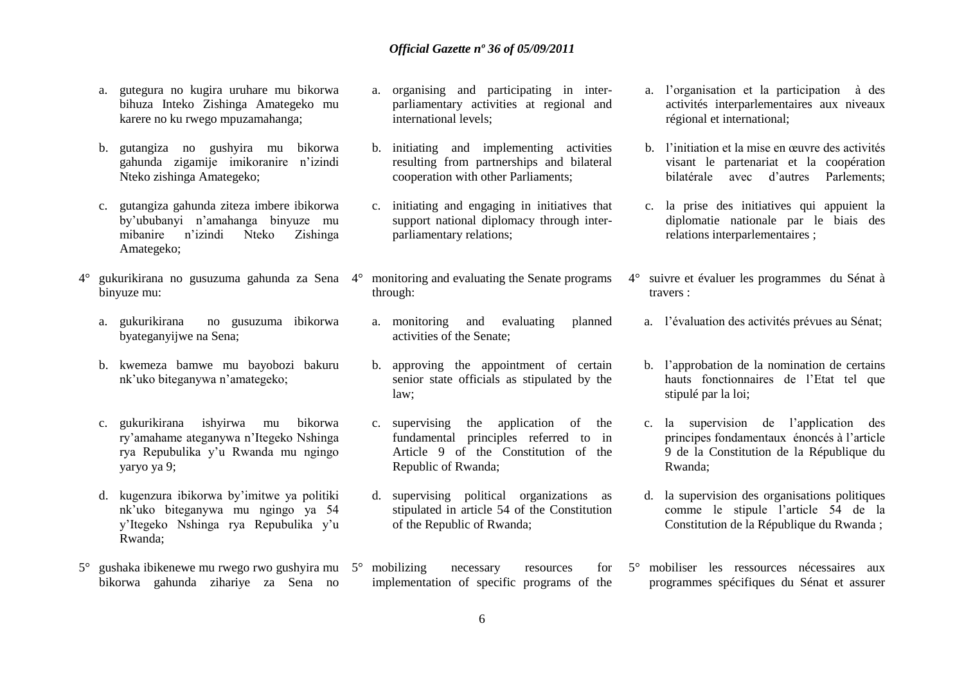- a. gutegura no kugira uruhare mu bikorwa bihuza Inteko Zishinga Amategeko mu karere no ku rwego mpuzamahanga;
- b. gutangiza no gushyira mu bikorwa gahunda zigamije imikoranire n"izindi Nteko zishinga Amategeko;
- c. gutangiza gahunda ziteza imbere ibikorwa by"ububanyi n"amahanga binyuze mu mibanire n"izindi Nteko Zishinga Amategeko;
- 4° gukurikirana no gusuzuma gahunda za Sena 4° monitoring and evaluating the Senate programs binyuze mu:
	- a. gukurikirana no gusuzuma ibikorwa byateganyijwe na Sena;
	- b. kwemeza bamwe mu bayobozi bakuru nk"uko biteganywa n"amategeko;
	- c. gukurikirana ishyirwa mu bikorwa ry"amahame ateganywa n"Itegeko Nshinga rya Repubulika y"u Rwanda mu ngingo yaryo ya 9;
	- d. kugenzura ibikorwa by"imitwe ya politiki nk"uko biteganywa mu ngingo ya 54 y"Itegeko Nshinga rya Repubulika y"u Rwanda;
- 5° gushaka ibikenewe mu rwego rwo gushyira mu 5° mobilizing necessary resources for bikorwa gahunda zihariye za Sena no
- a. organising and participating in interparliamentary activities at regional and international levels;
- b. initiating and implementing activities resulting from partnerships and bilateral cooperation with other Parliaments;
- c. initiating and engaging in initiatives that support national diplomacy through interparliamentary relations;
- through:
- a. monitoring and evaluating planned activities of the Senate;
- b. approving the appointment of certain senior state officials as stipulated by the law;
- c. supervising the application of the fundamental principles referred to in Article 9 of the Constitution of the Republic of Rwanda;
- d. supervising political organizations as stipulated in article 54 of the Constitution of the Republic of Rwanda;
- implementation of specific programs of the
- a. l"organisation et la participation à des activités interparlementaires aux niveaux régional et international;
- b. l"initiation et la mise en œuvre des activités visant le partenariat et la coopération bilatérale avec d"autres Parlements;
- c. la prise des initiatives qui appuient la diplomatie nationale par le biais des relations interparlementaires ;
- 4° suivre et évaluer les programmes du Sénat à travers :
	- a. l"évaluation des activités prévues au Sénat;
	- b. l"approbation de la nomination de certains hauts fonctionnaires de l"Etat tel que stipulé par la loi;
	- c. la supervision de l"application des principes fondamentaux énoncés à l"article 9 de la Constitution de la République du Rwanda;
	- d. la supervision des organisations politiques comme le stipule l"article 54 de la Constitution de la République du Rwanda ;
- 5° mobiliser les ressources nécessaires aux programmes spécifiques du Sénat et assurer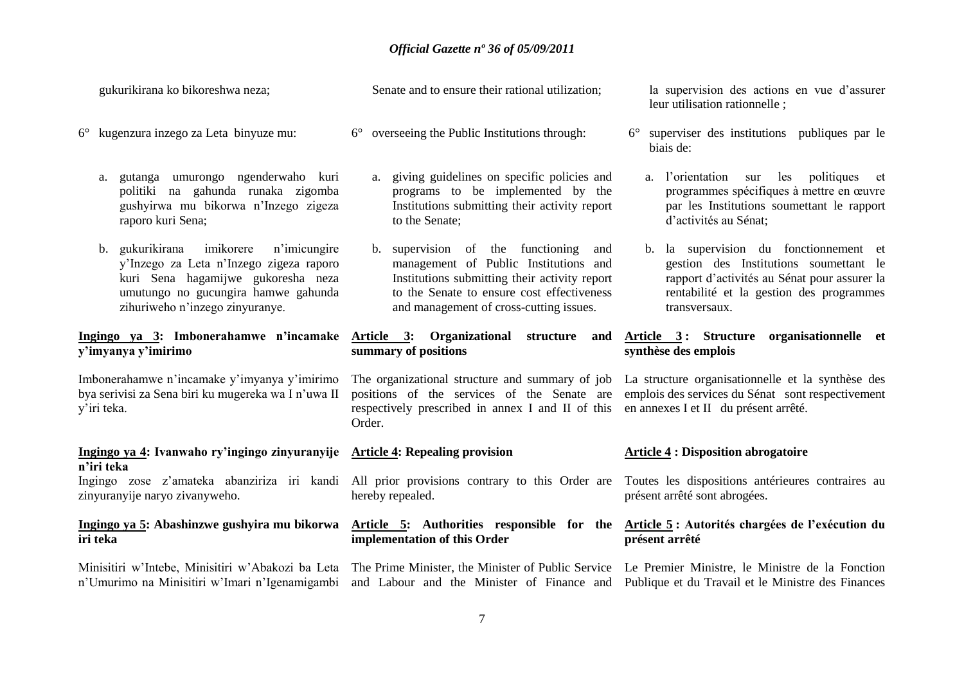gukurikirana ko bikoreshwa neza;

- 6° kugenzura inzego za Leta binyuze mu:
	- a. gutanga umurongo ngenderwaho kuri politiki na gahunda runaka zigomba gushyirwa mu bikorwa n"Inzego zigeza raporo kuri Sena;
	- b. gukurikirana imikorere n"imicungire y"Inzego za Leta n"Inzego zigeza raporo kuri Sena hagamijwe gukoresha neza umutungo no gucungira hamwe gahunda zihuriweho n"inzego zinyuranye.

# **y'imyanya y'imirimo**

Imbonerahamwe n"incamake y"imyanya y"imirimo bya serivisi za Sena biri ku mugereka wa I n"uwa II y"iri teka.

#### **Ingingo ya 4: Ivanwaho ry'ingingo zinyuranyije Article 4: Repealing provision n'iri teka**

zinyuranyije naryo zivanyweho.

#### **Ingingo ya 5: Abashinzwe gushyira mu bikorwa iri teka**

Senate and to ensure their rational utilization;

- 6° overseeing the Public Institutions through:
	- a. giving guidelines on specific policies and programs to be implemented by the Institutions submitting their activity report to the Senate;
	- b. supervision of the functioning and management of Public Institutions and Institutions submitting their activity report to the Senate to ensure cost effectiveness and management of cross-cutting issues.

## **summary of positions**

respectively prescribed in annex I and II of this en annexes I et II du présent arrêté. Order.

hereby repealed.

## **implementation of this Order**

la supervision des actions en vue d'assurer leur utilisation rationnelle ;

- 6° superviser des institutions publiques par le biais de:
	- a. l"orientation sur les politiques et programmes spécifiques à mettre en œuvre par les Institutions soumettant le rapport d"activités au Sénat;
	- b. la supervision du fonctionnement et gestion des Institutions soumettant le rapport d"activités au Sénat pour assurer la rentabilité et la gestion des programmes transversaux.

#### **Ingingo ya 3: Imbonerahamwe n'incamake Article 3: Organizational structure and Article 3 : Structure organisationnelle et synthèse des emplois**

The organizational structure and summary of job La structure organisationnelle et la synthèse des positions of the services of the Senate are emplois des services du Sénat sont respectivement

#### **Article 4 : Disposition abrogatoire**

Ingingo zose z'amateka abanziriza iri kandi All prior provisions contrary to this Order are Toutes les dispositions antérieures contraires au présent arrêté sont abrogées.

#### **Article 5: Authorities responsible for the Article 5 : Autorités chargées de l'exécution du présent arrêté**

Minisitiri w'Intebe, Minisitiri w'Abakozi ba Leta The Prime Minister, the Minister of Public Service Le Premier Ministre, le Ministre de la Fonction n'Umurimo na Minisitiri w'Imari n'Igenamigambi and Labour and the Minister of Finance and Publique et du Travail et le Ministre des Finances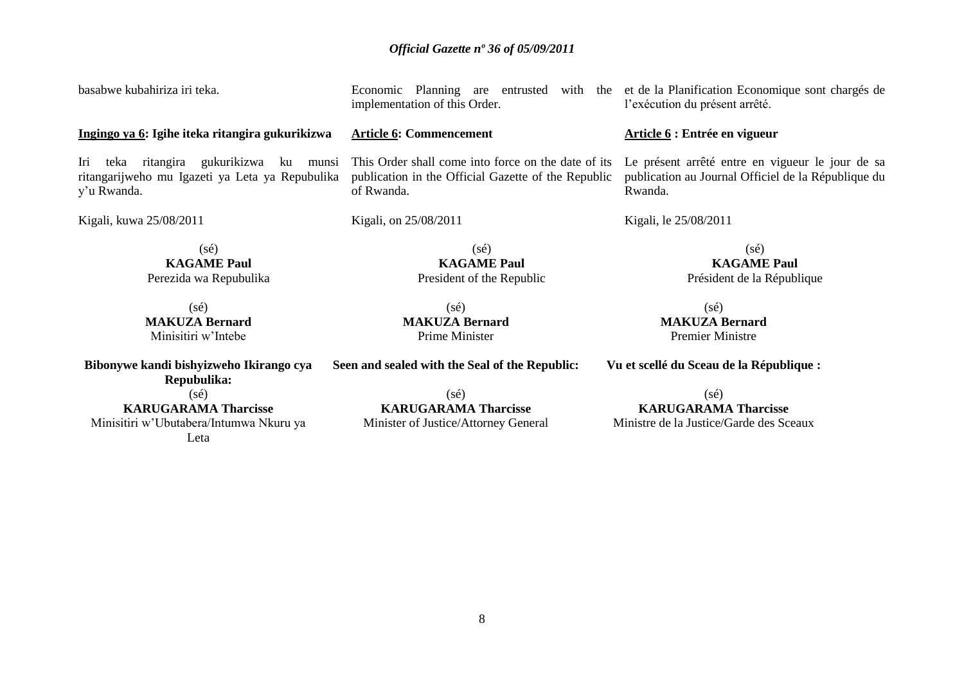| basabwe kubahiriza iri teka.                                                                                       | implementation of this Order.                                                                                            | Economic Planning are entrusted with the et de la Planification Economique sont chargés de<br>l'exécution du présent arrêté. |  |
|--------------------------------------------------------------------------------------------------------------------|--------------------------------------------------------------------------------------------------------------------------|------------------------------------------------------------------------------------------------------------------------------|--|
| Ingingo ya 6: Igihe iteka ritangira gukurikizwa                                                                    | <b>Article 6: Commencement</b>                                                                                           | Article 6 : Entrée en vigueur                                                                                                |  |
| ritangira gukurikizwa<br>Iri<br>teka<br>ku munsi<br>ritangarijweho mu Igazeti ya Leta ya Repubulika<br>y'u Rwanda. | This Order shall come into force on the date of its<br>publication in the Official Gazette of the Republic<br>of Rwanda. | Le présent arrêté entre en vigueur le jour de sa<br>publication au Journal Officiel de la République du<br>Rwanda.           |  |
| Kigali, kuwa 25/08/2011                                                                                            | Kigali, on 25/08/2011                                                                                                    | Kigali, le 25/08/2011                                                                                                        |  |
| $(s\acute{e})$<br><b>KAGAME Paul</b><br>Perezida wa Repubulika                                                     | $(s\acute{e})$<br><b>KAGAME Paul</b><br>President of the Republic                                                        | $(s\acute{e})$<br><b>KAGAME Paul</b><br>Président de la République                                                           |  |
| $(s\acute{e})$<br><b>MAKUZA Bernard</b><br>Minisitiri w'Intebe                                                     | $(s\acute{e})$<br><b>MAKUZA Bernard</b><br>Prime Minister                                                                | $(s\acute{e})$<br><b>MAKUZA Bernard</b><br><b>Premier Ministre</b>                                                           |  |
| Bibonywe kandi bishyizweho Ikirango cya<br>Repubulika:                                                             | Seen and sealed with the Seal of the Republic:                                                                           | Vu et scellé du Sceau de la République :                                                                                     |  |
| $(s\acute{e})$<br><b>KARUGARAMA Tharcisse</b>                                                                      | $(s\acute{e})$<br><b>KARUGARAMA Tharcisse</b>                                                                            | $(s\acute{e})$<br><b>KARUGARAMA Tharcisse</b>                                                                                |  |
| Minisitiri w'Ubutabera/Intumwa Nkuru ya<br>Leta                                                                    | Minister of Justice/Attorney General                                                                                     | Ministre de la Justice/Garde des Sceaux                                                                                      |  |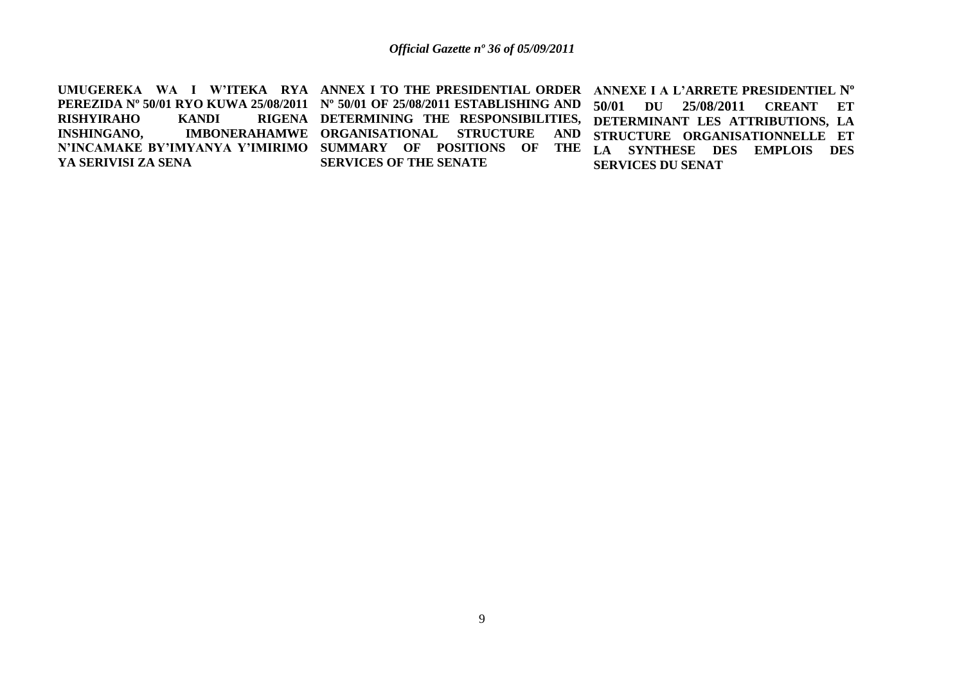UMUGEREKA WA I W'ITEKA RYA ANNEX I TO THE PRESIDENTIAL ORDER ANNEXE I A L'ARRETE PRESIDENTIEL N° **PEREZIDA Nº 50/01 RYO KUWA 25/08/2011 Nº 50/01 OF 25/08/2011 ESTABLISHING AND RISHYIRAHO KANDI<br>INSHINGANO, IMBON INSHINGANO, IMBONERAHAMWE ORGANISATIONAL STRUCTURE AND N'INCAMAKE BY'IMYANYA Y'IMIRIMO SUMMARY OF POSITIONS OF THE YA SERIVISI ZA SENA DETERMINING THE RESPONSIBILITIES, DETERMINANT LES ATTRIBUTIONS, LA SERVICES OF THE SENATE 50/01 DU 25/08/2011 CREANT ET STRUCTURE ORGANISATIONNELLE ET LA SYNTHESE DES EMPLOIS DES SERVICES DU SENAT**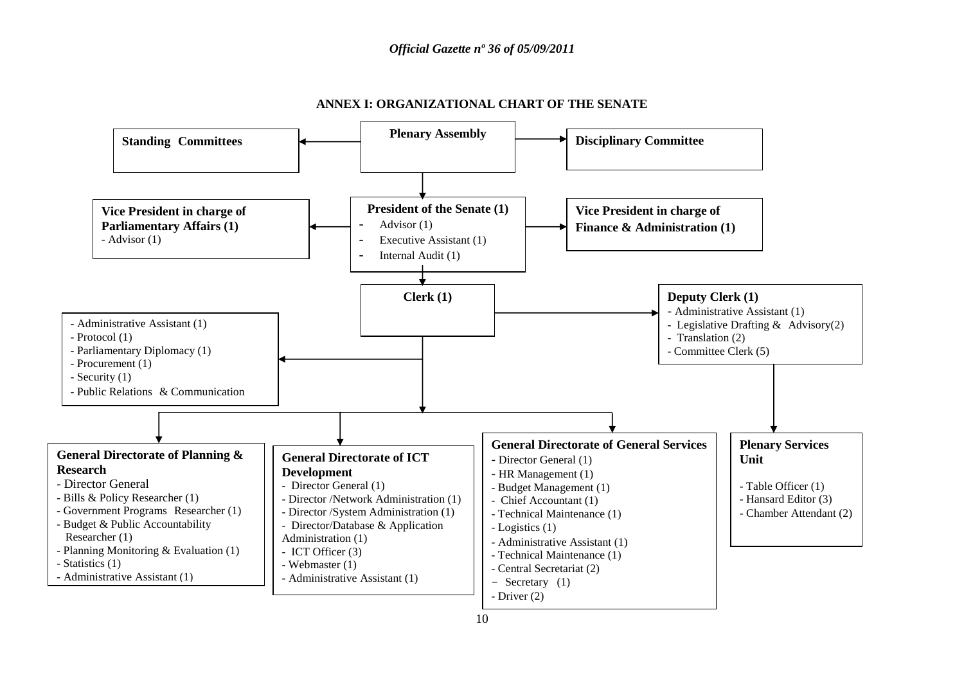

#### **ANNEX I: ORGANIZATIONAL CHART OF THE SENATE**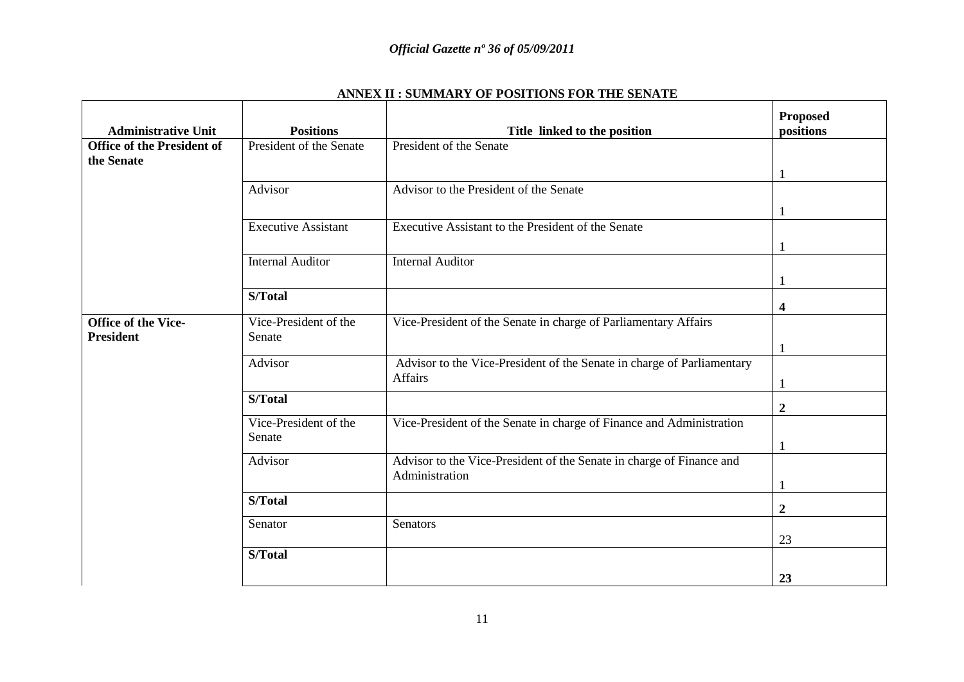| <b>Administrative Unit</b>                      | <b>Positions</b>           | Title linked to the position                                                      | <b>Proposed</b><br>positions |
|-------------------------------------------------|----------------------------|-----------------------------------------------------------------------------------|------------------------------|
| <b>Office of the President of</b><br>the Senate | President of the Senate    | President of the Senate                                                           |                              |
|                                                 |                            |                                                                                   |                              |
|                                                 | Advisor                    | Advisor to the President of the Senate                                            |                              |
|                                                 |                            |                                                                                   | 1                            |
|                                                 | <b>Executive Assistant</b> | Executive Assistant to the President of the Senate                                |                              |
|                                                 |                            |                                                                                   |                              |
|                                                 | <b>Internal Auditor</b>    | <b>Internal Auditor</b>                                                           |                              |
|                                                 |                            |                                                                                   |                              |
|                                                 | S/Total                    |                                                                                   | 4                            |
| <b>Office of the Vice-</b>                      | Vice-President of the      | Vice-President of the Senate in charge of Parliamentary Affairs                   |                              |
| <b>President</b>                                | Senate                     |                                                                                   |                              |
|                                                 | Advisor                    | Advisor to the Vice-President of the Senate in charge of Parliamentary<br>Affairs |                              |
|                                                 | S/Total                    |                                                                                   | $\boldsymbol{2}$             |
|                                                 | Vice-President of the      | Vice-President of the Senate in charge of Finance and Administration              |                              |
|                                                 | Senate                     |                                                                                   | $\mathbf{1}$                 |
|                                                 | Advisor                    | Advisor to the Vice-President of the Senate in charge of Finance and              |                              |
|                                                 |                            | Administration                                                                    |                              |
|                                                 | S/Total                    |                                                                                   | $\boldsymbol{2}$             |
|                                                 | Senator                    | Senators                                                                          |                              |
|                                                 |                            |                                                                                   | 23                           |
|                                                 | S/Total                    |                                                                                   |                              |
|                                                 |                            |                                                                                   | 23                           |

#### **ANNEX II : SUMMARY OF POSITIONS FOR THE SENATE**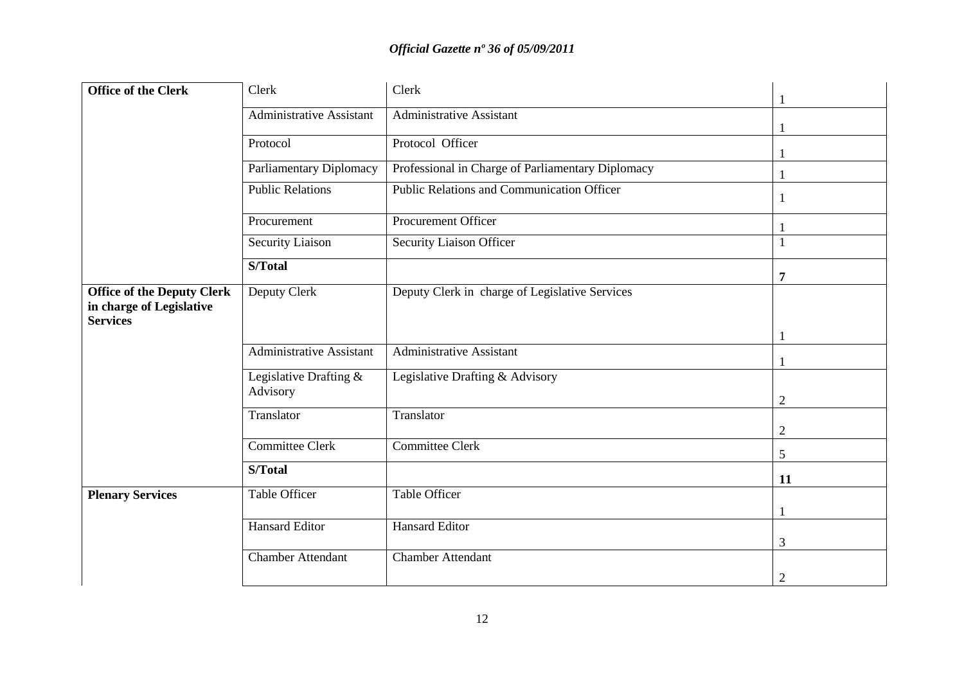| Office of the Clerk                                                              | Clerk                              | Clerk                                             |                |
|----------------------------------------------------------------------------------|------------------------------------|---------------------------------------------------|----------------|
|                                                                                  | Administrative Assistant           | Administrative Assistant                          |                |
|                                                                                  |                                    |                                                   |                |
|                                                                                  | Protocol                           | Protocol Officer                                  |                |
|                                                                                  | <b>Parliamentary Diplomacy</b>     | Professional in Charge of Parliamentary Diplomacy |                |
|                                                                                  | <b>Public Relations</b>            | <b>Public Relations and Communication Officer</b> |                |
|                                                                                  | Procurement                        | Procurement Officer                               |                |
|                                                                                  | Security Liaison                   | Security Liaison Officer                          |                |
|                                                                                  | S/Total                            |                                                   | 7              |
| <b>Office of the Deputy Clerk</b><br>in charge of Legislative<br><b>Services</b> | Deputy Clerk                       | Deputy Clerk in charge of Legislative Services    |                |
|                                                                                  | <b>Administrative Assistant</b>    | <b>Administrative Assistant</b>                   |                |
|                                                                                  |                                    |                                                   |                |
|                                                                                  | Legislative Drafting &<br>Advisory | Legislative Drafting & Advisory                   | $\overline{2}$ |
|                                                                                  | Translator                         | Translator                                        |                |
|                                                                                  |                                    |                                                   | $\overline{2}$ |
|                                                                                  | <b>Committee Clerk</b>             | <b>Committee Clerk</b>                            | 5              |
|                                                                                  | S/Total                            |                                                   | 11             |
| <b>Plenary Services</b>                                                          | <b>Table Officer</b>               | <b>Table Officer</b>                              |                |
|                                                                                  |                                    |                                                   |                |
|                                                                                  | <b>Hansard Editor</b>              | <b>Hansard Editor</b>                             | 3              |
|                                                                                  | <b>Chamber Attendant</b>           | <b>Chamber Attendant</b>                          |                |
|                                                                                  |                                    |                                                   | $\overline{2}$ |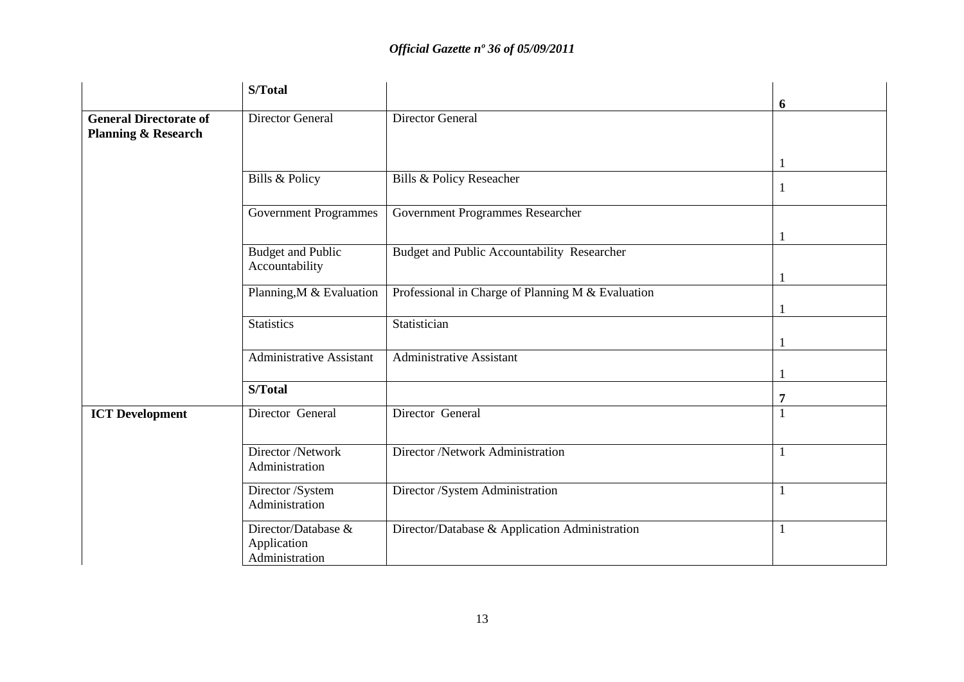|                                                                 | S/Total                                              |                                                   |    |
|-----------------------------------------------------------------|------------------------------------------------------|---------------------------------------------------|----|
|                                                                 |                                                      |                                                   | 6  |
| <b>General Directorate of</b><br><b>Planning &amp; Research</b> | Director General                                     | <b>Director General</b>                           |    |
|                                                                 |                                                      |                                                   |    |
|                                                                 |                                                      |                                                   |    |
|                                                                 | Bills & Policy                                       | Bills & Policy Reseacher                          |    |
|                                                                 | <b>Government Programmes</b>                         | Government Programmes Researcher                  |    |
|                                                                 |                                                      |                                                   |    |
|                                                                 | <b>Budget and Public</b>                             | Budget and Public Accountability Researcher       |    |
|                                                                 | Accountability                                       |                                                   |    |
|                                                                 | Planning, M & Evaluation                             | Professional in Charge of Planning M & Evaluation |    |
|                                                                 |                                                      |                                                   |    |
|                                                                 | <b>Statistics</b>                                    | Statistician                                      |    |
|                                                                 | <b>Administrative Assistant</b>                      | <b>Administrative Assistant</b>                   |    |
|                                                                 |                                                      |                                                   |    |
|                                                                 | S/Total                                              |                                                   |    |
| <b>ICT</b> Development                                          | Director General                                     | Director General                                  |    |
|                                                                 |                                                      |                                                   |    |
|                                                                 | Director /Network<br>Administration                  | Director /Network Administration                  | -1 |
|                                                                 | Director /System<br>Administration                   | Director /System Administration                   |    |
|                                                                 | Director/Database &<br>Application<br>Administration | Director/Database & Application Administration    |    |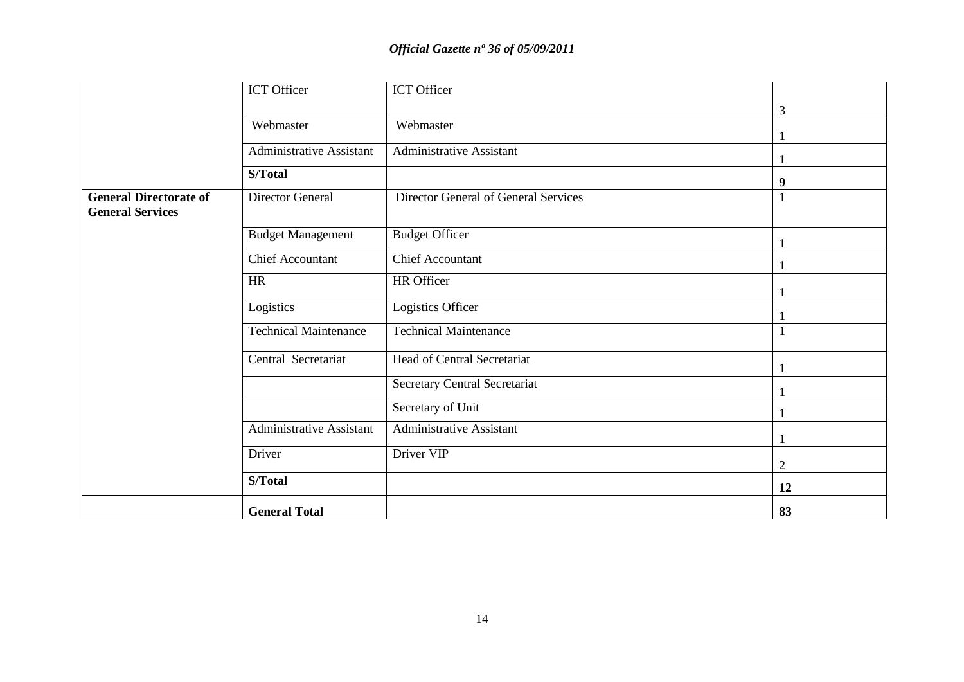|                                                          | ICT Officer                     | ICT Officer                          |                |
|----------------------------------------------------------|---------------------------------|--------------------------------------|----------------|
|                                                          |                                 |                                      | 3              |
|                                                          | Webmaster                       | Webmaster                            |                |
|                                                          | <b>Administrative Assistant</b> | <b>Administrative Assistant</b>      |                |
|                                                          | S/Total                         |                                      | 9              |
| <b>General Directorate of</b><br><b>General Services</b> | Director General                | Director General of General Services |                |
|                                                          | <b>Budget Management</b>        | <b>Budget Officer</b>                |                |
|                                                          | <b>Chief Accountant</b>         | Chief Accountant                     |                |
|                                                          | <b>HR</b>                       | HR Officer                           |                |
|                                                          | Logistics                       | Logistics Officer                    |                |
|                                                          | <b>Technical Maintenance</b>    | <b>Technical Maintenance</b>         |                |
|                                                          | Central Secretariat             | <b>Head of Central Secretariat</b>   |                |
|                                                          |                                 | Secretary Central Secretariat        |                |
|                                                          |                                 | Secretary of Unit                    |                |
|                                                          | <b>Administrative Assistant</b> | <b>Administrative Assistant</b>      |                |
|                                                          | Driver                          | Driver VIP                           | $\overline{2}$ |
|                                                          | S/Total                         |                                      | 12             |
|                                                          | <b>General Total</b>            |                                      | 83             |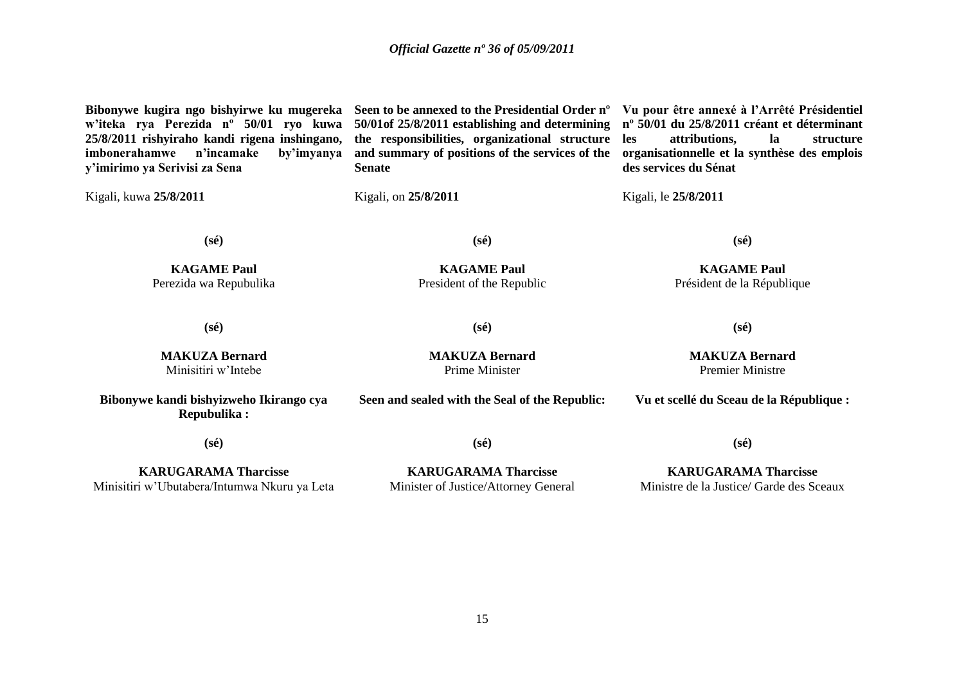**Bibonywe kugira ngo bishyirwe ku mugereka w'iteka rya Perezida nº 50/01 ryo kuwa 25/8/2011 rishyiraho kandi rigena inshingano, imbonerahamwe n'incamake by'imyanya y'imirimo ya Serivisi za Sena** Kigali, kuwa **25/8/2011 Seen to be annexed to the Presidential Order nº Vu pour être annexé à l'Arrêté Présidentiel 50/01of 25/8/2011 establishing and determining nº 50/01 du 25/8/2011 créant et déterminant the responsibilities, organizational structure and summary of positions of the services of the organisationnelle et la synthèse des emplois Senate** Kigali, on **25/8/2011 les attributions, la structure des services du Sénat** Kigali, le **25/8/2011 (sé) KAGAME Paul** Perezida wa Repubulika **(sé) KAGAME Paul** President of the Republic **(sé) KAGAME Paul** Président de la République **(sé) MAKUZA Bernard** Minisitiri w"Intebe **(sé) MAKUZA Bernard** Prime Minister **(sé) MAKUZA Bernard** Premier Ministre **Bibonywe kandi bishyizweho Ikirango cya Repubulika : (sé) KARUGARAMA Tharcisse Seen and sealed with the Seal of the Republic: (sé) KARUGARAMA Tharcisse Vu et scellé du Sceau de la République : (sé) KARUGARAMA Tharcisse**

Minisitiri w"Ubutabera/Intumwa Nkuru ya Leta

Minister of Justice/Attorney General

Ministre de la Justice/ Garde des Sceaux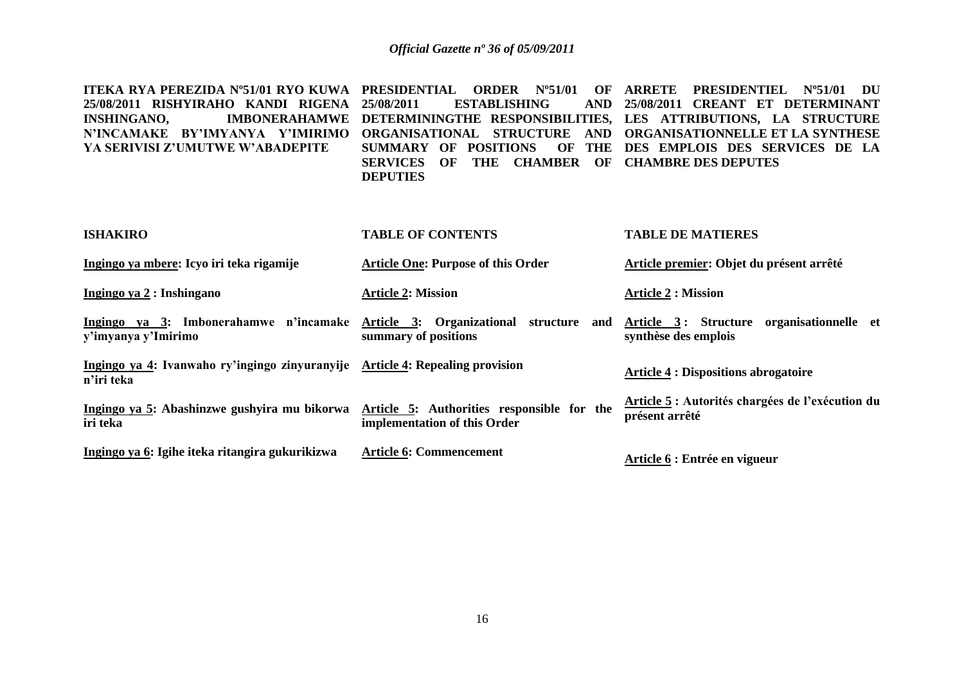| ITEKA RYA PEREZIDA N°51/01 RYO KUWA   PRESIDENTIAL    ORDER    N°51/01    OF   ARRETE    PRESIDENTIEL    N°51/01    DU    |                                                |                                                                                                    |
|---------------------------------------------------------------------------------------------------------------------------|------------------------------------------------|----------------------------------------------------------------------------------------------------|
| 25/08/2011 RISHYIRAHO KANDI RIGENA 25/08/2011   ESTABLISHING   AND 25/08/2011 CREANT ET DETERMINANT                       |                                                |                                                                                                    |
|                                                                                                                           |                                                | INSHINGANO,          IMBONERAHAMWE DETERMININGTHE RESPONSIBILITIES, LES ATTRIBUTIONS, LA STRUCTURE |
|                                                                                                                           |                                                | N'INCAMAKE BY'IMYANYA Y'IMIRIMO ORGANISATIONAL STRUCTURE AND ORGANISATIONNELLE_ET_LA_SYNTHESE      |
| YA SERIVISI Z'UMUTWE W'ABADEPITE         SUMMARY   OF   POSITIONS     OF   THE   DES   EMPLOIS   DES   SERVICES   DE   LA |                                                |                                                                                                    |
|                                                                                                                           | SERVICES OF THE CHAMBER OF CHAMBRE DES DEPUTES |                                                                                                    |
|                                                                                                                           | <b>DEPUTIES</b>                                |                                                                                                    |
|                                                                                                                           |                                                |                                                                                                    |

| <b>ISHAKIRO</b>                                                                             | <b>TABLE OF CONTENTS</b>                                                   | <b>TABLE DE MATIERES</b>                                           |
|---------------------------------------------------------------------------------------------|----------------------------------------------------------------------------|--------------------------------------------------------------------|
| Ingingo ya mbere: Icyo iri teka rigamije                                                    | <b>Article One: Purpose of this Order</b>                                  | Article premier: Objet du présent arrêté                           |
| Ingingo ya 2 : Inshingano                                                                   | <b>Article 2: Mission</b>                                                  | <b>Article 2 : Mission</b>                                         |
| Ingingo ya 3: Imbonerahamwe n'incamake<br>y'imyanya y'Imirimo                               | Article 3: Organizational structure<br>and<br>summary of positions         | Article 3: Structure organisationnelle et<br>synthèse des emplois  |
| Ingingo ya 4: Ivanwaho ry'ingingo zinyuranyije Article 4: Repealing provision<br>n'iri teka |                                                                            | <b>Article 4 : Dispositions abrogatoire</b>                        |
| Ingingo ya 5: Abashinzwe gushyira mu bikorwa<br>iri teka                                    | Article 5: Authorities responsible for the<br>implementation of this Order | Article 5 : Autorités chargées de l'exécution du<br>présent arrêté |
| Ingingo ya 6: Igihe iteka ritangira gukurikizwa                                             | <b>Article 6: Commencement</b>                                             | Article 6 : Entrée en vigueur                                      |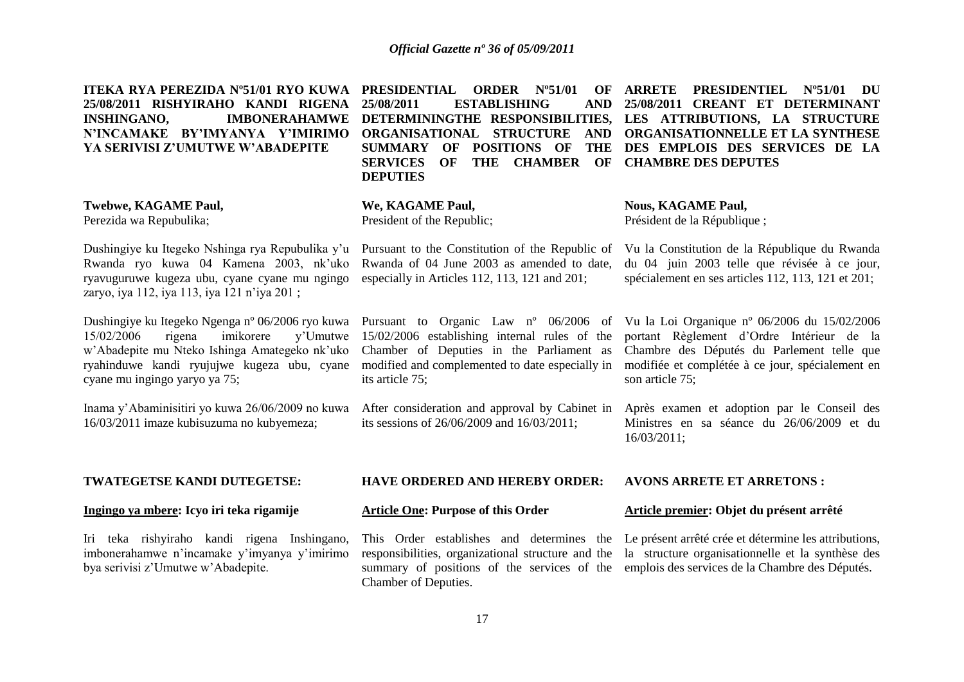| ITEKA RYA PEREZIDA N°51/01 RYO KUWA<br>25/08/2011 RISHYIRAHO KANDI RIGENA<br><b>IMBONERAHAMWE</b><br><b>INSHINGANO,</b><br>N'INCAMAKE BY'IMYANYA Y'IMIRIMO<br>YA SERIVISI Z'UMUTWE W'ABADEPITE                                     | <b>PRESIDENTIAL</b><br>$N^{\rm o}51/01$<br><b>ORDER</b><br>OF<br>25/08/2011<br><b>ESTABLISHING</b><br><b>AND</b><br>ORGANISATIONAL STRUCTURE<br><b>AND</b><br>OF<br><b>POSITIONS OF</b><br><b>THE</b><br><b>SUMMARY</b><br><b>SERVICES</b><br>OF<br>THE CHAMBER<br>OF<br><b>DEPUTIES</b> | <b>PRESIDENTIEL</b><br><b>ARRETE</b><br>$N^{\circ}51/01$<br>- DU<br>25/08/2011 CREANT ET DETERMINANT<br>DETERMININGTHE RESPONSIBILITIES, LES ATTRIBUTIONS, LA STRUCTURE<br>ORGANISATIONNELLE ET LA SYNTHESE<br>DES EMPLOIS DES SERVICES DE LA<br><b>CHAMBRE DES DEPUTES</b> |
|------------------------------------------------------------------------------------------------------------------------------------------------------------------------------------------------------------------------------------|------------------------------------------------------------------------------------------------------------------------------------------------------------------------------------------------------------------------------------------------------------------------------------------|-----------------------------------------------------------------------------------------------------------------------------------------------------------------------------------------------------------------------------------------------------------------------------|
| <b>Twebwe, KAGAME Paul,</b><br>Perezida wa Repubulika;                                                                                                                                                                             | We, KAGAME Paul,<br>President of the Republic;                                                                                                                                                                                                                                           | <b>Nous, KAGAME Paul,</b><br>Président de la République;                                                                                                                                                                                                                    |
| Dushingiye ku Itegeko Nshinga rya Repubulika y'u<br>Rwanda ryo kuwa 04 Kamena 2003, nk'uko<br>ryavuguruwe kugeza ubu, cyane cyane mu ngingo<br>zaryo, iya 112, iya 113, iya 121 n'iya 201;                                         | Pursuant to the Constitution of the Republic of<br>Rwanda of 04 June 2003 as amended to date,<br>especially in Articles 112, 113, 121 and 201;                                                                                                                                           | Vu la Constitution de la République du Rwanda<br>du 04 juin 2003 telle que révisée à ce jour,<br>spécialement en ses articles 112, 113, 121 et 201;                                                                                                                         |
| Dushingiye ku Itegeko Ngenga nº 06/2006 ryo kuwa<br>15/02/2006<br>imikorere<br>y'Umutwe<br>rigena<br>w'Abadepite mu Nteko Ishinga Amategeko nk'uko<br>ryahinduwe kandi ryujujwe kugeza ubu, cyane<br>cyane mu ingingo yaryo ya 75; | Pursuant to Organic Law n° 06/2006 of<br>15/02/2006 establishing internal rules of the<br>Chamber of Deputies in the Parliament as<br>modified and complemented to date especially in<br>its article 75;                                                                                 | Vu la Loi Organique nº 06/2006 du 15/02/2006<br>portant Règlement d'Ordre Intérieur de la<br>Chambre des Députés du Parlement telle que<br>modifiée et complétée à ce jour, spécialement en<br>son article 75;                                                              |
| Inama y'Abaminisitiri yo kuwa 26/06/2009 no kuwa<br>16/03/2011 imaze kubisuzuma no kubyemeza;                                                                                                                                      | After consideration and approval by Cabinet in<br>its sessions of 26/06/2009 and 16/03/2011;                                                                                                                                                                                             | Après examen et adoption par le Conseil des<br>Ministres en sa séance du 26/06/2009 et du<br>16/03/2011;                                                                                                                                                                    |
| TWATEGETSE KANDI DUTEGETSE:                                                                                                                                                                                                        | <b>HAVE ORDERED AND HEREBY ORDER:</b>                                                                                                                                                                                                                                                    | <b>AVONS ARRETE ET ARRETONS:</b>                                                                                                                                                                                                                                            |
| Ingingo ya mbere: Icyo iri teka rigamije                                                                                                                                                                                           | <b>Article One: Purpose of this Order</b>                                                                                                                                                                                                                                                | Article premier: Objet du présent arrêté                                                                                                                                                                                                                                    |
| Iri teka rishyiraho kandi rigena Inshingano,<br>imbonerahamwe n'incamake y'imyanya y'imirimo<br>bya serivisi z'Umutwe w'Abadepite.                                                                                                 | This Order establishes and determines the<br>responsibilities, organizational structure and the<br>summary of positions of the services of the<br>Chamber of Deputies.                                                                                                                   | Le présent arrêté crée et détermine les attributions,<br>la structure organisationnelle et la synthèse des<br>emplois des services de la Chambre des Députés.                                                                                                               |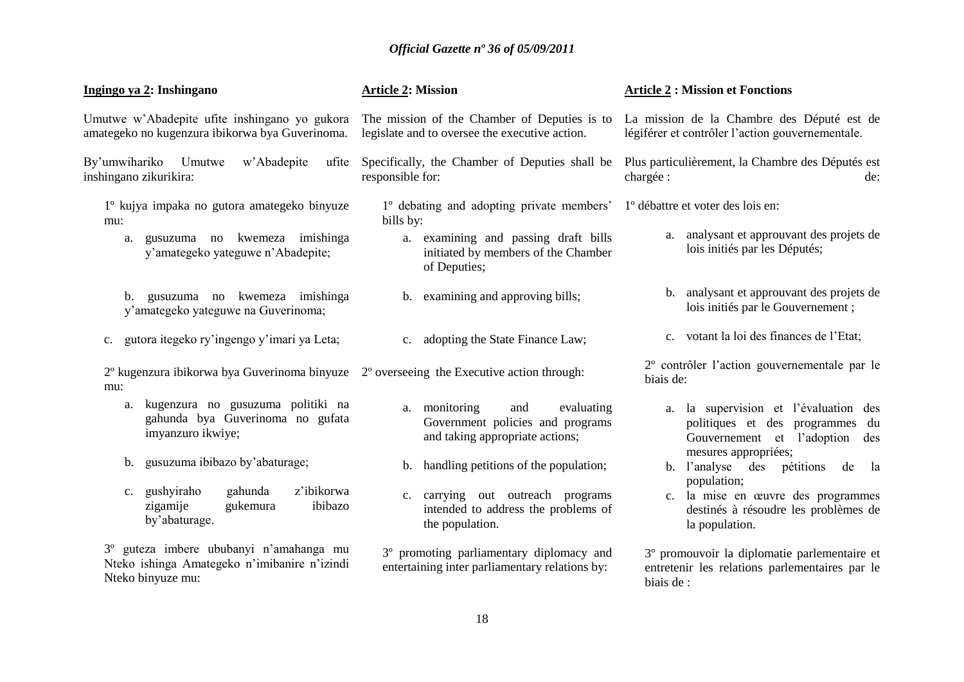| Ingingo ya 2: Inshingano                                                                                          | <b>Article 2: Mission</b>                                                                                 | <b>Article 2: Mission et Fonctions</b>                                                                        |
|-------------------------------------------------------------------------------------------------------------------|-----------------------------------------------------------------------------------------------------------|---------------------------------------------------------------------------------------------------------------|
| Umutwe w'Abadepite ufite inshingano yo gukora<br>amategeko no kugenzura ibikorwa bya Guverinoma.                  | The mission of the Chamber of Deputies is to<br>legislate and to oversee the executive action.            | La mission de la Chambre des Député est de<br>légiférer et contrôler l'action gouvernementale.                |
| By'umwihariko<br>Umutwe<br>w'Abadepite<br>ufite<br>inshingano zikurikira:                                         | Specifically, the Chamber of Deputies shall be<br>responsible for:                                        | Plus particulièrement, la Chambre des Députés est<br>chargée :<br>de:                                         |
| 1º kujya impaka no gutora amategeko binyuze<br>mu:                                                                | 1° debating and adopting private members'<br>bills by:                                                    | 1 <sup>°</sup> débattre et voter des lois en:                                                                 |
| gusuzuma no kwemeza imishinga<br>a.<br>y'amategeko yateguwe n'Abadepite;                                          | a. examining and passing draft bills<br>initiated by members of the Chamber<br>of Deputies;               | analysant et approuvant des projets de<br>a.<br>lois initiés par les Députés;                                 |
| gusuzuma no kwemeza imishinga<br>b.<br>y'amategeko yateguwe na Guverinoma;                                        | b. examining and approving bills;                                                                         | b. analysant et approuvant des projets de<br>lois initiés par le Gouvernement;                                |
| gutora itegeko ry'ingengo y'imari ya Leta;<br>$\mathbf{c}$ .                                                      | c. adopting the State Finance Law;                                                                        | c. votant la loi des finances de l'Etat;                                                                      |
| $2^{\circ}$ kugenzura ibikorwa bya Guverinoma binyuze $2^{\circ}$ overseeing the Executive action through:<br>mu: |                                                                                                           | 2° contrôler l'action gouvernementale par le<br>biais de:                                                     |
| a. kugenzura no gusuzuma politiki na<br>gahunda bya Guverinoma no gufata<br>imyanzuro ikwiye;                     | a. monitoring<br>evaluating<br>and<br>Government policies and programs<br>and taking appropriate actions; | a. la supervision et l'évaluation des<br>politiques et des programmes du<br>Gouvernement et l'adoption<br>des |
| gusuzuma ibibazo by'abaturage;<br>b.                                                                              | handling petitions of the population;<br>$\mathbf{b}$ .                                                   | mesures appropriées;<br>pétitions<br>b. l'analyse<br>des<br>de<br>la                                          |
| gahunda<br>z'ibikorwa<br>gushyiraho<br>$c_{\cdot}$<br>zigamije<br>gukemura<br>ibibazo<br>by'abaturage.            | c. carrying out outreach programs<br>intended to address the problems of<br>the population.               | population;<br>c. la mise en œuvre des programmes<br>destinés à résoudre les problèmes de<br>la population.   |
| 3° guteza imbere ububanyi n'amahanga mu<br>Nteko ishinga Amategeko n'imibanire n'izindi<br>Nteko binyuze mu:      | 3° promoting parliamentary diplomacy and<br>entertaining inter parliamentary relations by:                | 3º promouvoir la diplomatie parlementaire et<br>entretenir les relations parlementaires par le<br>biais de :  |
|                                                                                                                   | 18                                                                                                        |                                                                                                               |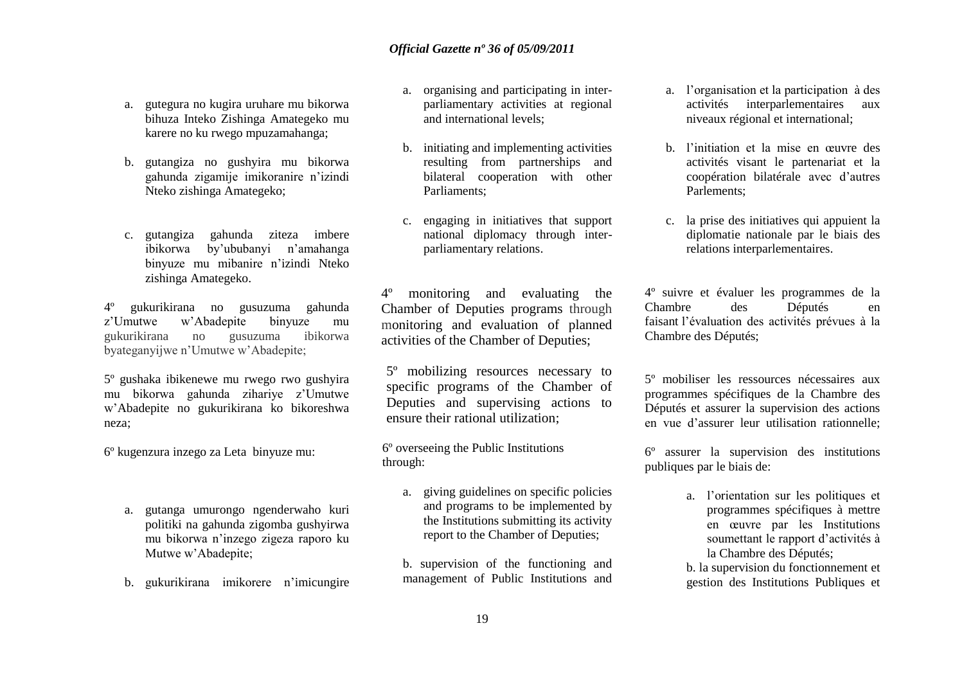- a. gutegura no kugira uruhare mu bikorwa bihuza Inteko Zishinga Amategeko mu karere no ku rwego mpuzamahanga;
- b. gutangiza no gushyira mu bikorwa gahunda zigamije imikoranire n"izindi Nteko zishinga Amategeko;
- c. gutangiza gahunda ziteza imbere ibikorwa by"ububanyi n"amahanga binyuze mu mibanire n"izindi Nteko zishinga Amategeko.

4º gukurikirana no gusuzuma gahunda z"Umutwe w"Abadepite binyuze mu gukurikirana no gusuzuma ibikorwa byateganyijwe n"Umutwe w"Abadepite;

5º gushaka ibikenewe mu rwego rwo gushyira mu bikorwa gahunda zihariye z"Umutwe w"Abadepite no gukurikirana ko bikoreshwa neza;

6º kugenzura inzego za Leta binyuze mu:

- a. gutanga umurongo ngenderwaho kuri politiki na gahunda zigomba gushyirwa mu bikorwa n"inzego zigeza raporo ku Mutwe w"Abadepite;
- b. gukurikirana imikorere n"imicungire
- a. organising and participating in interparliamentary activities at regional and international levels;
- b. initiating and implementing activities resulting from partnerships and bilateral cooperation with other Parliaments;
- c. engaging in initiatives that support national diplomacy through interparliamentary relations.

4º monitoring and evaluating the Chamber of Deputies programs through monitoring and evaluation of planned activities of the Chamber of Deputies;

5º mobilizing resources necessary to specific programs of the Chamber of Deputies and supervising actions to ensure their rational utilization;

6º overseeing the Public Institutions through:

- a. giving guidelines on specific policies and programs to be implemented by the Institutions submitting its activity report to the Chamber of Deputies;
- b. supervision of the functioning and management of Public Institutions and
- a. l"organisation et la participation à des activités interparlementaires aux niveaux régional et international;
- b. l"initiation et la mise en œuvre des activités visant le partenariat et la coopération bilatérale avec d"autres Parlements;
- c. la prise des initiatives qui appuient la diplomatie nationale par le biais des relations interparlementaires.

4º suivre et évaluer les programmes de la Chambre des Députés en faisant l"évaluation des activités prévues à la Chambre des Députés;

5º mobiliser les ressources nécessaires aux programmes spécifiques de la Chambre des Députés et assurer la supervision des actions en vue d"assurer leur utilisation rationnelle;

6º assurer la supervision des institutions publiques par le biais de:

> a. l"orientation sur les politiques et programmes spécifiques à mettre en œuvre par les Institutions soumettant le rapport d"activités à la Chambre des Députés;

> b. la supervision du fonctionnement et gestion des Institutions Publiques et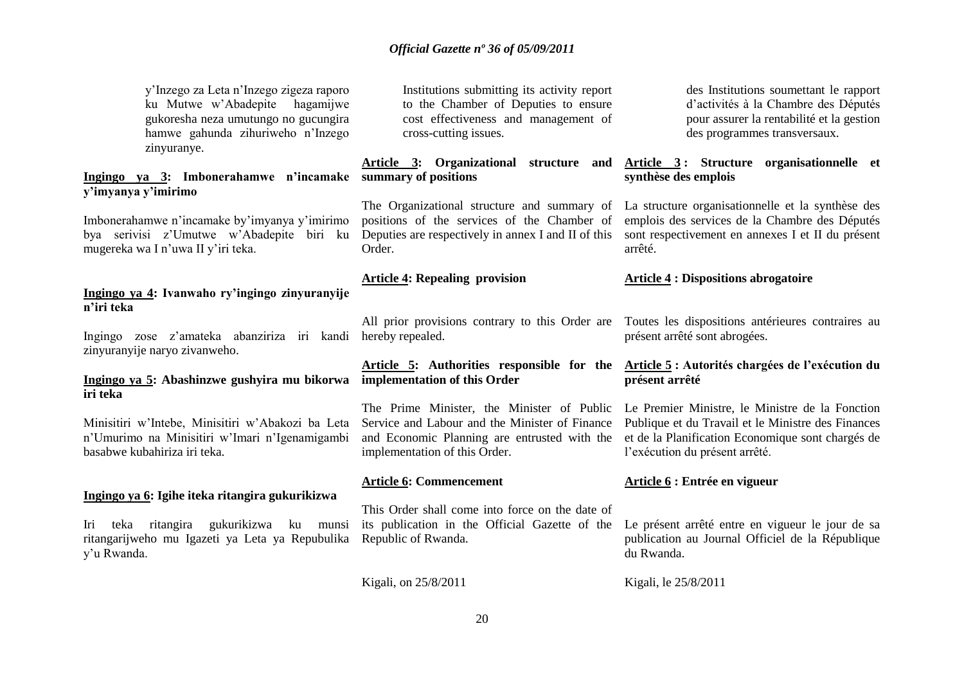y"Inzego za Leta n"Inzego zigeza raporo ku Mutwe w"Abadepite hagamijwe gukoresha neza umutungo no gucungira hamwe gahunda zihuriweho n"Inzego zinyuranye.

#### **Ingingo ya 3: Imbonerahamwe n'incamake summary of positions y'imyanya y'imirimo**

Imbonerahamwe n"incamake by"imyanya y"imirimo bya serivisi z"Umutwe w"Abadepite biri ku mugereka wa I n"uwa II y"iri teka.

#### **Ingingo ya 4: Ivanwaho ry'ingingo zinyuranyije n'iri teka**

Ingingo zose z"amateka abanziriza iri kandi hereby repealed. zinyuranyije naryo zivanweho.

#### **Ingingo ya 5: Abashinzwe gushyira mu bikorwa implementation of this Order iri teka**

Minisitiri w"Intebe, Minisitiri w"Abakozi ba Leta n"Umurimo na Minisitiri w"Imari n"Igenamigambi basabwe kubahiriza iri teka.

#### **Ingingo ya 6: Igihe iteka ritangira gukurikizwa**

Iri teka ritangira gukurikizwa ku munsi ritangarijweho mu Igazeti ya Leta ya Repubulika y"u Rwanda.

Institutions submitting its activity report to the Chamber of Deputies to ensure cost effectiveness and management of cross-cutting issues.

**Article 3: Organizational structure and** 

positions of the services of the Chamber of Deputies are respectively in annex I and II of this Order.

#### **Article 4: Repealing provision**

implementation of this Order.

#### **Article 6: Commencement**

This Order shall come into force on the date of its publication in the Official Gazette of the Republic of Rwanda.

Kigali, on 25/8/2011

des Institutions soumettant le rapport d"activités à la Chambre des Députés pour assurer la rentabilité et la gestion des programmes transversaux.

#### **Article 3 : Structure organisationnelle et synthèse des emplois**

The Organizational structure and summary of La structure organisationnelle et la synthèse des emplois des services de la Chambre des Députés sont respectivement en annexes I et II du présent arrêté.

#### **Article 4 : Dispositions abrogatoire**

All prior provisions contrary to this Order are Toutes les dispositions antérieures contraires au présent arrêté sont abrogées.

#### **Article 5: Authorities responsible for the Article 5 : Autorités chargées de l'exécution du présent arrêté**

The Prime Minister, the Minister of Public Le Premier Ministre, le Ministre de la Fonction Service and Labour and the Minister of Finance Publique et du Travail et le Ministre des Finances and Economic Planning are entrusted with the et de la Planification Economique sont chargés de l'exécution du présent arrêté.

#### **Article 6 : Entrée en vigueur**

Le présent arrêté entre en vigueur le jour de sa publication au Journal Officiel de la République du Rwanda.

Kigali, le 25/8/2011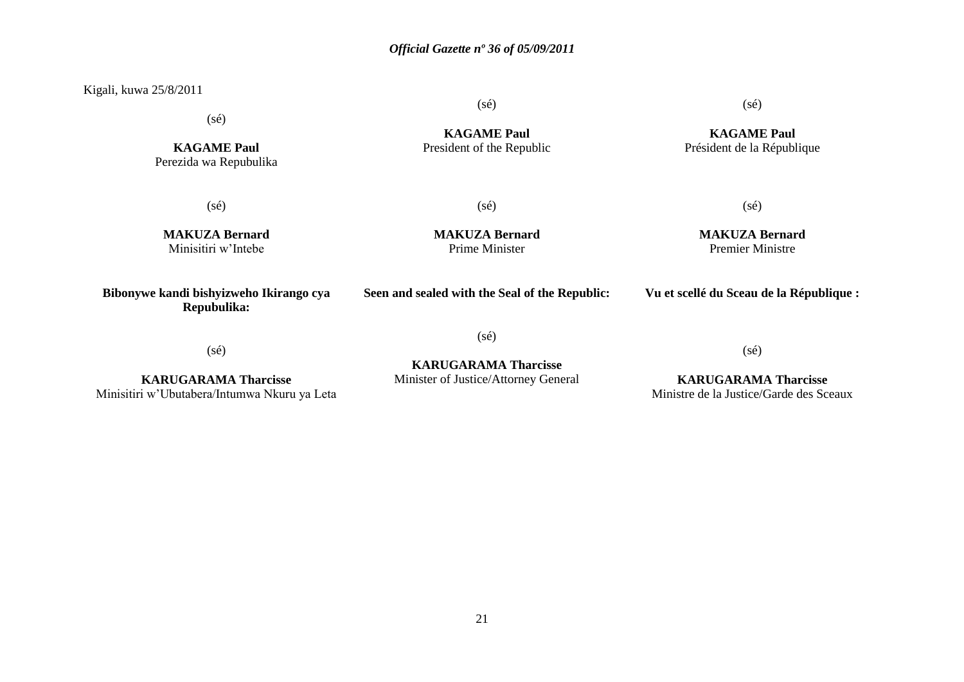Kigali, kuwa 25/8/2011

(sé)

**KAGAME Paul** President of the Republic (sé)

**KAGAME Paul** Président de la République

 $(s\acute{e})$ 

 $(s\acute{e})$ 

**KAGAME Paul** Perezida wa Repubulika

(sé)

**MAKUZA Bernard** Prime Minister

(sé)

**MAKUZA Bernard** Premier Ministre

**MAKUZA Bernard** Minisitiri w"Intebe

**Bibonywe kandi bishyizweho Ikirango cya Repubulika:**

**Seen and sealed with the Seal of the Republic:**

**Vu et scellé du Sceau de la République :**

(sé)

**KARUGARAMA Tharcisse** Minisitiri w"Ubutabera/Intumwa Nkuru ya Leta (sé)

**KARUGARAMA Tharcisse** Minister of Justice/Attorney General

**KARUGARAMA Tharcisse** Ministre de la Justice/Garde des Sceaux

(sé)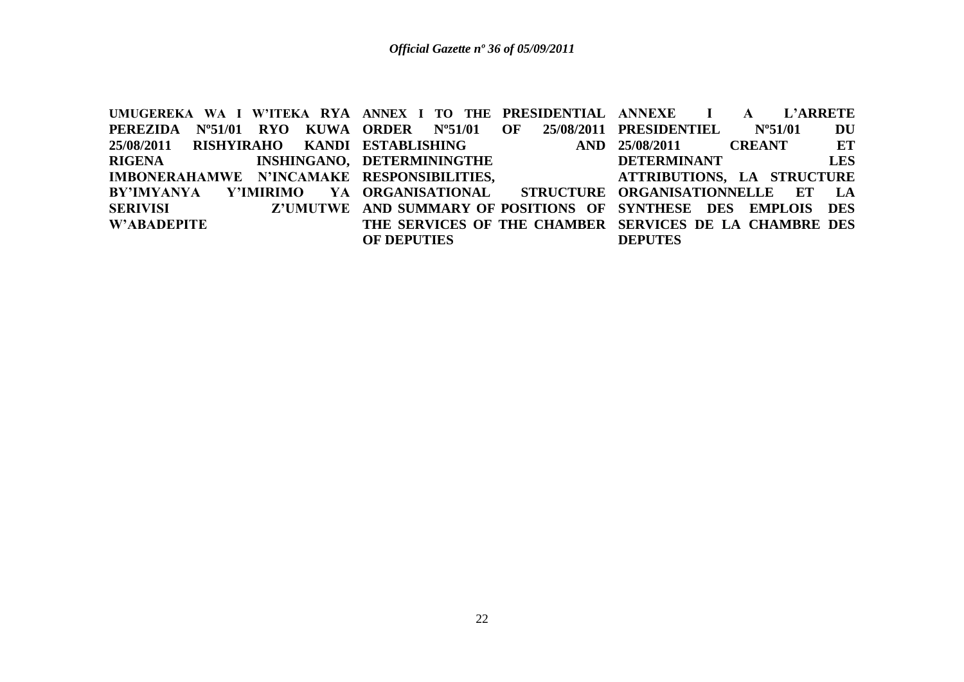**UMUGEREKA WA I W'ITEKA RYA ANNEX I TO THE PRESIDENTIAL PEREZIDA Nº51/01 RYO KUWA ORDER Nº51/01 OF 25/08/2011 25/08/2011 RISHYIRAHO KANDI ESTABLISHING AND RIGENA INSHINGANO, DETERMININGTHE IMBONERAHAMWE N'INCAMAKE RESPONSIBILITIES, BY'IMYANYA Y'IMIRIMO SERIVISI Z'UMUTWE AND SUMMARY OF POSITIONS OF SYNTHESE DES EMPLOIS DES W'ABADEPITE** YA ORGANISATIONAL **THE SERVICES OF THE CHAMBER SERVICES DE LA CHAMBRE DES OF DEPUTIES I A L'ARRETE PRESIDENTIEL Nº51/01 DU 25/08/2011 CREANT ET DETERMINANT LES ATTRIBUTIONS, LA STRUCTURE**  STRUCTURE ORGANISATIONNELLE ET LA **DEPUTES**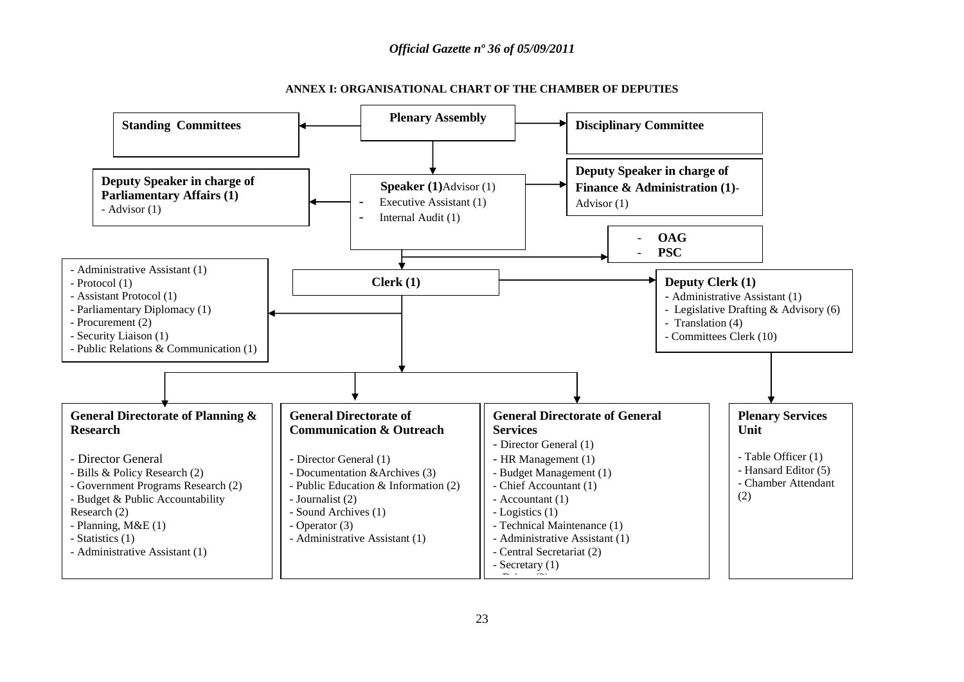

**ANNEX I: ORGANISATIONAL CHART OF THE CHAMBER OF DEPUTIES**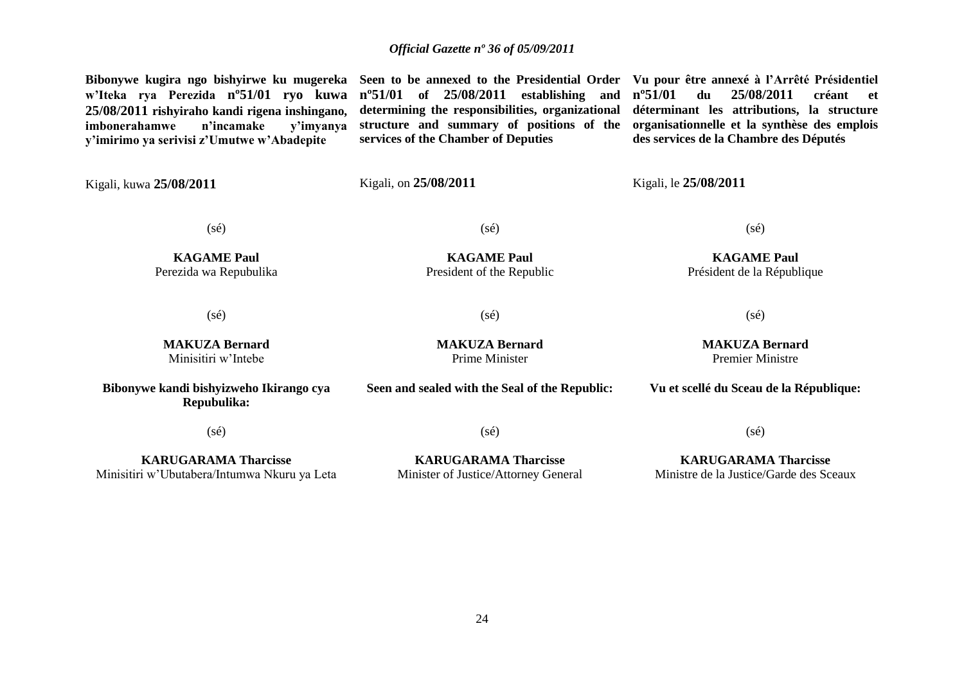**Bibonywe kugira ngo bishyirwe ku mugereka Seen to be annexed to the Presidential Order Vu pour être annexé à l'Arrêté Présidentiel w'Iteka rya Perezida nº51/01 ryo kuwa 25/08/2011 rishyiraho kandi rigena inshingano, imbonerahamwe n'incamake y'imirimo ya serivisi z'Umutwe w'Abadepite** Kigali, kuwa **25/08/2011 nº51/01 of 25/08/2011 establishing and determining the responsibilities, organizational structure and summary of positions of the services of the Chamber of Deputies** Kigali, on **25/08/2011 nº51/01 du 25/08/2011 créant et déterminant les attributions, la structure organisationnelle et la synthèse des emplois des services de la Chambre des Députés** Kigali, le **25/08/2011** (sé) **KAGAME Paul** Perezida wa Repubulika (sé) **KAGAME Paul** President of the Republic (sé) **KAGAME Paul** Président de la République (sé) **MAKUZA Bernard** Minisitiri w"Intebe (sé) **MAKUZA Bernard** Prime Minister (sé) **MAKUZA Bernard** Premier Ministre **Bibonywe kandi bishyizweho Ikirango cya Repubulika:** (sé) **KARUGARAMA Tharcisse** Minisitiri w"Ubutabera/Intumwa Nkuru ya Leta **Seen and sealed with the Seal of the Republic:**  $(s\acute{e})$ **KARUGARAMA Tharcisse** Minister of Justice/Attorney General **Vu et scellé du Sceau de la République:** (sé) **KARUGARAMA Tharcisse** Ministre de la Justice/Garde des Sceaux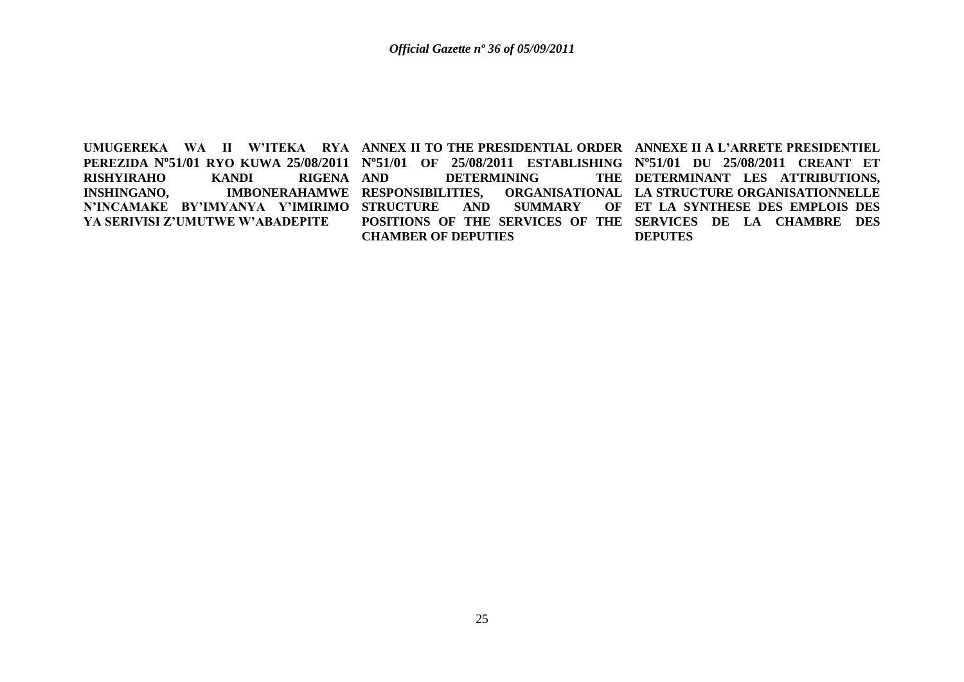**RISHYIRAHO KANDI RIGENA YA SERIVISI Z'UMUTWE W'ABADEPITE**

UMUGEREKA WA II W'ITEKA RYA ANNEX-II-TO-THE-PRESIDENTIAL-ORDER- ANNEXE-II-A-L'ARRETE-PRESIDENTIEL **PEREZIDA Nº51/01 RYO KUWA 25/08/2011 Nº51/01 OF 25/08/2011 ESTABLISHING Nº51/01 DU 25/08/2011 CREANT ET INSHINGANO, IMBONERAHAMWE RESPONSIBILITIES, ORGANISATIONAL N'INCAMAKE BY'IMYANYA Y'IMIRIMO STRUCTURE AND SUMMARY OF DETERMINING POSITIONS OF THE SERVICES OF THE SERVICES DE LA CHAMBRE DES CHAMBER OF DEPUTIES**

THE DETERMINANT LES ATTRIBUTIONS, **ORGANISATIONAL LA STRUCTURE ORGANISATIONNELLE ET LA SYNTHESE DES EMPLOIS DES DEPUTES**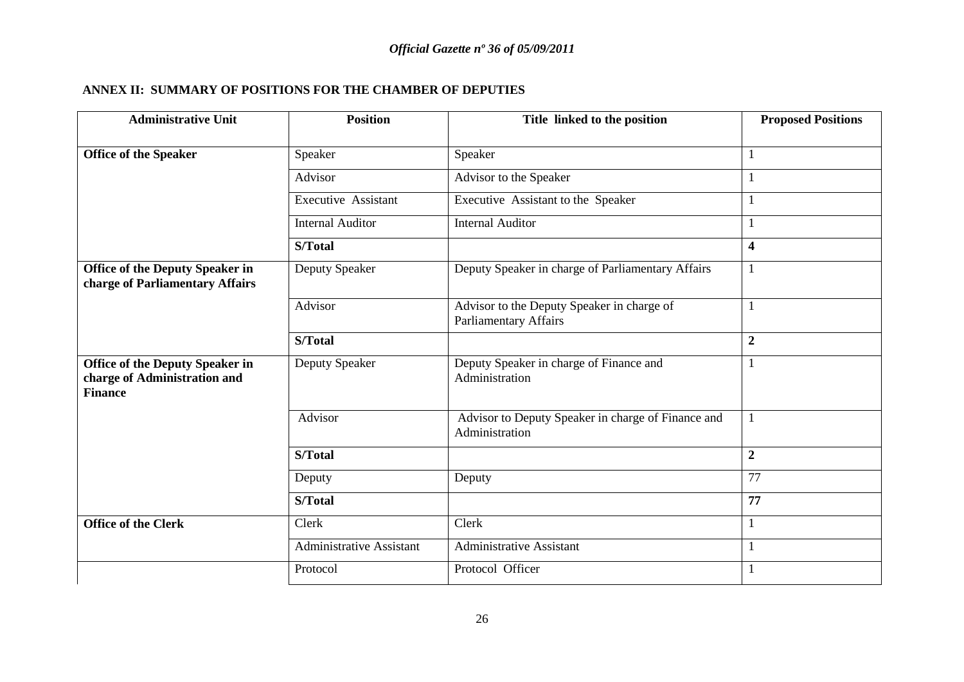#### **ANNEX II: SUMMARY OF POSITIONS FOR THE CHAMBER OF DEPUTIES**

| <b>Administrative Unit</b>                                                               | <b>Position</b>            | Title linked to the position                                               | <b>Proposed Positions</b> |
|------------------------------------------------------------------------------------------|----------------------------|----------------------------------------------------------------------------|---------------------------|
| <b>Office of the Speaker</b>                                                             | Speaker                    | Speaker                                                                    |                           |
|                                                                                          | Advisor                    | Advisor to the Speaker                                                     |                           |
|                                                                                          |                            |                                                                            |                           |
|                                                                                          | <b>Executive Assistant</b> | Executive Assistant to the Speaker                                         |                           |
|                                                                                          | <b>Internal Auditor</b>    | <b>Internal Auditor</b>                                                    |                           |
|                                                                                          | S/Total                    |                                                                            | $\overline{\mathbf{4}}$   |
| <b>Office of the Deputy Speaker in</b><br>charge of Parliamentary Affairs                | Deputy Speaker             | Deputy Speaker in charge of Parliamentary Affairs                          | 1                         |
|                                                                                          | Advisor                    | Advisor to the Deputy Speaker in charge of<br><b>Parliamentary Affairs</b> |                           |
|                                                                                          | S/Total                    |                                                                            | $\boldsymbol{2}$          |
| <b>Office of the Deputy Speaker in</b><br>charge of Administration and<br><b>Finance</b> | Deputy Speaker             | Deputy Speaker in charge of Finance and<br>Administration                  |                           |
|                                                                                          | Advisor                    | Advisor to Deputy Speaker in charge of Finance and<br>Administration       | $\mathbf{1}$              |
|                                                                                          | S/Total                    |                                                                            | $\boldsymbol{2}$          |
|                                                                                          | Deputy                     | Deputy                                                                     | 77                        |
|                                                                                          | S/Total                    |                                                                            | 77                        |
| <b>Office of the Clerk</b>                                                               | Clerk                      | Clerk                                                                      |                           |
|                                                                                          | Administrative Assistant   | <b>Administrative Assistant</b>                                            |                           |
|                                                                                          | Protocol                   | Protocol Officer                                                           |                           |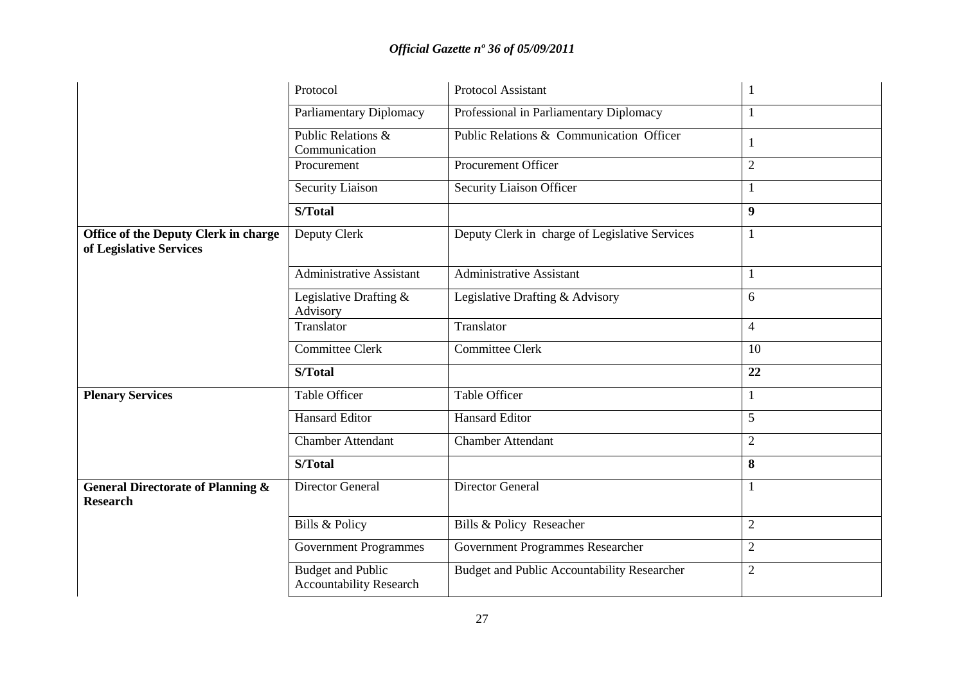|                                                                        | Protocol                                                   | Protocol Assistant                                 | $\mathbf{1}$     |
|------------------------------------------------------------------------|------------------------------------------------------------|----------------------------------------------------|------------------|
|                                                                        | Parliamentary Diplomacy                                    | Professional in Parliamentary Diplomacy            | $\mathbf{1}$     |
|                                                                        | Public Relations &<br>Communication                        | Public Relations & Communication Officer           | -1               |
|                                                                        | Procurement                                                | Procurement Officer                                | $\overline{2}$   |
|                                                                        | <b>Security Liaison</b>                                    | Security Liaison Officer                           | $\mathbf{1}$     |
|                                                                        | S/Total                                                    |                                                    | $\boldsymbol{9}$ |
| <b>Office of the Deputy Clerk in charge</b><br>of Legislative Services | Deputy Clerk                                               | Deputy Clerk in charge of Legislative Services     | $\mathbf{1}$     |
|                                                                        | <b>Administrative Assistant</b>                            | <b>Administrative Assistant</b>                    | $\mathbf{1}$     |
|                                                                        | Legislative Drafting $&$<br>Advisory                       | Legislative Drafting & Advisory                    | 6                |
|                                                                        | Translator                                                 | Translator                                         | $\overline{4}$   |
|                                                                        | <b>Committee Clerk</b>                                     | <b>Committee Clerk</b>                             | 10               |
|                                                                        | S/Total                                                    |                                                    | 22               |
| <b>Plenary Services</b>                                                | <b>Table Officer</b>                                       | <b>Table Officer</b>                               | $\mathbf{1}$     |
|                                                                        | <b>Hansard Editor</b>                                      | <b>Hansard Editor</b>                              | 5                |
|                                                                        | <b>Chamber Attendant</b>                                   | <b>Chamber Attendant</b>                           | $\overline{2}$   |
|                                                                        | S/Total                                                    |                                                    | 8                |
| <b>General Directorate of Planning &amp;</b><br><b>Research</b>        | <b>Director General</b>                                    | <b>Director General</b>                            | $\mathbf{1}$     |
|                                                                        | Bills & Policy                                             | Bills & Policy Reseacher                           | $\overline{2}$   |
|                                                                        | <b>Government Programmes</b>                               | <b>Government Programmes Researcher</b>            | $\overline{2}$   |
|                                                                        | <b>Budget and Public</b><br><b>Accountability Research</b> | <b>Budget and Public Accountability Researcher</b> | $\overline{2}$   |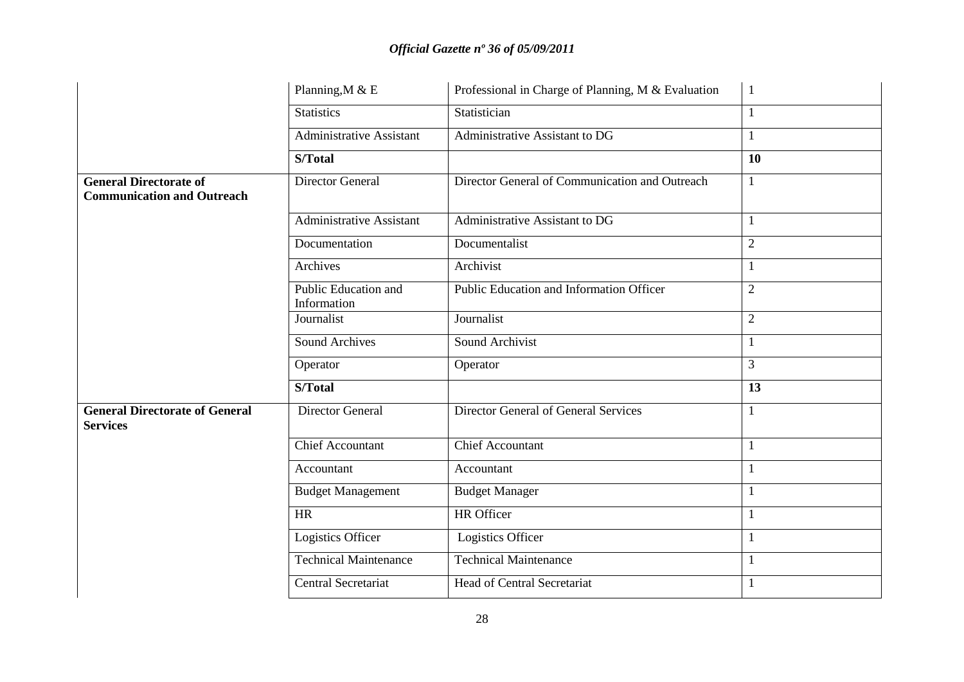|                                                                    | Professional in Charge of Planning, M & Evaluation<br>Planning, M & E |                                                | $\mathbf{1}$   |
|--------------------------------------------------------------------|-----------------------------------------------------------------------|------------------------------------------------|----------------|
|                                                                    | <b>Statistics</b>                                                     | Statistician                                   | $\mathbf{1}$   |
|                                                                    | <b>Administrative Assistant</b>                                       | Administrative Assistant to DG                 | $\mathbf{1}$   |
|                                                                    | S/Total                                                               |                                                | 10             |
| <b>General Directorate of</b><br><b>Communication and Outreach</b> | <b>Director General</b>                                               | Director General of Communication and Outreach | $\mathbf{1}$   |
|                                                                    | Administrative Assistant                                              | Administrative Assistant to DG                 | $\mathbf{1}$   |
|                                                                    | Documentation                                                         | Documentalist                                  | $\overline{2}$ |
|                                                                    | Archives                                                              | Archivist                                      | $\mathbf{1}$   |
|                                                                    | Public Education and<br>Information                                   | Public Education and Information Officer       | $\sqrt{2}$     |
|                                                                    | Journalist                                                            | Journalist                                     | $\sqrt{2}$     |
|                                                                    | <b>Sound Archives</b>                                                 | Sound Archivist                                | $\mathbf{1}$   |
|                                                                    | Operator                                                              | Operator                                       | $\overline{3}$ |
|                                                                    | S/Total                                                               |                                                | 13             |
| <b>General Directorate of General</b><br><b>Services</b>           | <b>Director General</b>                                               | Director General of General Services           | $\mathbf{1}$   |
|                                                                    | Chief Accountant                                                      | <b>Chief Accountant</b>                        | $\mathbf{1}$   |
|                                                                    | Accountant                                                            | Accountant                                     | $\mathbf{1}$   |
|                                                                    | <b>Budget Management</b>                                              | <b>Budget Manager</b>                          | -1             |
|                                                                    | <b>HR</b>                                                             | <b>HR</b> Officer                              | -1             |
|                                                                    | Logistics Officer                                                     | Logistics Officer                              | $\mathbf{1}$   |
|                                                                    | <b>Technical Maintenance</b>                                          | <b>Technical Maintenance</b>                   | $\mathbf{1}$   |
|                                                                    | Central Secretariat                                                   | <b>Head of Central Secretariat</b>             | 1              |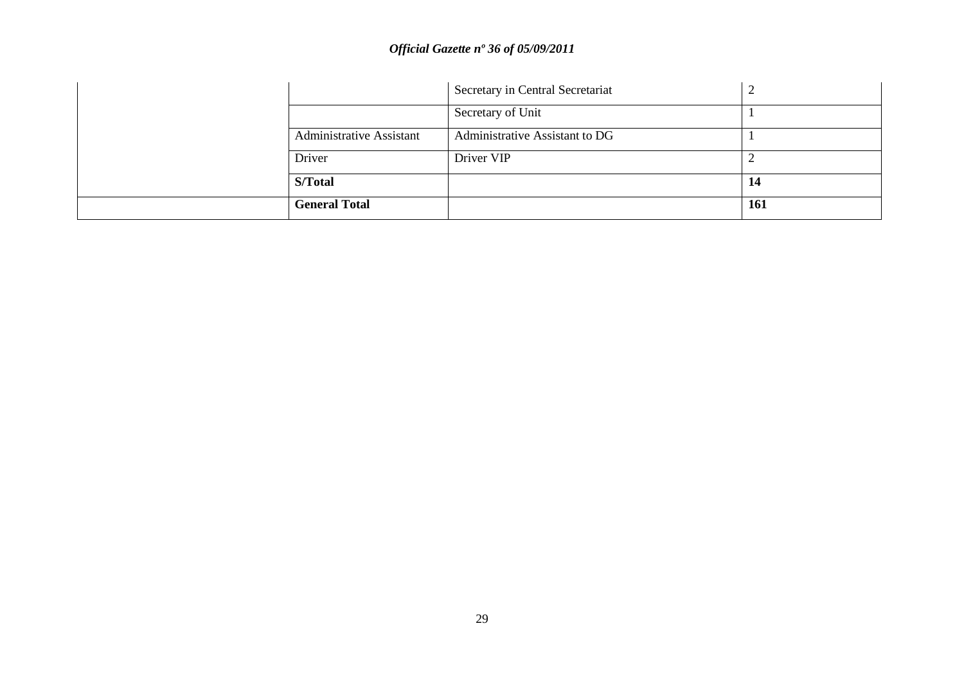|                                 | Secretary in Central Secretariat |     |
|---------------------------------|----------------------------------|-----|
|                                 | Secretary of Unit                |     |
| <b>Administrative Assistant</b> | Administrative Assistant to DG   |     |
| Driver                          | Driver VIP                       |     |
| S/Total                         |                                  | 14  |
| <b>General Total</b>            |                                  | 161 |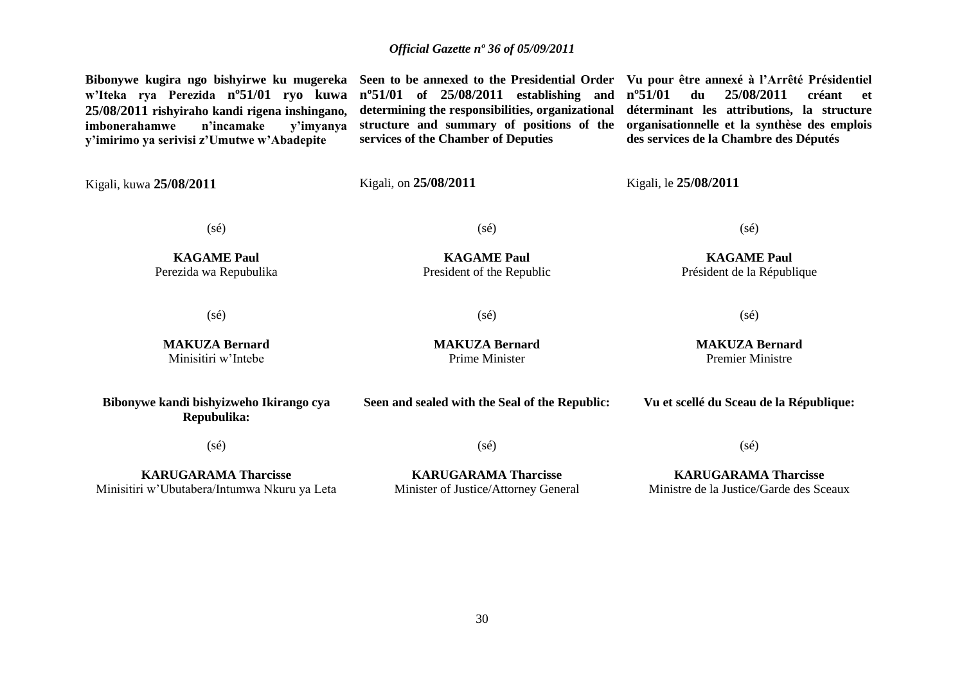**Bibonywe kugira ngo bishyirwe ku mugereka Seen to be annexed to the Presidential Order Vu pour être annexé à l'Arrêté Présidentiel w'Iteka rya Perezida nº51/01 ryo kuwa 25/08/2011 rishyiraho kandi rigena inshingano,**  imbonerahamwe **y'imirimo ya serivisi z'Umutwe w'Abadepite** Kigali, kuwa **25/08/2011 nº51/01 of 25/08/2011 establishing and determining the responsibilities, organizational structure and summary of positions of the services of the Chamber of Deputies** Kigali, on **25/08/2011 nº51/01 du 25/08/2011 créant et déterminant les attributions, la structure organisationnelle et la synthèse des emplois des services de la Chambre des Députés** Kigali, le **25/08/2011** (sé) **KAGAME Paul** Perezida wa Repubulika (sé) **KAGAME Paul** President of the Republic (sé) **KAGAME Paul** Président de la République (sé) **MAKUZA Bernard** Minisitiri w"Intebe  $(s\acute{e})$ **MAKUZA Bernard** Prime Minister (sé) **MAKUZA Bernard** Premier Ministre **Bibonywe kandi bishyizweho Ikirango cya Repubulika:** (sé) **KARUGARAMA Tharcisse** Minisitiri w"Ubutabera/Intumwa Nkuru ya Leta **Seen and sealed with the Seal of the Republic:**  $(s\acute{e})$ **KARUGARAMA Tharcisse** Minister of Justice/Attorney General **Vu et scellé du Sceau de la République:** (sé) **KARUGARAMA Tharcisse** Ministre de la Justice/Garde des Sceaux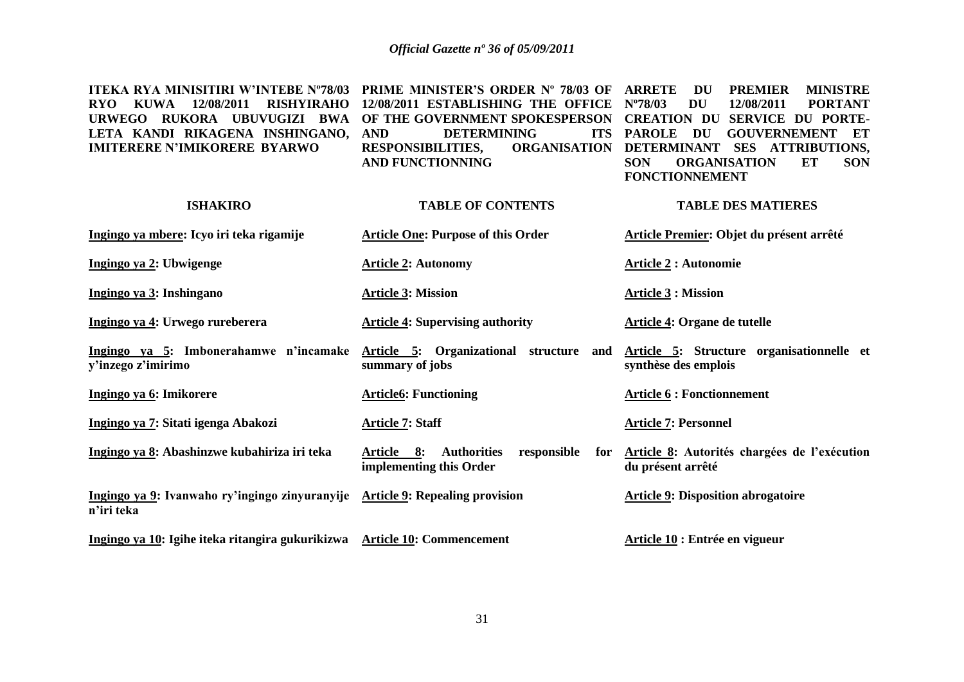| <b>ITEKA RYA MINISITIRI W'INTEBE N°78/03</b><br><b>KUWA</b><br>12/08/2011<br><b>RISHYIRAHO</b><br><b>RYO</b><br>URWEGO RUKORA UBUVUGIZI BWA<br>LETA KANDI RIKAGENA INSHINGANO,<br><b>IMITERERE N'IMIKORERE BYARWO</b> | PRIME MINISTER'S ORDER Nº 78/03 OF<br>12/08/2011 ESTABLISHING THE OFFICE<br>OF THE GOVERNMENT SPOKESPERSON<br><b>AND</b><br><b>DETERMINING</b><br><b>ITS</b><br><b>ORGANISATION</b><br><b>RESPONSIBILITIES,</b><br><b>AND FUNCTIONNING</b> | <b>ARRETE</b><br><b>MINISTRE</b><br><b>PREMIER</b><br>DU<br>$N^{\circ}78/03$<br><b>DU</b><br>12/08/2011<br><b>PORTANT</b><br><b>CREATION DU</b><br><b>SERVICE DU PORTE-</b><br><b>PAROLE</b><br>DU<br><b>GOUVERNEMENT</b><br>ET<br><b>DETERMINANT</b><br>SES ATTRIBUTIONS,<br><b>SON</b><br><b>ORGANISATION</b><br><b>ET</b><br><b>SON</b><br><b>FONCTIONNEMENT</b> |
|-----------------------------------------------------------------------------------------------------------------------------------------------------------------------------------------------------------------------|--------------------------------------------------------------------------------------------------------------------------------------------------------------------------------------------------------------------------------------------|---------------------------------------------------------------------------------------------------------------------------------------------------------------------------------------------------------------------------------------------------------------------------------------------------------------------------------------------------------------------|
| <b>ISHAKIRO</b>                                                                                                                                                                                                       | <b>TABLE OF CONTENTS</b>                                                                                                                                                                                                                   | <b>TABLE DES MATIERES</b>                                                                                                                                                                                                                                                                                                                                           |
| Ingingo ya mbere: Icyo iri teka rigamije                                                                                                                                                                              | <b>Article One: Purpose of this Order</b>                                                                                                                                                                                                  | Article Premier: Objet du présent arrêté                                                                                                                                                                                                                                                                                                                            |
| Ingingo ya 2: Ubwigenge                                                                                                                                                                                               | <b>Article 2: Autonomy</b>                                                                                                                                                                                                                 | <b>Article 2 : Autonomie</b>                                                                                                                                                                                                                                                                                                                                        |
| Ingingo ya 3: Inshingano                                                                                                                                                                                              | <b>Article 3: Mission</b>                                                                                                                                                                                                                  | <b>Article 3 : Mission</b>                                                                                                                                                                                                                                                                                                                                          |
| Ingingo ya 4: Urwego rureberera                                                                                                                                                                                       | <b>Article 4: Supervising authority</b>                                                                                                                                                                                                    | Article 4: Organe de tutelle                                                                                                                                                                                                                                                                                                                                        |
| Ingingo ya 5: Imbonerahamwe n'incamake<br>y'inzego z'imirimo                                                                                                                                                          | Article 5: Organizational structure and<br>summary of jobs                                                                                                                                                                                 | Article 5: Structure organisationnelle et<br>synthèse des emplois                                                                                                                                                                                                                                                                                                   |
| Ingingo ya 6: Imikorere                                                                                                                                                                                               | <b>Article6: Functioning</b>                                                                                                                                                                                                               | <b>Article 6 : Fonctionnement</b>                                                                                                                                                                                                                                                                                                                                   |
| Ingingo ya 7: Sitati igenga Abakozi                                                                                                                                                                                   | <b>Article 7: Staff</b>                                                                                                                                                                                                                    | <b>Article 7: Personnel</b>                                                                                                                                                                                                                                                                                                                                         |
| Ingingo ya 8: Abashinzwe kubahiriza iri teka                                                                                                                                                                          | Article 8:<br><b>Authorities</b><br>responsible<br>for<br>implementing this Order                                                                                                                                                          | Article 8: Autorités chargées de l'exécution<br>du présent arrêté                                                                                                                                                                                                                                                                                                   |
| Ingingo ya 9: Ivanwaho ry'ingingo zinyuranyije Article 9: Repealing provision<br>n'iri teka                                                                                                                           |                                                                                                                                                                                                                                            | <b>Article 9: Disposition abrogatoire</b>                                                                                                                                                                                                                                                                                                                           |
| Ingingo ya 10: Igihe iteka ritangira gukurikizwa Article 10: Commencement                                                                                                                                             |                                                                                                                                                                                                                                            | Article 10 : Entrée en vigueur                                                                                                                                                                                                                                                                                                                                      |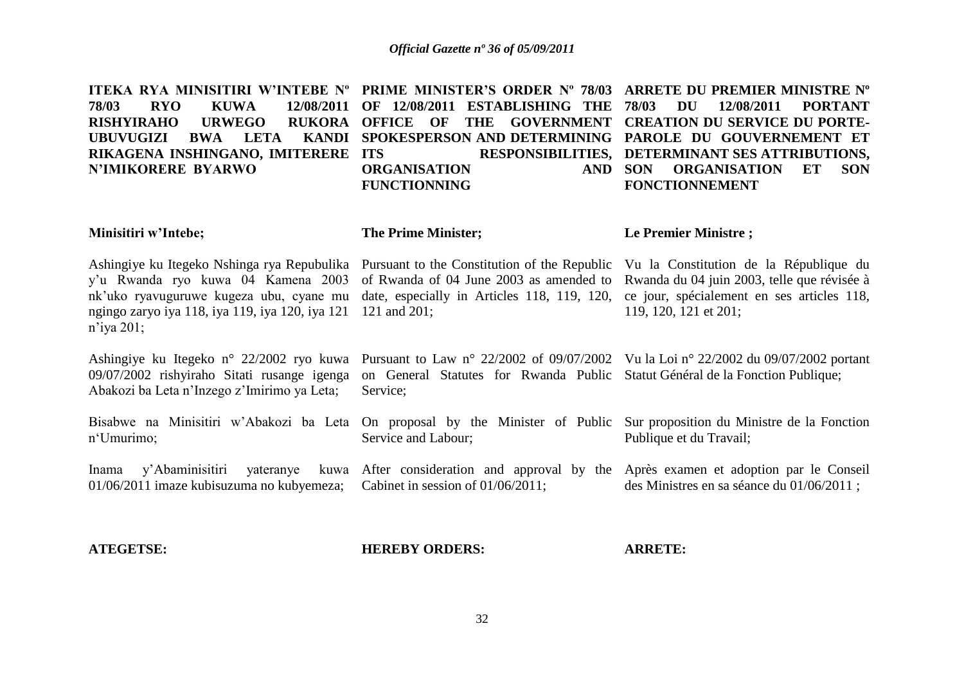| ITEKA RYA MINISITIRI W'INTEBE N° PRIME MINISTER'S ORDER N° 78/03<br>12/08/2011<br><b>RYO</b><br><b>KUWA</b><br>78/03<br><b>RISHYIRAHO</b><br><b>URWEGO</b><br><b>RUKORA</b><br><b>KANDI</b><br>LETA<br><b>UBUVUGIZI</b><br><b>BWA</b><br>RIKAGENA INSHINGANO, IMITERERE<br><b>N'IMIKORERE BYARWO</b> | OF 12/08/2011<br><b>ESTABLISHING THE</b><br><b>OFFICE</b><br><b>GOVERNMENT</b><br>OF<br><b>THE</b><br>SPOKESPERSON AND DETERMINING<br><b>ITS</b><br><b>RESPONSIBILITIES,</b><br><b>ORGANISATION</b><br><b>AND</b><br><b>FUNCTIONNING</b> | ARRETE DU PREMIER MINISTRE N°<br>78/03<br><b>DU</b><br>12/08/2011<br><b>PORTANT</b><br><b>CREATION DU SERVICE DU PORTE-</b><br>PAROLE DU GOUVERNEMENT ET<br>DETERMINANT SES ATTRIBUTIONS,<br><b>ORGANISATION</b><br><b>SON</b><br><b>SON</b><br>ET<br><b>FONCTIONNEMENT</b> |
|------------------------------------------------------------------------------------------------------------------------------------------------------------------------------------------------------------------------------------------------------------------------------------------------------|------------------------------------------------------------------------------------------------------------------------------------------------------------------------------------------------------------------------------------------|-----------------------------------------------------------------------------------------------------------------------------------------------------------------------------------------------------------------------------------------------------------------------------|
| Minisitiri w'Intebe;                                                                                                                                                                                                                                                                                 | <b>The Prime Minister;</b>                                                                                                                                                                                                               | Le Premier Ministre;                                                                                                                                                                                                                                                        |
| Ashingiye ku Itegeko Nshinga rya Repubulika<br>y'u Rwanda ryo kuwa 04 Kamena 2003<br>nk'uko ryavuguruwe kugeza ubu, cyane mu<br>ngingo zaryo iya 118, iya 119, iya 120, iya 121<br>$n$ 'iya 201;                                                                                                     | Pursuant to the Constitution of the Republic<br>of Rwanda of 04 June 2003 as amended to<br>date, especially in Articles 118, 119, 120,<br>121 and 201;                                                                                   | Vu la Constitution de la République du<br>Rwanda du 04 juin 2003, telle que révisée à<br>ce jour, spécialement en ses articles 118,<br>119, 120, 121 et 201;                                                                                                                |
| Ashingiye ku Itegeko n° 22/2002 ryo kuwa<br>09/07/2002 rishyiraho Sitati rusange igenga<br>Abakozi ba Leta n'Inzego z'Imirimo ya Leta;                                                                                                                                                               | Pursuant to Law n° 22/2002 of 09/07/2002 Vu la Loi n° 22/2002 du 09/07/2002 portant<br>on General Statutes for Rwanda Public<br>Service;                                                                                                 | Statut Général de la Fonction Publique;                                                                                                                                                                                                                                     |
| Bisabwe na Minisitiri w'Abakozi ba Leta<br>n'Umurimo;                                                                                                                                                                                                                                                | On proposal by the Minister of Public<br>Service and Labour;                                                                                                                                                                             | Sur proposition du Ministre de la Fonction<br>Publique et du Travail;                                                                                                                                                                                                       |
| y'Abaminisitiri<br>yateranye<br>Inama<br>01/06/2011 imaze kubisuzuma no kubyemeza;                                                                                                                                                                                                                   | kuwa After consideration and approval by the Après examen et adoption par le Conseil<br>Cabinet in session of 01/06/2011;                                                                                                                | des Ministres en sa séance du 01/06/2011;                                                                                                                                                                                                                                   |

**ATEGETSE:**

**HEREBY ORDERS:**

**ARRETE:**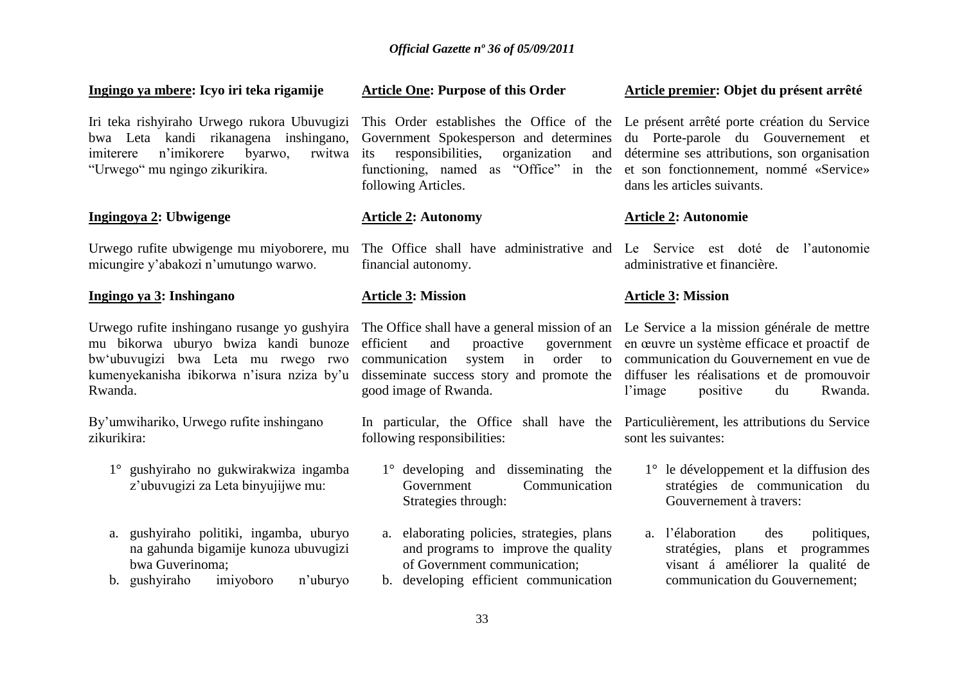#### **Ingingo ya mbere: Icyo iri teka rigamije**

Iri teka rishyiraho Urwego rukora Ubuvugizi bwa Leta kandi rikanagena inshingano, imiterere n'imikorere byarwo, rwitwa its "Urwego" mu ngingo zikurikira.

#### **Ingingoya 2: Ubwigenge**

Urwego rufite ubwigenge mu miyoborere, mu micungire y"abakozi n"umutungo warwo.

#### **Ingingo ya 3: Inshingano**

Urwego rufite inshingano rusange yo gushyira mu bikorwa uburyo bwiza kandi bunoze bw"ubuvugizi bwa Leta mu rwego rwo kumenyekanisha ibikorwa n"isura nziza by"u Rwanda.

By"umwihariko, Urwego rufite inshingano zikurikira:

- 1° gushyiraho no gukwirakwiza ingamba z"ubuvugizi za Leta binyujijwe mu:
- a. gushyiraho politiki, ingamba, uburyo na gahunda bigamije kunoza ubuvugizi bwa Guverinoma;
- b. gushyiraho imiyoboro n"uburyo

# Government Spokesperson and determines

**Article One: Purpose of this Order**

responsibilities, organization functioning, named as "Office" in the et son fonctionnement, nommé «Service» following Articles.

#### **Article 2: Autonomy**

financial autonomy.

#### **Article 3: Mission**

good image of Rwanda.

following responsibilities:

- 1° developing and disseminating the Government Communication Strategies through:
- a. elaborating policies, strategies, plans and programs to improve the quality of Government communication;
- b. developing efficient communication

#### **Article premier: Objet du présent arrêté**

This Order establishes the Office of the Le présent arrêté porte création du Service du Porte-parole du Gouvernement et détermine ses attributions, son organisation dans les articles suivants.

#### **Article 2: Autonomie**

The Office shall have administrative and Le Service est doté de l"autonomie administrative et financière.

#### **Article 3: Mission**

The Office shall have a general mission of an Le Service a la mission générale de mettre efficient and proactive government en œuvre un système efficace et proactif de communication system in order to communication du Gouvernement en vue de disseminate success story and promote the diffuser les réalisations et de promouvoir l"image positive du Rwanda.

In particular, the Office shall have the Particulièrement, les attributions du Service sont les suivantes:

- 1° le développement et la diffusion des stratégies de communication du Gouvernement à travers:
- a. l"élaboration des politiques, stratégies, plans et programmes visant á améliorer la qualité de communication du Gouvernement;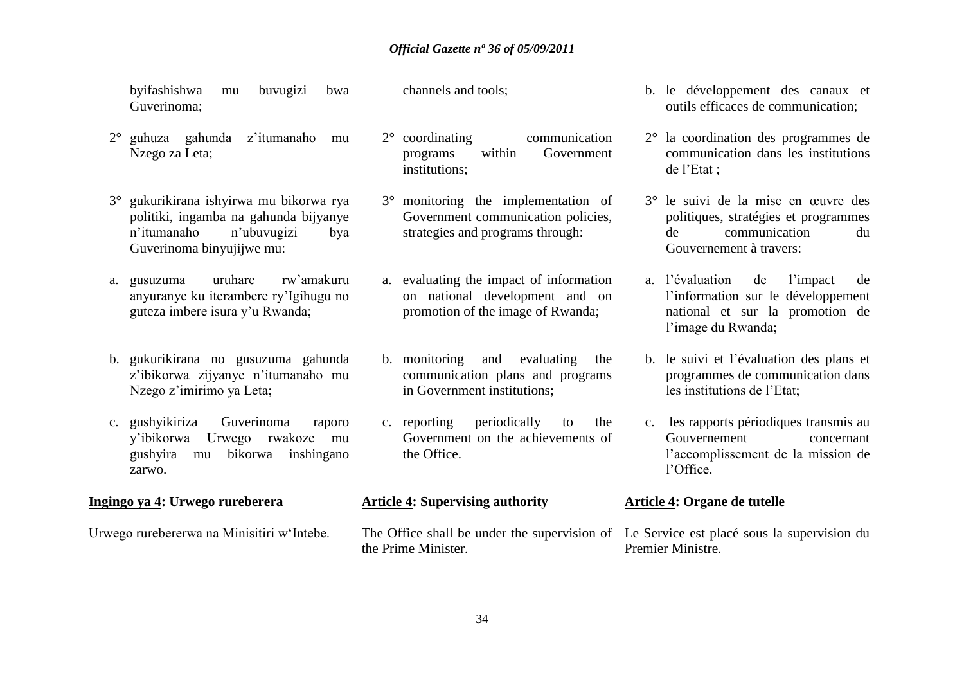byifashishwa mu buvugizi bwa Guverinoma;

- 2° guhuza gahunda z"itumanaho mu Nzego za Leta;
- 3° gukurikirana ishyirwa mu bikorwa rya politiki, ingamba na gahunda bijyanye n"itumanaho n"ubuvugizi bya Guverinoma binyujijwe mu:
- a. gusuzuma uruhare rw"amakuru anyuranye ku iterambere ry"Igihugu no guteza imbere isura y"u Rwanda;
- b. gukurikirana no gusuzuma gahunda z"ibikorwa zijyanye n"itumanaho mu Nzego z"imirimo ya Leta;
- c. gushyikiriza Guverinoma raporo y"ibikorwa Urwego rwakoze mu gushyira mu bikorwa inshingano zarwo.

#### **Ingingo ya 4: Urwego rureberera**

Urwego rurebererwa na Minisitiri w"Intebe.

channels and tools;

- 2° coordinating communication programs within Government institutions;
- 3° monitoring the implementation of Government communication policies, strategies and programs through:
- a. evaluating the impact of information on national development and on promotion of the image of Rwanda;
- b. monitoring and evaluating the communication plans and programs in Government institutions;
- c. reporting periodically to the Government on the achievements of the Office.

#### **Article 4: Supervising authority**

the Prime Minister.

- b. le développement des canaux et outils efficaces de communication;
- 2° la coordination des programmes de communication dans les institutions de l"Etat ;
- 3° le suivi de la mise en œuvre des politiques, stratégies et programmes de communication du Gouvernement à travers:
- a. l"évaluation de l"impact de l"information sur le développement national et sur la promotion de l'image du Rwanda;
- b. le suivi et l"évaluation des plans et programmes de communication dans les institutions de l"Etat;
- c. les rapports périodiques transmis au Gouvernement concernant l"accomplissement de la mission de l"Office.

#### **Article 4: Organe de tutelle**

The Office shall be under the supervision of Le Service est placé sous la supervision du Premier Ministre.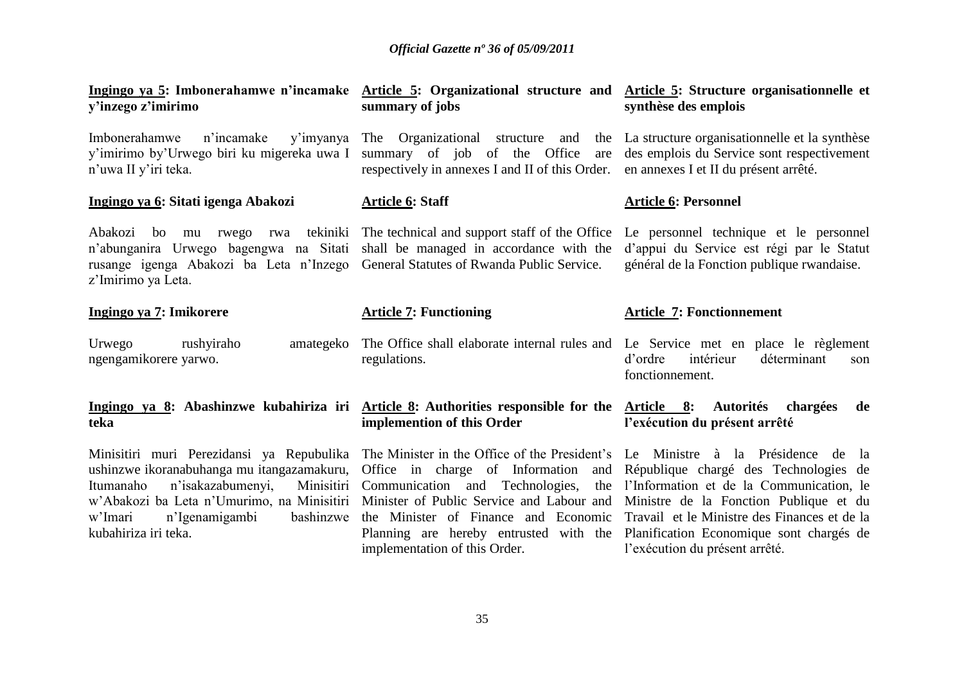| Ingingo ya 5: Imbonerahamwe n'incamake Article 5: Organizational structure and Article 5: Structure organisationnelle et<br>y'inzego z'imirimo                                                                                                          | summary of jobs                                                                                                                                                                                                                                                                                | synthèse des emplois                                                                                                                                                                                                                                                                                |  |
|---------------------------------------------------------------------------------------------------------------------------------------------------------------------------------------------------------------------------------------------------------|------------------------------------------------------------------------------------------------------------------------------------------------------------------------------------------------------------------------------------------------------------------------------------------------|-----------------------------------------------------------------------------------------------------------------------------------------------------------------------------------------------------------------------------------------------------------------------------------------------------|--|
| n'incamake<br>Imbonerahamwe<br>y'imirimo by'Urwego biri ku migereka uwa I summary of job of the Office<br>n'uwa II y'iri teka.                                                                                                                          | y'imyanya The Organizational structure<br>and<br>the<br>are<br>respectively in annexes I and II of this Order.                                                                                                                                                                                 | La structure organisationnelle et la synthèse<br>des emplois du Service sont respectivement<br>en annexes I et II du présent arrêté.                                                                                                                                                                |  |
| Ingingo ya 6: Sitati igenga Abakozi                                                                                                                                                                                                                     | <b>Article 6: Staff</b>                                                                                                                                                                                                                                                                        | <b>Article 6: Personnel</b>                                                                                                                                                                                                                                                                         |  |
| Abakozi<br>bo<br>mu<br>n'abunganira Urwego bagengwa na Sitati<br>rusange igenga Abakozi ba Leta n'Inzego General Statutes of Rwanda Public Service.<br>z'Imirimo ya Leta.                                                                               | rwego rwa tekiniki The technical and support staff of the Office<br>shall be managed in accordance with the                                                                                                                                                                                    | Le personnel technique et le personnel<br>d'appui du Service est régi par le Statut<br>général de la Fonction publique rwandaise.                                                                                                                                                                   |  |
| Ingingo ya 7: Imikorere                                                                                                                                                                                                                                 | <b>Article 7: Functioning</b>                                                                                                                                                                                                                                                                  | <b>Article 7: Fonctionnement</b>                                                                                                                                                                                                                                                                    |  |
| Urwego<br>rushyiraho<br>amategeko<br>ngengamikorere yarwo.                                                                                                                                                                                              | The Office shall elaborate internal rules and Le Service met en place le règlement<br>regulations.                                                                                                                                                                                             | intérieur<br>déterminant<br>d'ordre<br>son<br>fonctionnement.                                                                                                                                                                                                                                       |  |
| Ingingo ya 8: Abashinzwe kubahiriza iri Article 8: Authorities responsible for the Article 8:<br>teka                                                                                                                                                   | implemention of this Order                                                                                                                                                                                                                                                                     | Autorités chargées<br>de<br>l'exécution du présent arrêté                                                                                                                                                                                                                                           |  |
| Minisitiri muri Perezidansi ya Repubulika<br>ushinzwe ikoranabuhanga mu itangazamakuru,<br>n'isakazabumenyi,<br>Itumanaho<br>Minisitiri<br>w'Abakozi ba Leta n'Umurimo, na Minisitiri<br>bashinzwe<br>w'Imari<br>n'Igenamigambi<br>kubahiriza iri teka. | The Minister in the Office of the President's<br>Office in charge of Information and<br>Communication and Technologies,<br>the<br>Minister of Public Service and Labour and<br>the Minister of Finance and Economic<br>Planning are hereby entrusted with the<br>implementation of this Order. | Le Ministre à la Présidence de<br>- la<br>République chargé des Technologies de<br>l'Information et de la Communication, le<br>Ministre de la Fonction Publique et du<br>Travail et le Ministre des Finances et de la<br>Planification Economique sont chargés de<br>l'exécution du présent arrêté. |  |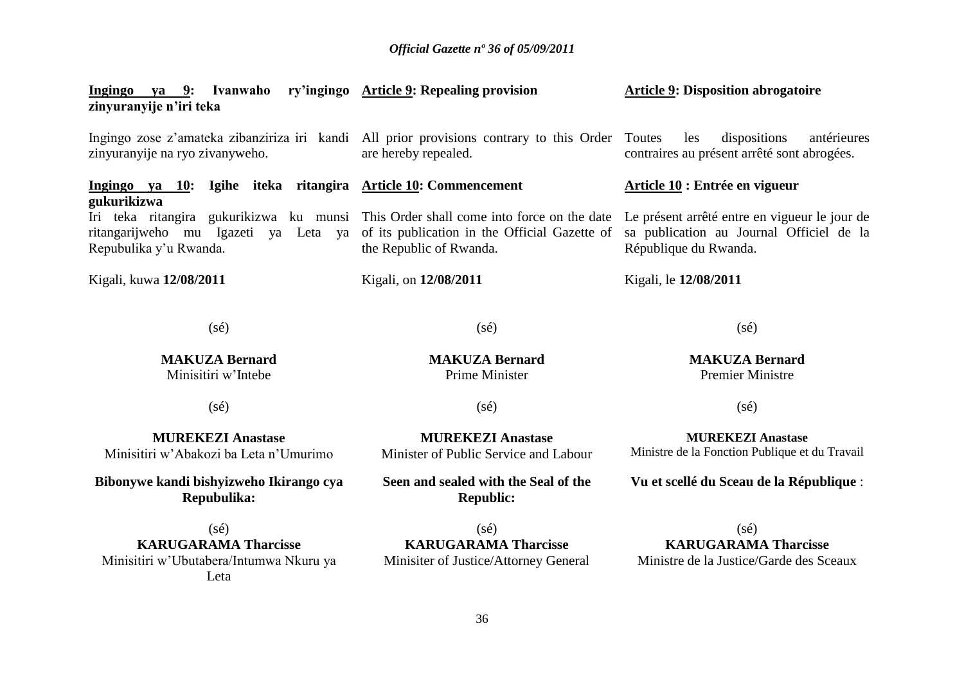| zinyuranyije n'iri teka |  | <u>Ingingo ya 9</u> : Ivanwaho ry'ingingo Article 9: Repealing provision                        |     | <b>Article 9: Disposition abrogatoire</b> |         |
|-------------------------|--|-------------------------------------------------------------------------------------------------|-----|-------------------------------------------|---------|
|                         |  | Ingingo zose z'amateka zibanziriza iri kandi All prior provisions contrary to this Order Toutes | les | dispositions                              | antérie |

are hereby repealed.

the Republic of Rwanda.

Kigali, on **12/08/2011**

les dispositions antérieures contraires au présent arrêté sont abrogées.

#### **Article 10 : Entrée en vigueur**

Le présent arrêté entre en vigueur le jour de sa publication au Journal Officiel de la République du Rwanda.

Kigali, le **12/08/2011**

(sé)

**Ingingo ya 10: Igihe iteka ritangira Article 10: Commencement** 

Iri teka ritangira gukurikizwa ku munsi This Order shall come into force on the date ritangarijweho mu Igazeti ya Leta ya of its publication in the Official Gazette of

zinyuranyije na ryo zivanyweho.

Repubulika y"u Rwanda.

Kigali, kuwa **12/08/2011**

**gukurikizwa**

**MAKUZA Bernard** Minisitiri w"Intebe

(sé)

**MUREKEZI Anastase** Minisitiri w"Abakozi ba Leta n"Umurimo

**Bibonywe kandi bishyizweho Ikirango cya Repubulika:**

(sé) **KARUGARAMA Tharcisse** Minisitiri w"Ubutabera/Intumwa Nkuru ya Leta

 $(s\acute{e})$ 

**MAKUZA Bernard** Prime Minister

 $(s\acute{e})$ 

**MUREKEZI Anastase** Minister of Public Service and Labour

**Seen and sealed with the Seal of the Republic:**

(sé) **KARUGARAMA Tharcisse** Minisiter of Justice/Attorney General Ministre de la Fonction Publique et du Travail

**Vu et scellé du Sceau de la République** :

(sé) **KARUGARAMA Tharcisse** Ministre de la Justice/Garde des Sceaux

**MAKUZA Bernard** Premier Ministre

 $(s\acute{e})$ 

**MUREKEZI Anastase**

 $(s\acute{e})$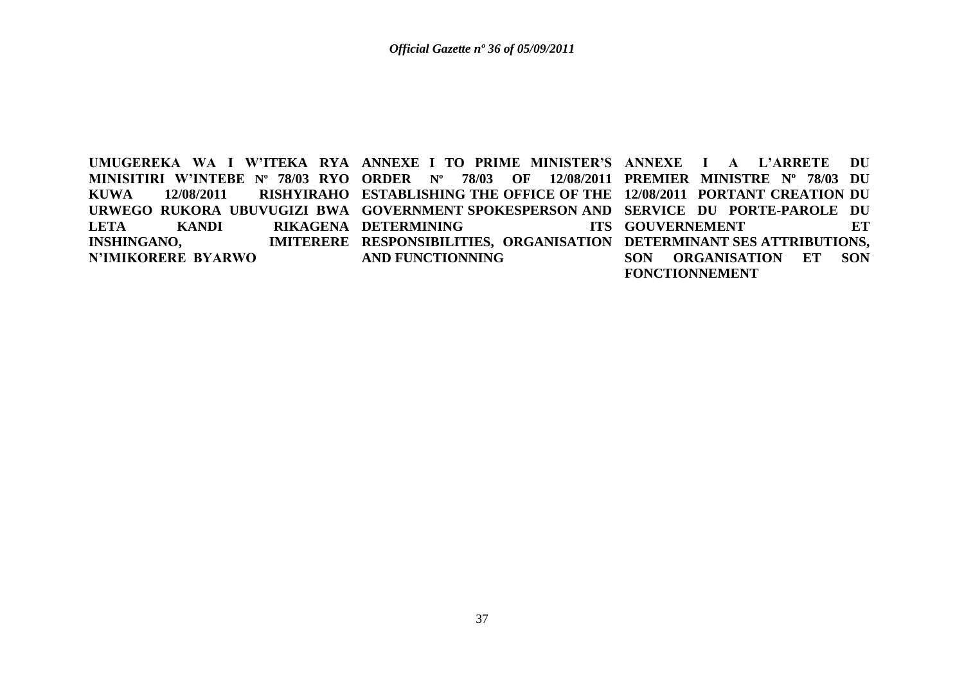UMUGEREKA WA I W'ITEKA RYA ANNEXE I TO PRIME MINISTER'S ANNEXE I A L'ARRETE DU **MINISITIRI W'INTEBE Nº 78/03 RYO ORDER Nº 78/03 OF 12/08/2011 PREMIER MINISTRE Nº 78/03 DU KUWA 12/08/2011 RISHYIRAHO ESTABLISHING THE OFFICE OF THE 12/08/2011 PORTANT CREATION DU URWEGO RUKORA UBUVUGIZI BWA GOVERNMENT SPOKESPERSON AND SERVICE DU PORTE-PAROLE DU LETA KANDI RIKAGENA DETERMINING ITS INSHINGANO, N'IMIKORERE BYARWO RESPONSIBILITIES, ORGANISATION DETERMINANT SES ATTRIBUTIONS, AND FUNCTIONNING** ITS GOUVERNEMENT ET **SON ORGANISATION ET SON FONCTIONNEMENT**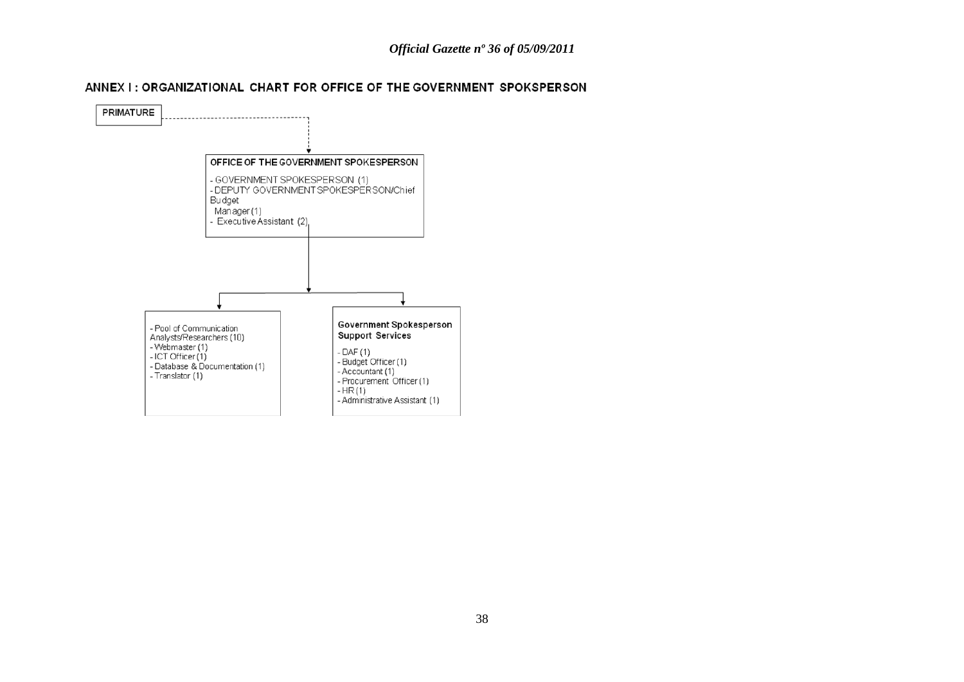### ANNEX I: ORGANIZATIONAL CHART FOR OFFICE OF THE GOVERNMENT SPOKSPERSON

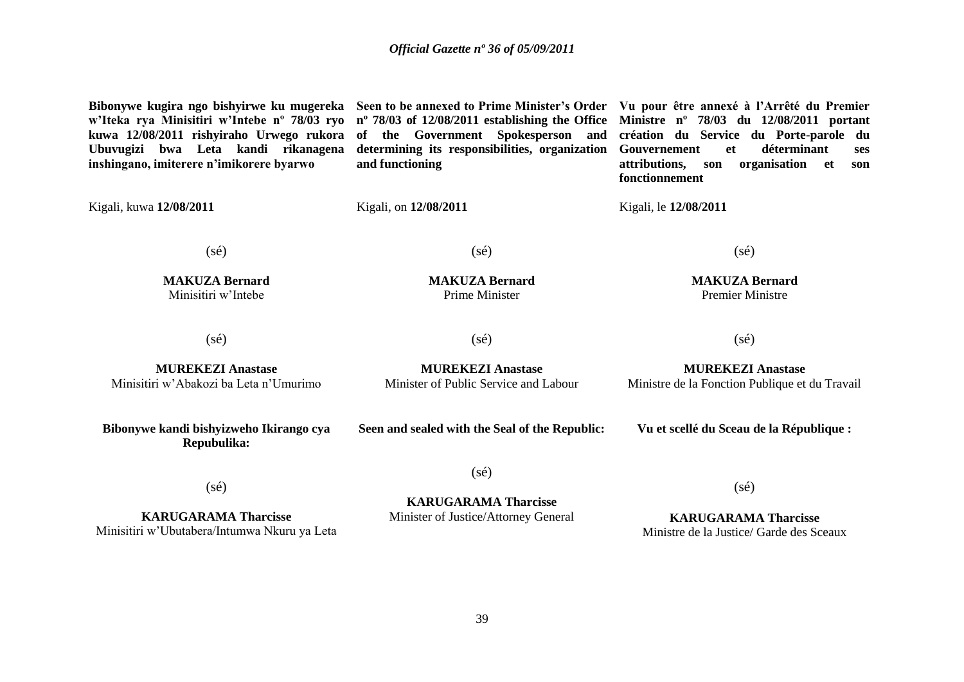**Bibonywe kugira ngo bishyirwe ku mugereka Seen to be annexed to Prime Minister's Order Vu pour être annexé à l'Arrêté du Premier w'Iteka rya Minisitiri w'Intebe nº 78/03 ryo nº 78/03 of 12/08/2011 establishing the Office kuwa 12/08/2011 rishyiraho Urwego rukora of the Government Spokesperson and Ubuvugizi bwa Leta kandi rikanagena inshingano, imiterere n'imikorere byarwo determining its responsibilities, organization Gouvernement et déterminant ses and functioning Ministre nº 78/03 du 12/08/2011 portant création du Service du Porte-parole du attributions, son organisation et son fonctionnement** Kigali, kuwa **12/08/2011**  $(s\acute{e})$ **MAKUZA Bernard** Minisitiri w"Intebe Kigali, on **12/08/2011**  $(s\acute{e})$ **MAKUZA Bernard** Prime Minister Kigali, le **12/08/2011** (sé) **MAKUZA Bernard** Premier Ministre (sé) **MUREKEZI Anastase** Minisitiri w"Abakozi ba Leta n"Umurimo  $(s\acute{e})$ **MUREKEZI Anastase** Minister of Public Service and Labour  $(sé)$ **MUREKEZI Anastase** Ministre de la Fonction Publique et du Travail **Bibonywe kandi bishyizweho Ikirango cya Repubulika:** (sé) **Seen and sealed with the Seal of the Republic:**  $(sé)$ **KARUGARAMA Tharcisse Vu et scellé du Sceau de la République :** (sé)

**KARUGARAMA Tharcisse** Minisitiri w"Ubutabera/Intumwa Nkuru ya Leta Minister of Justice/Attorney General

**KARUGARAMA Tharcisse** Ministre de la Justice/ Garde des Sceaux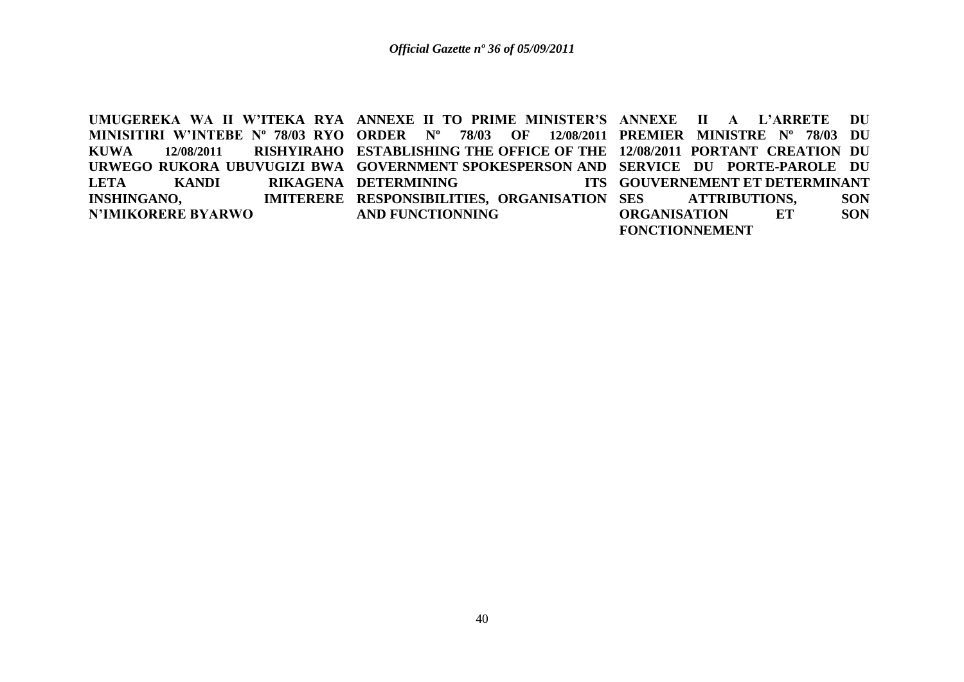UMUGEREKA WA II W'ITEKA RYA ANNEXE II TO PRIME MINISTER'S ANNEXE II A L'ARRETE DU **MINISITIRI W'INTEBE Nº 78/03 RYO ORDER Nº 78/03 OF 12/08/2011 PREMIER MINISTRE Nº 78/03 DU KUWA 12/08/2011 RISHYIRAHO ESTABLISHING THE OFFICE OF THE 12/08/2011 PORTANT CREATION DU URWEGO RUKORA UBUVUGIZI BWA GOVERNMENT SPOKESPERSON AND SERVICE DU PORTE-PAROLE DU LETA KANDI RIKAGENA DETERMINING ITS INSHINGANO, N'IMIKORERE BYARWO IMITERERE RESPONSIBILITIES, ORGANISATION SES AND FUNCTIONNING GOUVERNEMENT ET DETERMINANT**  ATTRIBUTIONS, SON **ORGANISATION ET SON FONCTIONNEMENT**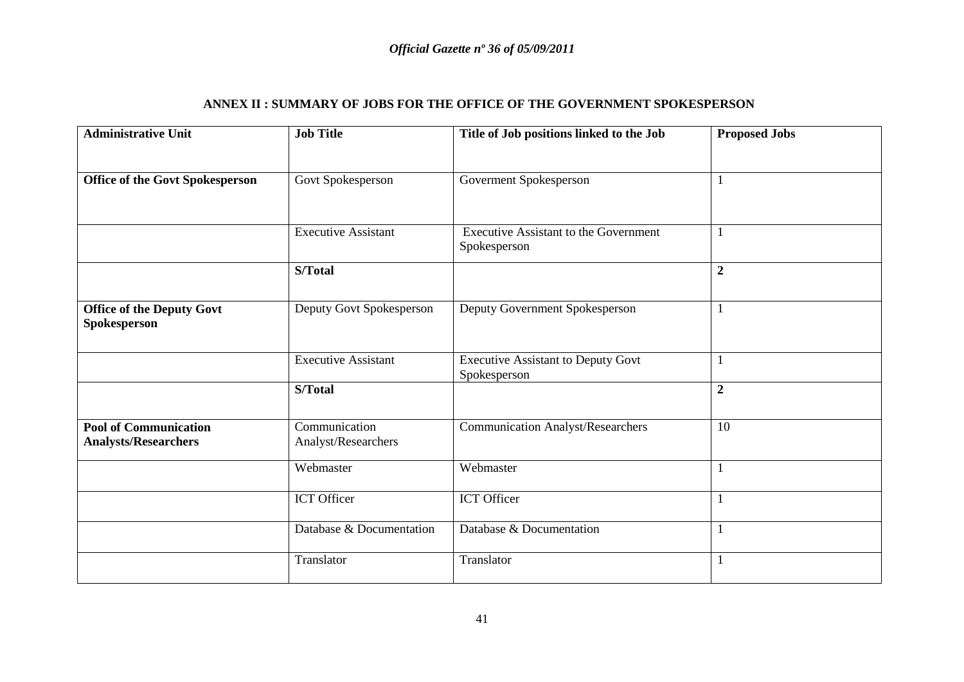# **ANNEX II : SUMMARY OF JOBS FOR THE OFFICE OF THE GOVERNMENT SPOKESPERSON**

| <b>Administrative Unit</b>                                  | <b>Job Title</b>                     | Title of Job positions linked to the Job                     | <b>Proposed Jobs</b> |
|-------------------------------------------------------------|--------------------------------------|--------------------------------------------------------------|----------------------|
|                                                             |                                      |                                                              |                      |
| <b>Office of the Govt Spokesperson</b>                      | Govt Spokesperson                    | Governent Spokesperson                                       | $\mathbf{1}$         |
|                                                             |                                      |                                                              |                      |
|                                                             | <b>Executive Assistant</b>           | <b>Executive Assistant to the Government</b><br>Spokesperson | $\mathbf{1}$         |
|                                                             | S/Total                              |                                                              | $\boldsymbol{2}$     |
| <b>Office of the Deputy Govt</b><br>Spokesperson            | Deputy Govt Spokesperson             | Deputy Government Spokesperson                               | $\mathbf{1}$         |
|                                                             | <b>Executive Assistant</b>           | <b>Executive Assistant to Deputy Govt</b><br>Spokesperson    | $\mathbf{1}$         |
|                                                             | S/Total                              |                                                              | $\overline{2}$       |
| <b>Pool of Communication</b><br><b>Analysts/Researchers</b> | Communication<br>Analyst/Researchers | <b>Communication Analyst/Researchers</b>                     | 10                   |
|                                                             | Webmaster                            | Webmaster                                                    | $\mathbf{1}$         |
|                                                             | ICT Officer                          | ICT Officer                                                  | $\mathbf{1}$         |
|                                                             | Database & Documentation             | Database & Documentation                                     | $\mathbf{1}$         |
|                                                             | Translator                           | Translator                                                   | $\mathbf{1}$         |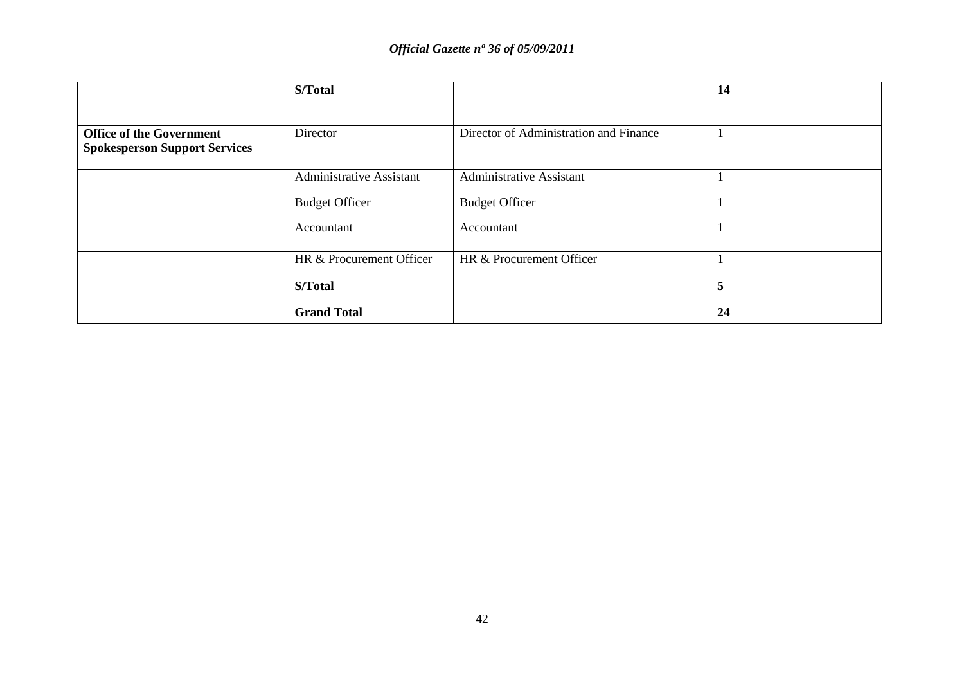|                                                                         | S/Total                  |                                        | 14           |
|-------------------------------------------------------------------------|--------------------------|----------------------------------------|--------------|
|                                                                         |                          |                                        |              |
| <b>Office of the Government</b><br><b>Spokesperson Support Services</b> | Director                 | Director of Administration and Finance |              |
|                                                                         | Administrative Assistant | <b>Administrative Assistant</b>        | $\mathbf{I}$ |
|                                                                         | <b>Budget Officer</b>    | <b>Budget Officer</b>                  | $\mathbf{I}$ |
|                                                                         | Accountant               | Accountant                             |              |
|                                                                         | HR & Procurement Officer | HR & Procurement Officer               |              |
|                                                                         | S/Total                  |                                        | 5            |
|                                                                         | <b>Grand Total</b>       |                                        | 24           |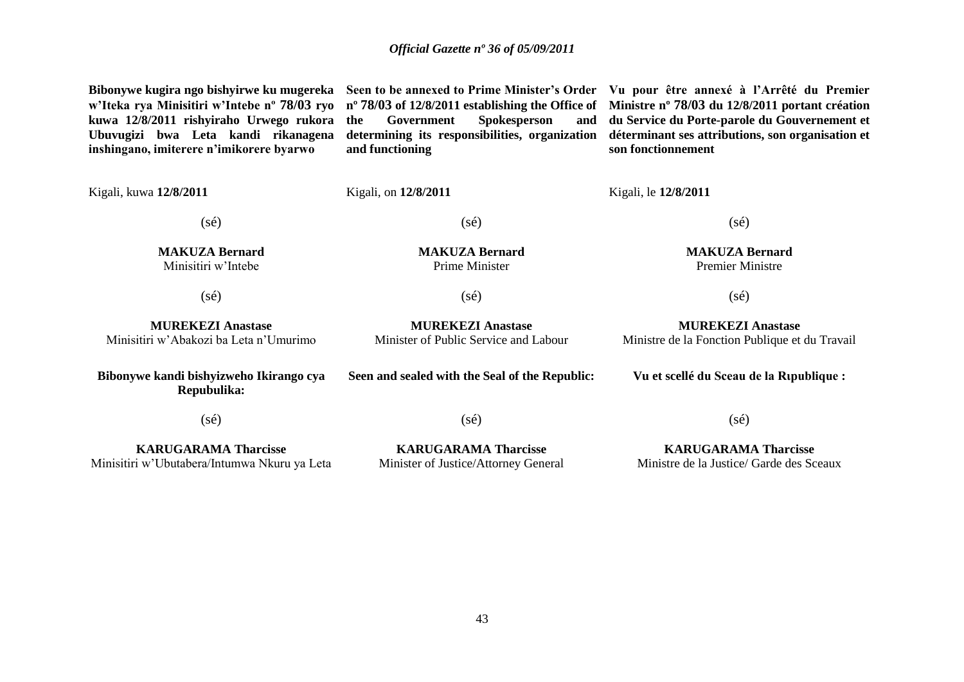**Bibonywe kugira ngo bishyirwe ku mugereka w'Iteka rya Minisitiri w'Intebe nº 78/03 ryo kuwa 12/8/2011 rishyiraho Urwego rukora Ubuvugizi bwa Leta kandi rikanagena inshingano, imiterere n'imikorere byarwo**

**the Government Spokesperson and and functioning**

**Seen to be annexed to Prime Minister's Order Vu pour être annexé à l'Arrêté du Premier nº 78/03 of 12/8/2011 establishing the Office of Ministre nº 78/03 du 12/8/2011 portant création determining its responsibilities, organization déterminant ses attributions, son organisation et du Service du Porte-parole du Gouvernement et son fonctionnement**

Kigali, kuwa **12/8/2011** (sé) **MAKUZA Bernard** Minisitiri w"Intebe Kigali, on **12/8/2011**  $(sé)$ **MAKUZA Bernard** Prime Minister Kigali, le **12/8/2011** (sé) **MAKUZA Bernard** Premier Ministre (sé) **MUREKEZI Anastase** Minisitiri w"Abakozi ba Leta n"Umurimo  $(s\acute{e})$ **MUREKEZI Anastase** Minister of Public Service and Labour  $(s\acute{e})$ **MUREKEZI Anastase** Ministre de la Fonction Publique et du Travail **Bibonywe kandi bishyizweho Ikirango cya Repubulika:**  $(s\acute{e})$ **KARUGARAMA Tharcisse** Minisitiri w"Ubutabera/Intumwa Nkuru ya Leta **Seen and sealed with the Seal of the Republic:** (sé) **KARUGARAMA Tharcisse** Minister of Justice/Attorney General **Vu et scellé du Sceau de la Rιpublique :**  $(s\acute{e})$ **KARUGARAMA Tharcisse** Ministre de la Justice/ Garde des Sceaux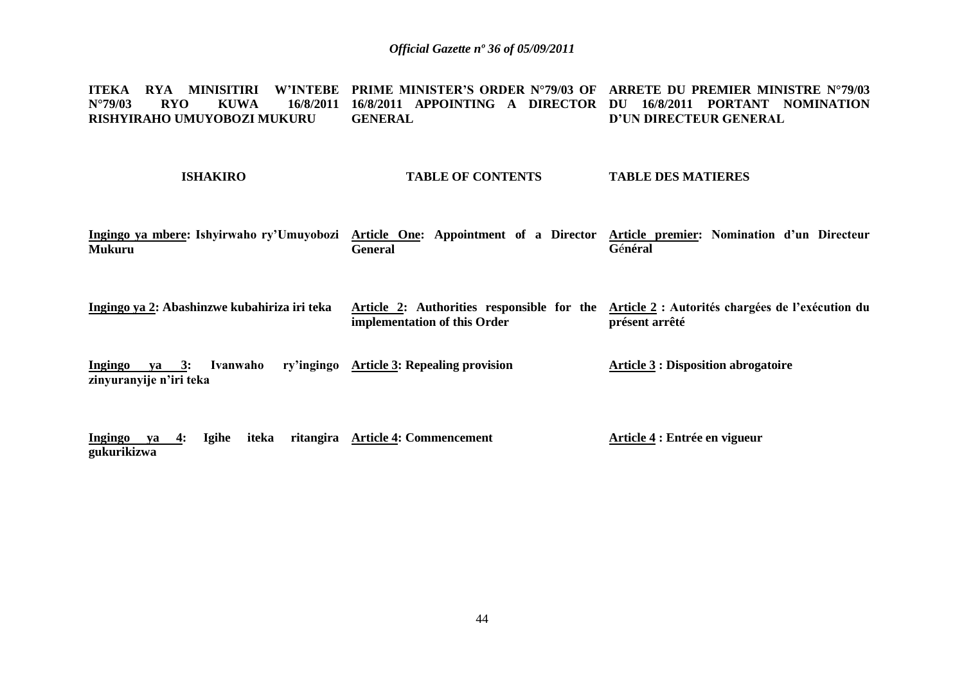**ITEKA RYA MINISITIRI W'INTEBE PRIME MINISTER'S ORDER N°79/03 OF ARRETE DU PREMIER MINISTRE N°79/03 N°79/03 RYO KUWA 16/8/2011 16/8/2011 APPOINTING A DIRECTOR DU 16/8/2011 PORTANT NOMINATION RISHYIRAHO UMUYOBOZI MUKURU GENERAL D'UN DIRECTEUR GENERAL** 

#### **ISHAKIRO**

### **TABLE OF CONTENTS**

**TABLE DES MATIERES**

- **Ingingo ya mbere: Ishyirwaho ry'Umuyobozi Article One: Appointment of a Director Article premier: Nomination d'un Directeur Mukuru General G**é**néral**
- **Ingingo ya 2: Abashinzwe kubahiriza iri teka Article 2: Authorities responsible for the Article 2 : Autorités chargées de l'exécution du implementation of this Order présent arrêté**
- **Ingingo va 3: Ivanwaho zinyuranyije n'iri teka Article 3: Repealing provision Article 3 : Disposition abrogatoire**
- **Ingingo ya 4: Igihe iteka ritangira Article 4: Commencement gukurikizwa Article 4 : Entrée en vigueur**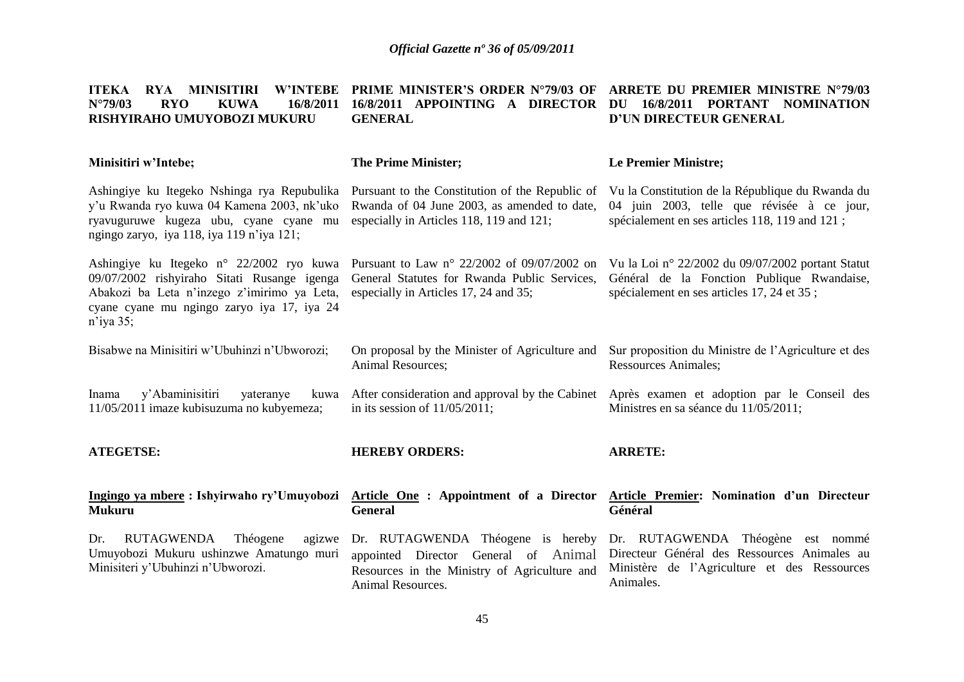| <b>W'INTEBE</b><br>MINISITIRI<br><b>ITEKA</b><br><b>RYA</b><br>$N^{\circ}79/03$<br><b>RYO</b><br><b>KUWA</b><br>16/8/2011<br>RISHYIRAHO UMUYOBOZI MUKURU                                             | <b>PRIME MINISTER'S ORDER N°79/03 OF</b><br>16/8/2011 APPOINTING<br>A DIRECTOR<br><b>GENERAL</b>                                               | ARRETE DU PREMIER MINISTRE N°79/03<br>16/8/2011 PORTANT NOMINATION<br>DU<br>D'UN DIRECTEUR GENERAL                                               |
|------------------------------------------------------------------------------------------------------------------------------------------------------------------------------------------------------|------------------------------------------------------------------------------------------------------------------------------------------------|--------------------------------------------------------------------------------------------------------------------------------------------------|
| Minisitiri w'Intebe;                                                                                                                                                                                 | <b>The Prime Minister;</b>                                                                                                                     | <b>Le Premier Ministre;</b>                                                                                                                      |
| Ashingiye ku Itegeko Nshinga rya Repubulika<br>y'u Rwanda ryo kuwa 04 Kamena 2003, nk'uko<br>ryavuguruwe kugeza ubu, cyane cyane mu<br>ngingo zaryo, iya 118, iya 119 n'iya 121;                     | Pursuant to the Constitution of the Republic of<br>Rwanda of 04 June 2003, as amended to date,<br>especially in Articles 118, 119 and 121;     | Vu la Constitution de la République du Rwanda du<br>04 juin 2003, telle que révisée à ce jour,<br>spécialement en ses articles 118, 119 and 121; |
| Ashingiye ku Itegeko n° 22/2002 ryo kuwa<br>09/07/2002 rishyiraho Sitati Rusange igenga<br>Abakozi ba Leta n'inzego z'imirimo ya Leta,<br>cyane cyane mu ngingo zaryo iya 17, iya 24<br>$n$ 'iya 35; | Pursuant to Law n° 22/2002 of 09/07/2002 on<br>General Statutes for Rwanda Public Services,<br>especially in Articles 17, 24 and 35;           | Vu la Loi nº 22/2002 du 09/07/2002 portant Statut<br>Général de la Fonction Publique Rwandaise,<br>spécialement en ses articles 17, 24 et 35;    |
| Bisabwe na Minisitiri w'Ubuhinzi n'Ubworozi;                                                                                                                                                         | On proposal by the Minister of Agriculture and<br><b>Animal Resources;</b>                                                                     | Sur proposition du Ministre de l'Agriculture et des<br><b>Ressources Animales;</b>                                                               |
| y'Abaminisitiri<br>Inama<br>yateranye<br>kuwa<br>11/05/2011 imaze kubisuzuma no kubyemeza;                                                                                                           | After consideration and approval by the Cabinet<br>in its session of $11/05/2011$ ;                                                            | Après examen et adoption par le Conseil des<br>Ministres en sa séance du 11/05/2011;                                                             |
| <b>ATEGETSE:</b>                                                                                                                                                                                     | <b>HEREBY ORDERS:</b>                                                                                                                          | <b>ARRETE:</b>                                                                                                                                   |
| Ingingo ya mbere: Ishyirwaho ry'Umuyobozi<br><b>Mukuru</b>                                                                                                                                           | Article One: Appointment of a Director<br><b>General</b>                                                                                       | Article Premier: Nomination d'un Directeur<br>Général                                                                                            |
| <b>RUTAGWENDA</b><br>Dr.<br>Théogene<br>agizwe<br>Umuyobozi Mukuru ushinzwe Amatungo muri<br>Minisiteri y'Ubuhinzi n'Ubworozi.                                                                       | Dr. RUTAGWENDA Théogene is hereby<br>appointed Director General of Animal<br>Resources in the Ministry of Agriculture and<br>Animal Resources. | Dr. RUTAGWENDA Théogène est nommé<br>Directeur Général des Ressources Animales au<br>Ministère de l'Agriculture et des Ressources<br>Animales.   |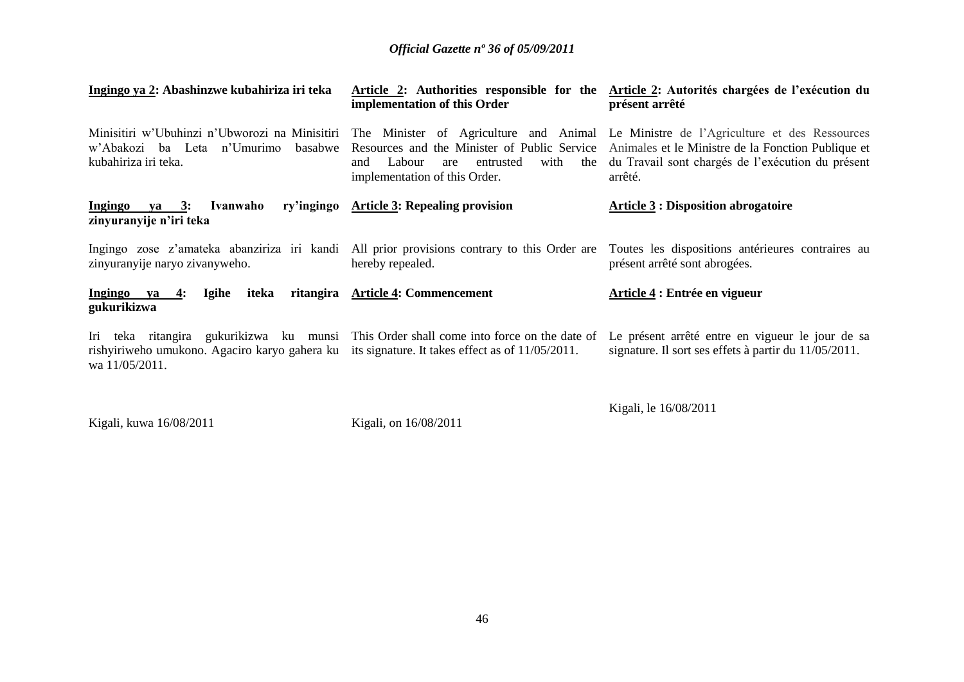| Ingingo ya 2: Abashinzwe kubahiriza iri teka                                                                                                                                                                | implementation of this Order                                               | Article 2: Authorities responsible for the Article 2: Autorités chargées de l'exécution du<br>présent arrêté                                                                                                                                                 |
|-------------------------------------------------------------------------------------------------------------------------------------------------------------------------------------------------------------|----------------------------------------------------------------------------|--------------------------------------------------------------------------------------------------------------------------------------------------------------------------------------------------------------------------------------------------------------|
| Minisitiri w'Ubuhinzi n'Ubworozi na Minisitiri<br>w'Abakozi ba Leta n'Umurimo<br>basabwe<br>kubahiriza iri teka.                                                                                            | Labour<br>with<br>entrusted<br>and<br>are<br>implementation of this Order. | The Minister of Agriculture and Animal Le Ministre de l'Agriculture et des Ressources<br>Resources and the Minister of Public Service Animales et le Ministre de la Fonction Publique et<br>the du Travail sont chargés de l'exécution du présent<br>arrêté. |
| Ivanwaho<br>Ingingo<br>ya 3:<br>zinyuranyije n'iri teka                                                                                                                                                     | ry'ingingo Article 3: Repealing provision                                  | <b>Article 3: Disposition abrogatoire</b>                                                                                                                                                                                                                    |
| Ingingo zose z'amateka abanziriza iri kandi. All prior provisions contrary to this Order are<br>zinyuranyije naryo zivanyweho.                                                                              | hereby repealed.                                                           | Toutes les dispositions antérieures contraires au<br>présent arrêté sont abrogées.                                                                                                                                                                           |
| iteka<br>Ingingo ya<br><b>Igihe</b><br>4:<br>gukurikizwa                                                                                                                                                    | ritangira Article 4: Commencement                                          | Article 4 : Entrée en vigueur                                                                                                                                                                                                                                |
| Iri teka ritangira gukurikizwa ku munsi This Order shall come into force on the date of<br>rishyiriweho umukono. Agaciro karyo gahera ku its signature. It takes effect as of 11/05/2011.<br>wa 11/05/2011. |                                                                            | Le présent arrêté entre en vigueur le jour de sa<br>signature. Il sort ses effets à partir du 11/05/2011.                                                                                                                                                    |

Kigali, kuwa 16/08/2011

Kigali, on 16/08/2011

Kigali, le 16/08/2011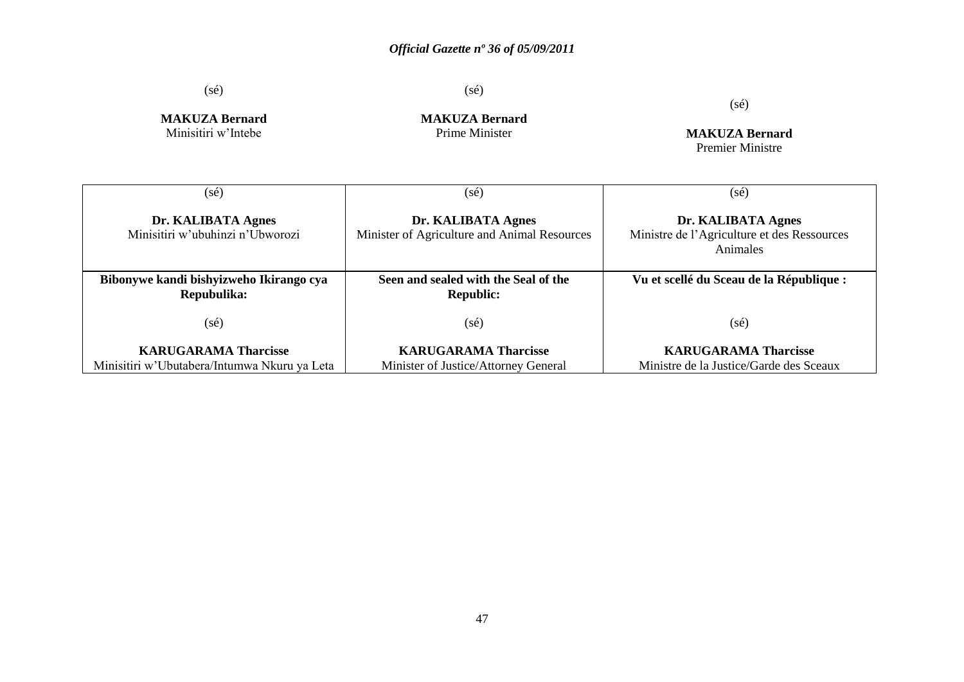(sé)

(sé)

(sé)

**MAKUZA Bernard** Minisitiri w"Intebe

**MAKUZA Bernard** Prime Minister

**MAKUZA Bernard** Premier Ministre

| (sé)                                                                        | (sé)                                                                | (sé)                                                                          |
|-----------------------------------------------------------------------------|---------------------------------------------------------------------|-------------------------------------------------------------------------------|
| Dr. KALIBATA Agnes<br>Minisitiri w'ubuhinzi n'Ubworozi                      | Dr. KALIBATA Agnes<br>Minister of Agriculture and Animal Resources  | Dr. KALIBATA Agnes<br>Ministre de l'Agriculture et des Ressources<br>Animales |
| Bibonywe kandi bishyizweho Ikirango cya<br>Repubulika:                      | Seen and sealed with the Seal of the<br><b>Republic:</b>            | Vu et scellé du Sceau de la République :                                      |
| $(s\acute{e})$                                                              | (sé)                                                                | $(s\acute{e})$                                                                |
| <b>KARUGARAMA Tharcisse</b><br>Minisitiri w'Ubutabera/Intumwa Nkuru ya Leta | <b>KARUGARAMA Tharcisse</b><br>Minister of Justice/Attorney General | <b>KARUGARAMA Tharcisse</b><br>Ministre de la Justice/Garde des Sceaux        |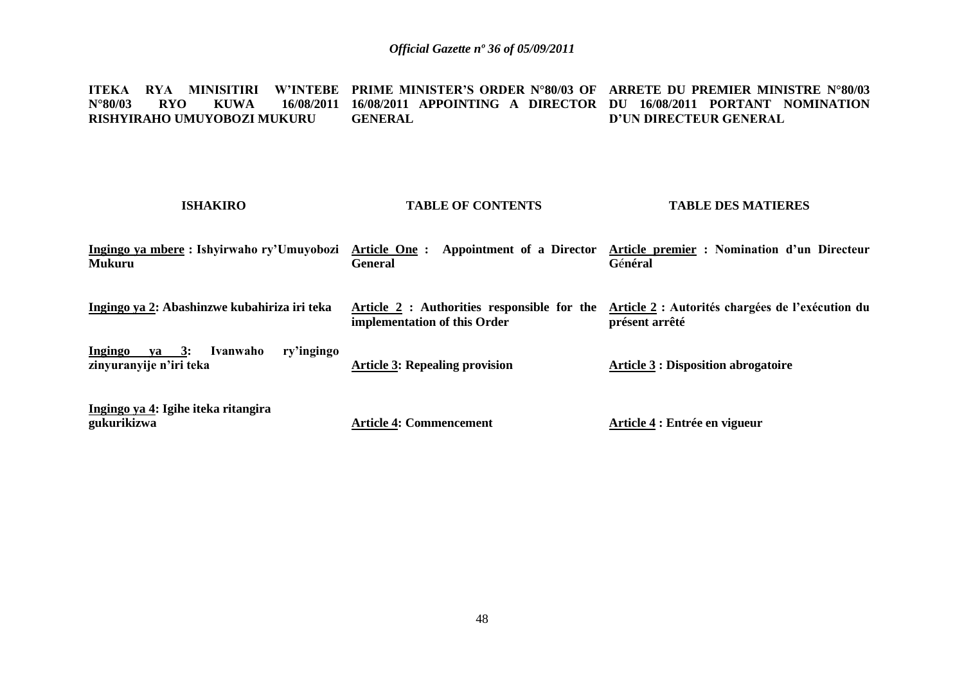**ITEKA RYA MINISITIRI W'INTEBE PRIME MINISTER'S ORDER N°80/03 OF ARRETE DU PREMIER MINISTRE N°80/03 N°80/03 RYO KUWA 16/08/2011 16/08/2011 APPOINTING A DIRECTOR DU 16/08/2011 PORTANT NOMINATION RISHYIRAHO UMUYOBOZI MUKURU GENERAL D'UN DIRECTEUR GENERAL** 

| <b>ISHAKIRO</b>                                                               | <b>TABLE OF CONTENTS</b>                                                    | <b>TABLE DES MATIERES</b>                                          |
|-------------------------------------------------------------------------------|-----------------------------------------------------------------------------|--------------------------------------------------------------------|
| Ingingo ya mbere : Ishyirwaho ry'Umuyobozi<br><b>Mukuru</b>                   | Appointment of a Director<br>Article One:<br><b>General</b>                 | Article premier : Nomination d'un Directeur<br>Général             |
| Ingingo ya 2: Abashinzwe kubahiriza iri teka                                  | Article 2 : Authorities responsible for the<br>implementation of this Order | Article 2 : Autorités chargées de l'exécution du<br>présent arrêté |
| ry'ingingo<br>$ya \quad 3:$<br>Ingingo<br>Ivanwaho<br>zinyuranyije n'iri teka | <b>Article 3: Repealing provision</b>                                       | <b>Article 3 : Disposition abrogatoire</b>                         |
| Ingingo ya 4: Igihe iteka ritangira<br>gukurikizwa                            | <b>Article 4: Commencement</b>                                              | Article 4 : Entrée en vigueur                                      |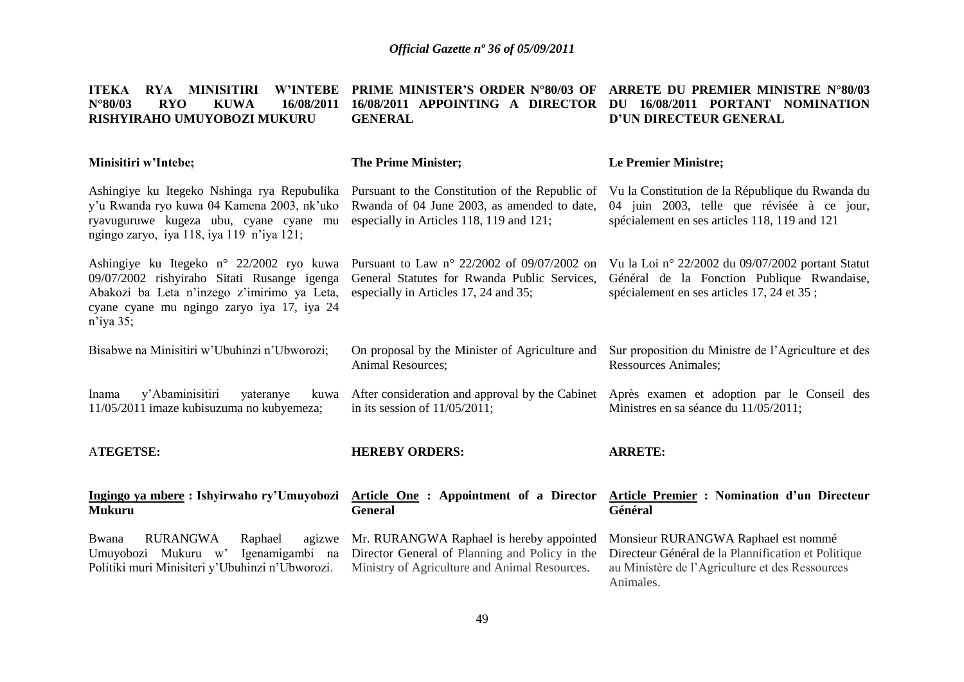| RYA MINISITIRI<br><b>W'INTEBE</b><br><b>ITEKA</b><br>$N^{\circ}80/03$<br><b>RYO</b><br><b>KUWA</b><br>16/08/2011<br>RISHYIRAHO UMUYOBOZI MUKURU                                                                  | <b>PRIME MINISTER'S ORDER N°80/03 OF</b><br>16/08/2011 APPOINTING A DIRECTOR<br><b>GENERAL</b>                                              | ARRETE DU PREMIER MINISTRE N°80/03<br>16/08/2011 PORTANT NOMINATION<br>DU<br>D'UN DIRECTEUR GENERAL                                                        |
|------------------------------------------------------------------------------------------------------------------------------------------------------------------------------------------------------------------|---------------------------------------------------------------------------------------------------------------------------------------------|------------------------------------------------------------------------------------------------------------------------------------------------------------|
| Minisitiri w'Intebe;                                                                                                                                                                                             | <b>The Prime Minister;</b>                                                                                                                  | <b>Le Premier Ministre;</b>                                                                                                                                |
| Ashingiye ku Itegeko Nshinga rya Repubulika<br>y'u Rwanda ryo kuwa 04 Kamena 2003, nk'uko<br>ryavuguruwe kugeza ubu, cyane cyane mu<br>ngingo zaryo, iya 118, iya 119 n'iya 121;                                 | Pursuant to the Constitution of the Republic of<br>Rwanda of 04 June 2003, as amended to date,<br>especially in Articles 118, 119 and 121;  | Vu la Constitution de la République du Rwanda du<br>04 juin 2003, telle que révisée à ce jour,<br>spécialement en ses articles 118, 119 and 121            |
| Ashingiye ku Itegeko n° 22/2002 ryo kuwa<br>09/07/2002 rishyiraho Sitati Rusange igenga<br>Abakozi ba Leta n'inzego z'imirimo ya Leta,<br>cyane cyane mu ngingo zaryo iya 17, iya 24<br>$n$ <sup>'</sup> iya 35; | Pursuant to Law n° 22/2002 of 09/07/2002 on<br>General Statutes for Rwanda Public Services,<br>especially in Articles 17, 24 and 35;        | Vu la Loi nº 22/2002 du 09/07/2002 portant Statut<br>Général de la Fonction Publique Rwandaise,<br>spécialement en ses articles 17, 24 et 35;              |
| Bisabwe na Minisitiri w'Ubuhinzi n'Ubworozi;                                                                                                                                                                     | On proposal by the Minister of Agriculture and<br>Animal Resources;                                                                         | Sur proposition du Ministre de l'Agriculture et des<br><b>Ressources Animales;</b>                                                                         |
| y'Abaminisitiri<br>Inama<br>yateranye<br>kuwa<br>11/05/2011 imaze kubisuzuma no kubyemeza;                                                                                                                       | After consideration and approval by the Cabinet<br>in its session of $11/05/2011$ ;                                                         | Après examen et adoption par le Conseil des<br>Ministres en sa séance du 11/05/2011;                                                                       |
| <b>ATEGETSE:</b>                                                                                                                                                                                                 | <b>HEREBY ORDERS:</b>                                                                                                                       | <b>ARRETE:</b>                                                                                                                                             |
| Ingingo ya mbere: Ishyirwaho ry'Umuyobozi<br><b>Mukuru</b>                                                                                                                                                       | Article One: Appointment of a Director<br><b>General</b>                                                                                    | <b>Article Premier : Nomination d'un Directeur</b><br>Général                                                                                              |
| <b>RURANGWA</b><br>Bwana<br>Raphael<br>agizwe<br>Umuyobozi Mukuru w'<br>Igenamigambi na<br>Politiki muri Minisiteri y'Ubuhinzi n'Ubworozi.                                                                       | Mr. RURANGWA Raphael is hereby appointed<br>Director General of Planning and Policy in the<br>Ministry of Agriculture and Animal Resources. | Monsieur RURANGWA Raphael est nommé<br>Directeur Général de la Plannification et Politique<br>au Ministère de l'Agriculture et des Ressources<br>Animales. |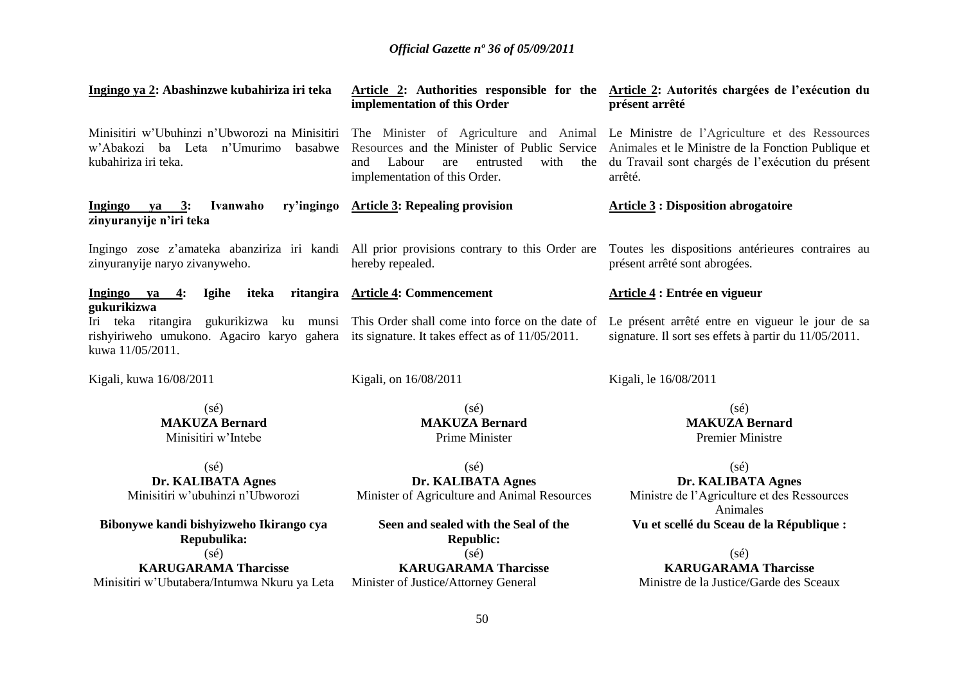| Ingingo ya 2: Abashinzwe kubahiriza iri teka                                                                                                                                                               | implementation of this Order                                                      | Article 2: Authorities responsible for the Article 2: Autorités chargées de l'exécution du<br>présent arrêté                                                                                                                                             |
|------------------------------------------------------------------------------------------------------------------------------------------------------------------------------------------------------------|-----------------------------------------------------------------------------------|----------------------------------------------------------------------------------------------------------------------------------------------------------------------------------------------------------------------------------------------------------|
| Minisitiri w'Ubuhinzi n'Ubworozi na Minisitiri<br>w'Abakozi ba Leta n'Umurimo<br>basabwe<br>kubahiriza iri teka.                                                                                           | Labour<br>with<br>and<br>are<br>entrusted<br>the<br>implementation of this Order. | The Minister of Agriculture and Animal Le Ministre de l'Agriculture et des Ressources<br>Resources and the Minister of Public Service Animales et le Ministre de la Fonction Publique et<br>du Travail sont chargés de l'exécution du présent<br>arrêté. |
| ry'ingingo<br>Ingingo<br>ya 3:<br>Ivanwaho<br>zinyuranyije n'iri teka                                                                                                                                      | <b>Article 3: Repealing provision</b>                                             | <b>Article 3: Disposition abrogatoire</b>                                                                                                                                                                                                                |
| Ingingo zose z'amateka abanziriza iri kandi All prior provisions contrary to this Order are<br>zinyuranyije naryo zivanyweho.                                                                              | hereby repealed.                                                                  | Toutes les dispositions antérieures contraires au<br>présent arrêté sont abrogées.                                                                                                                                                                       |
| Ingingo ya 4:<br><b>Igihe</b><br>iteka<br>gukurikizwa                                                                                                                                                      | ritangira Article 4: Commencement                                                 | <b>Article 4: Entrée en vigueur</b>                                                                                                                                                                                                                      |
| Iri teka ritangira gukurikizwa ku munsi This Order shall come into force on the date of<br>rishyiriweho umukono. Agaciro karyo gahera its signature. It takes effect as of 11/05/2011.<br>kuwa 11/05/2011. |                                                                                   | Le présent arrêté entre en vigueur le jour de sa<br>signature. Il sort ses effets à partir du 11/05/2011.                                                                                                                                                |
| Kigali, kuwa 16/08/2011                                                                                                                                                                                    | Kigali, on 16/08/2011                                                             | Kigali, le 16/08/2011                                                                                                                                                                                                                                    |
| $(s\acute{e})$<br><b>MAKUZA Bernard</b><br>Minisitiri w'Intebe                                                                                                                                             | $(s\acute{e})$<br><b>MAKUZA Bernard</b><br>Prime Minister                         | $(s\acute{e})$<br><b>MAKUZA Bernard</b><br><b>Premier Ministre</b>                                                                                                                                                                                       |
| $(s\acute{e})$                                                                                                                                                                                             | $(s\acute{e})$                                                                    | $(s\acute{e})$                                                                                                                                                                                                                                           |
| Dr. KALIBATA Agnes<br>Minisitiri w'ubuhinzi n'Ubworozi                                                                                                                                                     | Dr. KALIBATA Agnes<br>Minister of Agriculture and Animal Resources                | Dr. KALIBATA Agnes<br>Ministre de l'Agriculture et des Ressources<br>Animales                                                                                                                                                                            |
| Bibonywe kandi bishyizweho Ikirango cya<br>Repubulika:                                                                                                                                                     | Seen and sealed with the Seal of the<br><b>Republic:</b>                          | Vu et scellé du Sceau de la République :                                                                                                                                                                                                                 |
| $(s\acute{e})$                                                                                                                                                                                             | $(s\acute{e})$                                                                    | $(s\acute{e})$                                                                                                                                                                                                                                           |
| <b>KARUGARAMA Tharcisse</b><br>Minisitiri w'Ubutabera/Intumwa Nkuru ya Leta                                                                                                                                | <b>KARUGARAMA Tharcisse</b><br>Minister of Justice/Attorney General               | <b>KARUGARAMA Tharcisse</b><br>Ministre de la Justice/Garde des Sceaux                                                                                                                                                                                   |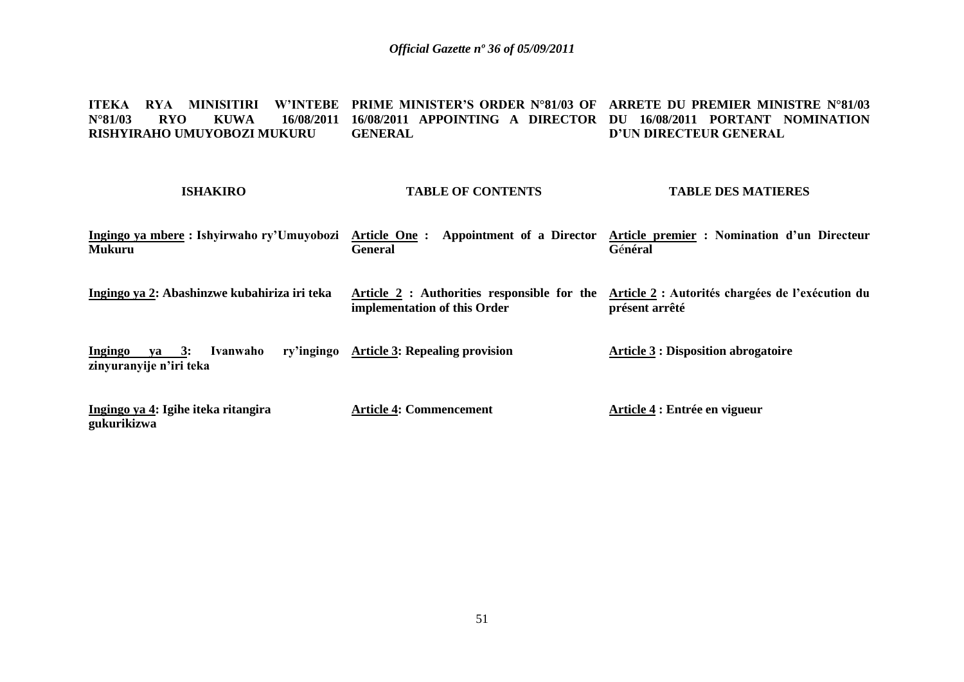**ITEKA RYA MINISITIRI W'INTEBE PRIME MINISTER'S ORDER N°81/03 OF ARRETE DU PREMIER MINISTRE N°81/03 N°81/03 RYO KUWA 16/08/2011 16/08/2011 APPOINTING A DIRECTOR DU 16/08/2011 PORTANT NOMINATION RISHYIRAHO UMUYOBOZI MUKURU GENERAL D'UN DIRECTEUR GENERAL** 

| <b>ISHAKIRO</b>                                                     | <b>TABLE OF CONTENTS</b>                                                    | <b>TABLE DES MATIERES</b>                                          |
|---------------------------------------------------------------------|-----------------------------------------------------------------------------|--------------------------------------------------------------------|
| Ingingo ya mbere: Ishyirwaho ry'Umuyobozi<br><b>Mukuru</b>          | Article One:<br>Appointment of a Director<br><b>General</b>                 | Article premier : Nomination d'un Directeur<br>Général             |
| Ingingo ya 2: Abashinzwe kubahiriza iri teka                        | Article 2 : Authorities responsible for the<br>implementation of this Order | Article 2 : Autorités chargées de l'exécution du<br>présent arrêté |
| <b>Ingingo</b><br>$va = 3$ :<br>Ivanwaho<br>zinyuranyije n'iri teka | ry'ingingo Article 3: Repealing provision                                   | <b>Article 3 : Disposition abrogatoire</b>                         |
| Ingingo ya 4: Igihe iteka ritangira<br>gukurikizwa                  | <b>Article 4: Commencement</b>                                              | Article 4 : Entrée en vigueur                                      |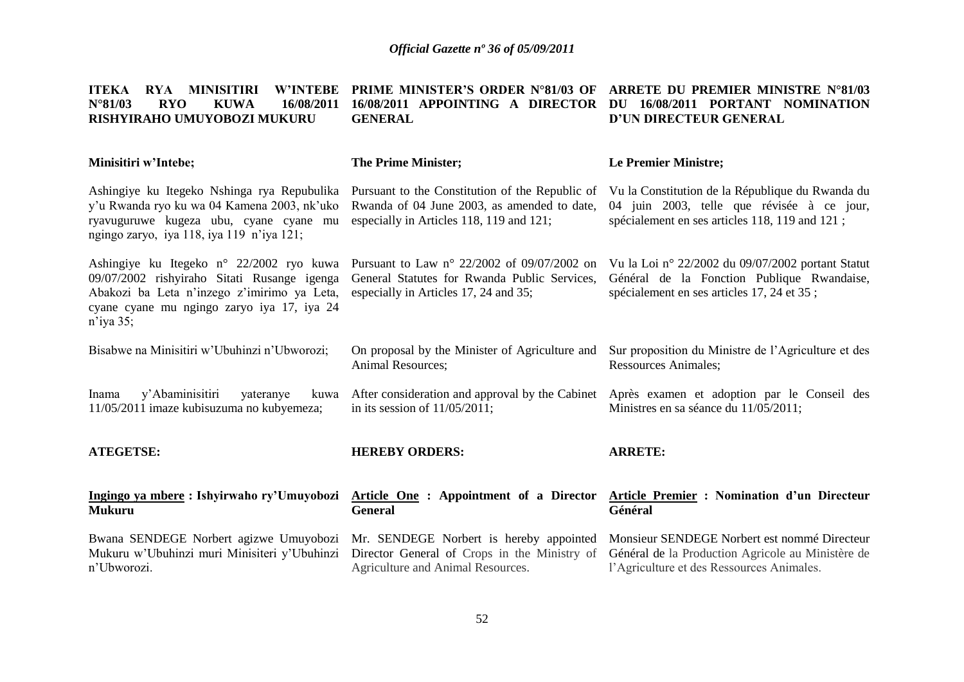| <b>RYA MINISITIRI</b><br><b>W'INTEBE</b><br><b>ITEKA</b><br>$N^{\circ}81/03$<br><b>RYO</b><br><b>KUWA</b><br>16/08/2011<br>RISHYIRAHO UMUYOBOZI MUKURU                                               | <b>PRIME MINISTER'S ORDER N°81/03 OF</b><br>16/08/2011 APPOINTING A DIRECTOR<br><b>GENERAL</b>                                                | ARRETE DU PREMIER MINISTRE N°81/03<br>16/08/2011 PORTANT NOMINATION<br>DU<br>D'UN DIRECTEUR GENERAL                                              |
|------------------------------------------------------------------------------------------------------------------------------------------------------------------------------------------------------|-----------------------------------------------------------------------------------------------------------------------------------------------|--------------------------------------------------------------------------------------------------------------------------------------------------|
| Minisitiri w'Intebe;                                                                                                                                                                                 | <b>The Prime Minister;</b>                                                                                                                    | <b>Le Premier Ministre;</b>                                                                                                                      |
| Ashingiye ku Itegeko Nshinga rya Repubulika<br>y'u Rwanda ryo ku wa 04 Kamena 2003, nk'uko<br>ryavuguruwe kugeza ubu, cyane cyane mu<br>ngingo zaryo, iya 118, iya 119 n'iya 121;                    | Pursuant to the Constitution of the Republic of<br>Rwanda of 04 June 2003, as amended to date,<br>especially in Articles 118, 119 and 121;    | Vu la Constitution de la République du Rwanda du<br>04 juin 2003, telle que révisée à ce jour,<br>spécialement en ses articles 118, 119 and 121; |
| Ashingiye ku Itegeko n° 22/2002 ryo kuwa<br>09/07/2002 rishyiraho Sitati Rusange igenga<br>Abakozi ba Leta n'inzego z'imirimo ya Leta,<br>cyane cyane mu ngingo zaryo iya 17, iya 24<br>$n$ 'iya 35; | Pursuant to Law $n^{\circ}$ 22/2002 of 09/07/2002 on<br>General Statutes for Rwanda Public Services,<br>especially in Articles 17, 24 and 35; | Vu la Loi nº 22/2002 du 09/07/2002 portant Statut<br>Général de la Fonction Publique Rwandaise,<br>spécialement en ses articles 17, 24 et 35;    |
| Bisabwe na Minisitiri w'Ubuhinzi n'Ubworozi;                                                                                                                                                         | On proposal by the Minister of Agriculture and<br>Animal Resources;                                                                           | Sur proposition du Ministre de l'Agriculture et des<br><b>Ressources Animales;</b>                                                               |
| y'Abaminisitiri<br>Inama<br>yateranye<br>kuwa<br>11/05/2011 imaze kubisuzuma no kubyemeza;                                                                                                           | After consideration and approval by the Cabinet<br>in its session of $11/05/2011$ ;                                                           | Après examen et adoption par le Conseil des<br>Ministres en sa séance du 11/05/2011;                                                             |
| <b>ATEGETSE:</b>                                                                                                                                                                                     | <b>HEREBY ORDERS:</b>                                                                                                                         | <b>ARRETE:</b>                                                                                                                                   |
| Ingingo ya mbere: Ishyirwaho ry'Umuyobozi<br><b>Mukuru</b>                                                                                                                                           | <b>Article One : Appointment of a Director</b><br><b>General</b>                                                                              | Article Premier : Nomination d'un Directeur<br>Général                                                                                           |
| Bwana SENDEGE Norbert agizwe Umuyobozi<br>Mukuru w'Ubuhinzi muri Minisiteri y'Ubuhinzi<br>n'Ubworozi.                                                                                                | Mr. SENDEGE Norbert is hereby appointed<br>Director General of Crops in the Ministry of<br>Agriculture and Animal Resources.                  | Monsieur SENDEGE Norbert est nommé Directeur<br>Général de la Production Agricole au Ministère de<br>l'Agriculture et des Ressources Animales.   |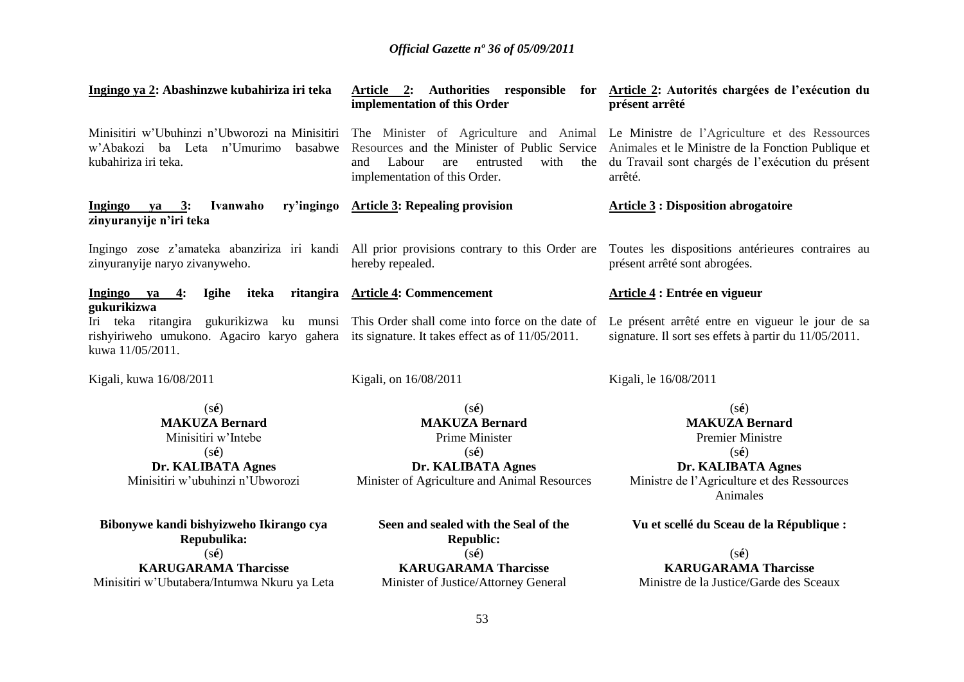| Ingingo ya 2: Abashinzwe kubahiriza iri teka                                                                                                                                                               | implementation of this Order                                                                                                                      | Article 2: Authorities responsible for Article 2: Autorités chargées de l'exécution du<br>présent arrêté                                                              |
|------------------------------------------------------------------------------------------------------------------------------------------------------------------------------------------------------------|---------------------------------------------------------------------------------------------------------------------------------------------------|-----------------------------------------------------------------------------------------------------------------------------------------------------------------------|
| Minisitiri w'Ubuhinzi n'Ubworozi na Minisitiri The Minister of Agriculture and Animal<br>w'Abakozi ba Leta n'Umurimo<br>basabwe<br>kubahiriza iri teka.                                                    | Resources and the Minister of Public Service<br>with<br>and<br>Labour<br>entrusted<br>the<br>are<br>implementation of this Order.                 | Le Ministre de l'Agriculture et des Ressources<br>Animales et le Ministre de la Fonction Publique et<br>du Travail sont chargés de l'exécution du présent<br>arrêté.  |
| ry'ingingo<br>Ingingo ya 3:<br>Ivanwaho<br>zinyuranyije n'iri teka                                                                                                                                         | <b>Article 3: Repealing provision</b>                                                                                                             | <b>Article 3 : Disposition abrogatoire</b>                                                                                                                            |
| Ingingo zose z'amateka abanziriza iri kandi All prior provisions contrary to this Order are<br>zinyuranyije naryo zivanyweho.                                                                              | hereby repealed.                                                                                                                                  | Toutes les dispositions antérieures contraires au<br>présent arrêté sont abrogées.                                                                                    |
| Ingingo ya 4:<br><b>Igihe</b><br>iteka<br>gukurikizwa                                                                                                                                                      | ritangira Article 4: Commencement                                                                                                                 | Article 4 : Entrée en vigueur                                                                                                                                         |
| Iri teka ritangira gukurikizwa ku munsi This Order shall come into force on the date of<br>rishyiriweho umukono. Agaciro karyo gahera its signature. It takes effect as of 11/05/2011.<br>kuwa 11/05/2011. |                                                                                                                                                   | Le présent arrêté entre en vigueur le jour de sa<br>signature. Il sort ses effets à partir du 11/05/2011.                                                             |
| Kigali, kuwa 16/08/2011                                                                                                                                                                                    | Kigali, on 16/08/2011                                                                                                                             | Kigali, le 16/08/2011                                                                                                                                                 |
| $(s\acute{e})$<br><b>MAKUZA Bernard</b><br>Minisitiri w'Intebe<br>$(s\acute{e})$<br>Dr. KALIBATA Agnes<br>Minisitiri w'ubuhinzi n'Ubworozi                                                                 | $(s\acute{e})$<br><b>MAKUZA Bernard</b><br>Prime Minister<br>$(s\acute{e})$<br>Dr. KALIBATA Agnes<br>Minister of Agriculture and Animal Resources | $(s\acute{e})$<br><b>MAKUZA Bernard</b><br><b>Premier Ministre</b><br>$(s\acute{e})$<br>Dr. KALIBATA Agnes<br>Ministre de l'Agriculture et des Ressources<br>Animales |
| Bibonywe kandi bishyizweho Ikirango cya<br>Repubulika:<br>$(s\acute{e})$                                                                                                                                   | Seen and sealed with the Seal of the<br><b>Republic:</b><br>$(s\acute{e})$                                                                        | Vu et scellé du Sceau de la République :<br>$(s\acute{e})$                                                                                                            |
| <b>KARUGARAMA Tharcisse</b><br>Minisitiri w'Ubutabera/Intumwa Nkuru ya Leta                                                                                                                                | <b>KARUGARAMA Tharcisse</b><br>Minister of Justice/Attorney General                                                                               | <b>KARUGARAMA Tharcisse</b><br>Ministre de la Justice/Garde des Sceaux                                                                                                |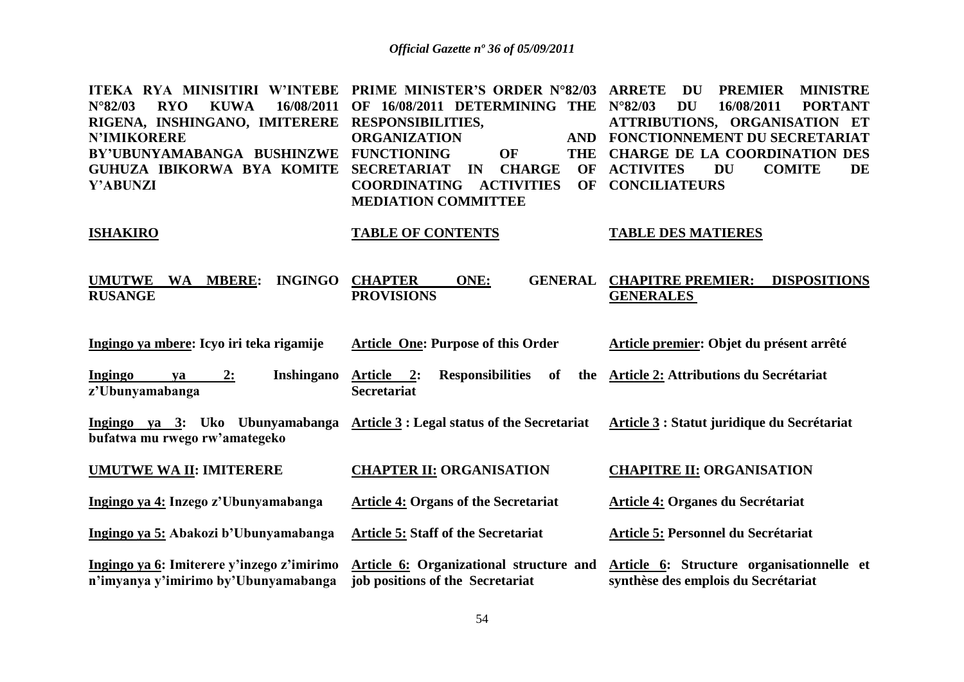| ITEKA RYA MINISITIRI W'INTEBE<br>$N^{\circ}82/03$<br>16/08/2011<br><b>RYO</b><br><b>KUWA</b><br>RIGENA, INSHINGANO, IMITERERE RESPONSIBILITIES,<br><b>N'IMIKORERE</b><br>BY'UBUNYAMABANGA BUSHINZWE<br>GUHUZA IBIKORWA BYA KOMITE<br><b>Y'ABUNZI</b> | <b>PRIME MINISTER'S ORDER N°82/03</b><br>OF 16/08/2011 DETERMINING THE<br><b>ORGANIZATION</b><br><b>AND</b><br><b>FUNCTIONING</b><br><b>OF</b><br><b>THE</b><br><b>SECRETARIAT</b><br><b>CHARGE</b><br>IN<br><b>OF</b><br><b>COORDINATING</b><br><b>OF</b><br><b>ACTIVITIES</b><br><b>MEDIATION COMMITTEE</b> | <b>ARRETE</b><br><b>DU</b><br><b>PREMIER</b><br><b>MINISTRE</b><br>$N^{\circ}82/03$<br><b>DU</b><br>16/08/2011<br><b>PORTANT</b><br>ATTRIBUTIONS, ORGANISATION ET<br>FONCTIONNEMENT DU SECRETARIAT<br><b>CHARGE DE LA COORDINATION DES</b><br><b>ACTIVITES</b><br><b>COMITE</b><br><b>DU</b><br><b>DE</b><br><b>CONCILIATEURS</b> |
|------------------------------------------------------------------------------------------------------------------------------------------------------------------------------------------------------------------------------------------------------|---------------------------------------------------------------------------------------------------------------------------------------------------------------------------------------------------------------------------------------------------------------------------------------------------------------|-----------------------------------------------------------------------------------------------------------------------------------------------------------------------------------------------------------------------------------------------------------------------------------------------------------------------------------|
| <b>ISHAKIRO</b>                                                                                                                                                                                                                                      | <b>TABLE OF CONTENTS</b>                                                                                                                                                                                                                                                                                      | <b>TABLE DES MATIERES</b>                                                                                                                                                                                                                                                                                                         |
| <b>UMUTWE</b><br><b>INGINGO</b><br>WA MBERE:<br><b>RUSANGE</b>                                                                                                                                                                                       | <b>CHAPTER</b><br>ONE:<br><b>GENERAL</b><br><b>PROVISIONS</b>                                                                                                                                                                                                                                                 | <b>CHAPITRE PREMIER:</b><br><b>DISPOSITIONS</b><br><b>GENERALES</b>                                                                                                                                                                                                                                                               |
| Ingingo ya mbere: Icyo iri teka rigamije                                                                                                                                                                                                             | <b>Article One: Purpose of this Order</b>                                                                                                                                                                                                                                                                     | Article premier: Objet du présent arrêté                                                                                                                                                                                                                                                                                          |
| Inshingano<br><b>Ingingo</b><br>2:<br>ya<br>z'Ubunyamabanga                                                                                                                                                                                          | <b>Responsibilities</b><br>Article 2:<br>of<br>the<br><b>Secretariat</b>                                                                                                                                                                                                                                      | Article 2: Attributions du Secrétariat                                                                                                                                                                                                                                                                                            |
| Ingingo ya 3: Uko Ubunyamabanga Article 3 : Legal status of the Secretariat<br>bufatwa mu rwego rw'amategeko                                                                                                                                         |                                                                                                                                                                                                                                                                                                               | Article 3 : Statut juridique du Secrétariat                                                                                                                                                                                                                                                                                       |
| <b>UMUTWE WA II: IMITERERE</b>                                                                                                                                                                                                                       | <b>CHAPTER II: ORGANISATION</b>                                                                                                                                                                                                                                                                               | <b>CHAPITRE II: ORGANISATION</b>                                                                                                                                                                                                                                                                                                  |
| Ingingo ya 4: Inzego z'Ubunyamabanga                                                                                                                                                                                                                 | <b>Article 4: Organs of the Secretariat</b>                                                                                                                                                                                                                                                                   | <b>Article 4: Organes du Secrétariat</b>                                                                                                                                                                                                                                                                                          |
| Ingingo ya 5: Abakozi b'Ubunyamabanga                                                                                                                                                                                                                | <b>Article 5: Staff of the Secretariat</b>                                                                                                                                                                                                                                                                    | Article 5: Personnel du Secrétariat                                                                                                                                                                                                                                                                                               |
| Ingingo ya 6: Imiterere y'inzego z'imirimo<br>n'imyanya y'imirimo by'Ubunyamabanga                                                                                                                                                                   | Article 6: Organizational structure and<br>job positions of the Secretariat                                                                                                                                                                                                                                   | Article 6: Structure organisationnelle et<br>synthèse des emplois du Secrétariat                                                                                                                                                                                                                                                  |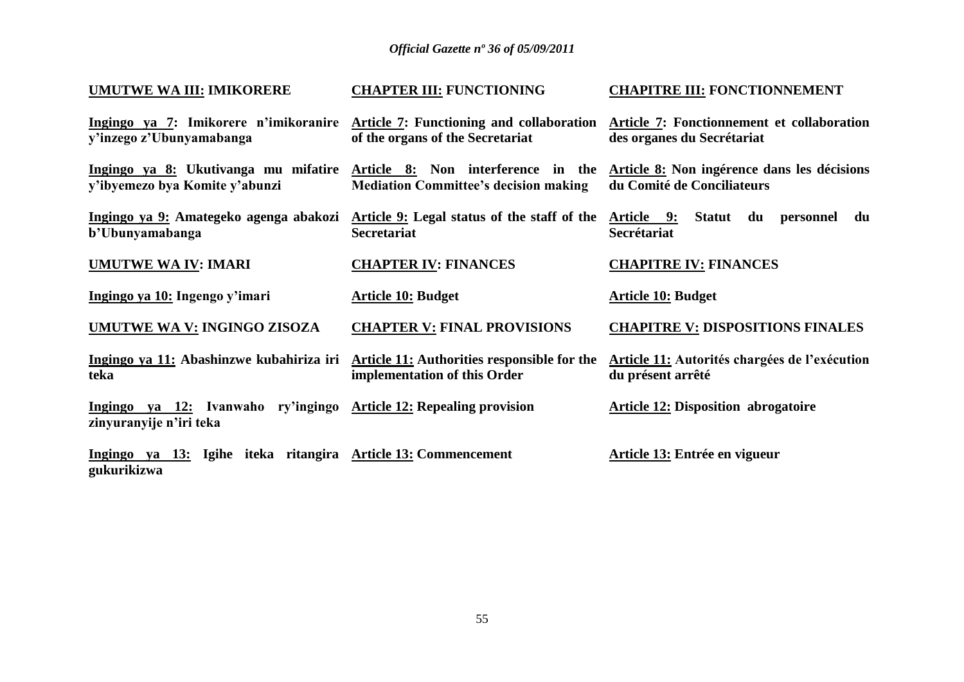| <b>UMUTWE WA III: IMIKORERE</b>                                                                            | <b>CHAPTER III: FUNCTIONING</b>              | <b>CHAPITRE III: FONCTIONNEMENT</b>                                       |
|------------------------------------------------------------------------------------------------------------|----------------------------------------------|---------------------------------------------------------------------------|
| Ingingo ya 7: Imikorere n'imikoranire Article 7: Functioning and collaboration<br>y'inzego z'Ubunyamabanga | of the organs of the Secretariat             | Article 7: Fonctionnement et collaboration<br>des organes du Secrétariat  |
| Ingingo ya 8: Ukutivanga mu mifatire Article 8: Non interference in the<br>y'ibyemezo bya Komite y'abunzi  | <b>Mediation Committee's decision making</b> | Article 8: Non ingérence dans les décisions<br>du Comité de Conciliateurs |
| Ingingo ya 9: Amategeko agenga abakozi Article 9: Legal status of the staff of the<br>b'Ubunyamabanga      | <b>Secretariat</b>                           | <u>Article 9:</u><br>Statut du<br>du<br>personnel<br>Secrétariat          |
| <b>UMUTWE WA IV: IMARI</b>                                                                                 | <b>CHAPTER IV: FINANCES</b>                  | <b>CHAPITRE IV: FINANCES</b>                                              |
| Ingingo ya 10: Ingengo y'imari                                                                             | <b>Article 10: Budget</b>                    | <b>Article 10: Budget</b>                                                 |
| <b>UMUTWE WA V: INGINGO ZISOZA</b>                                                                         | <b>CHAPTER V: FINAL PROVISIONS</b>           | <b>CHAPITRE V: DISPOSITIONS FINALES</b>                                   |
| Ingingo ya 11: Abashinzwe kubahiriza iri Article 11: Authorities responsible for the<br>teka               | implementation of this Order                 | Article 11: Autorités chargées de l'exécution<br>du présent arrêté        |
| Ingingo ya 12: Ivanwaho ry'ingingo Article 12: Repealing provision<br>zinyuranyije n'iri teka              |                                              | <b>Article 12: Disposition abrogatoire</b>                                |
| Ingingo ya 13: Igihe iteka ritangira Article 13: Commencement<br>gukurikizwa                               |                                              | Article 13: Entrée en vigueur                                             |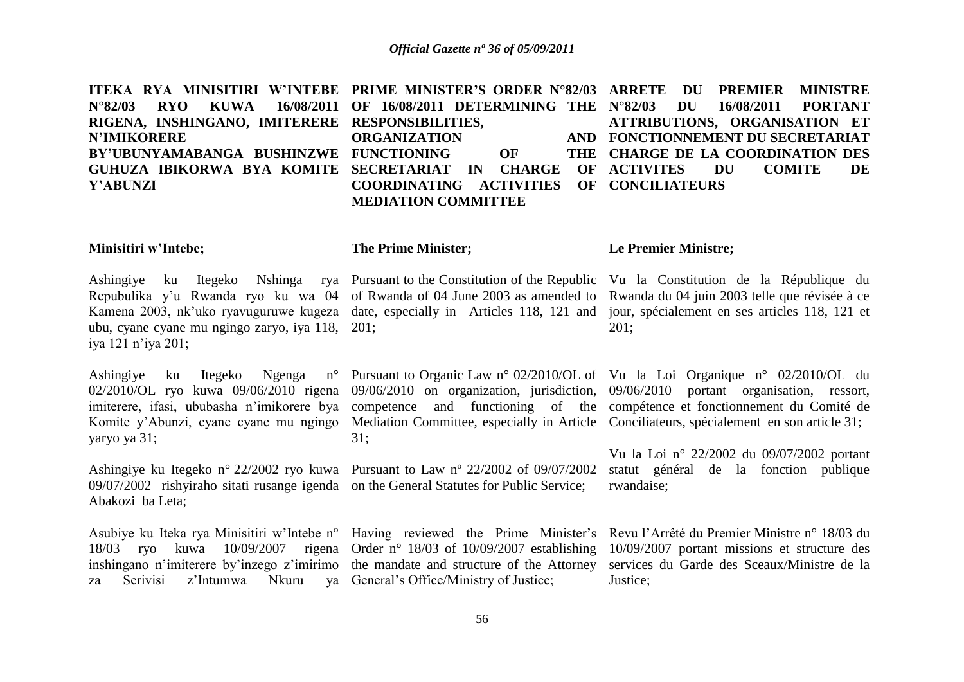| ITEKA RYA MINISITIRI W'INTEBE PRIME MINISTER'S ORDER N°82/03 ARRETE DU PREMIER MINISTRE |                                          |                                   |  |
|-----------------------------------------------------------------------------------------|------------------------------------------|-----------------------------------|--|
| N°82/03 RYO KUWA 16/08/2011 OF 16/08/2011 DETERMINING THE N°82/03 DU 16/08/2011 PORTANT |                                          |                                   |  |
| RIGENA, INSHINGANO, IMITERERE RESPONSIBILITIES,                                         |                                          | ATTRIBUTIONS, ORGANISATION ET     |  |
| <b>N'IMIKORERE</b>                                                                      | <b>ORGANIZATION</b>                      | AND FONCTIONNEMENT DU SECRETARIAT |  |
| BY'UBUNYAMABANGA BUSHINZWE FUNCTIONING OF THE CHARGE DE LA COORDINATION DES             |                                          |                                   |  |
| GUHUZA IBIKORWA BYA KOMITE SECRETARIAT IN CHARGE OF ACTIVITES DU COMITE DE              |                                          |                                   |  |
| <b>Y'ABUNZI</b>                                                                         | COORDINATING ACTIVITIES OF CONCILIATEURS |                                   |  |
|                                                                                         | <b>MEDIATION COMMITTEE</b>               |                                   |  |

#### **Minisitiri w'Intebe;**

#### **The Prime Minister;**

ubu, cyane cyane mu ngingo zaryo, iya 118, 201; iya 121 n"iya 201;

Ashingiye ku Itegeko Ngenga n° Komite y"Abunzi, cyane cyane mu ngingo Mediation Committee, especially in Article Conciliateurs, spécialement en son article 31; yaryo ya 31;

09/07/2002 rishyiraho sitati rusange igenda on the General Statutes for Public Service; Abakozi ba Leta;

18/03 ryo kuwa 10/09/2007 za Serivisi z"Intumwa Nkuru ya General"s Office/Ministry of Justice;

31;

Ashingiye ku Itegeko n° 22/2002 ryo kuwa Pursuant to Law nº 22/2002 of 09/07/2002

#### **Le Premier Ministre;**

Ashingiye ku Itegeko Nshinga rya Pursuant to the Constitution of the Republic Vu la Constitution de la République du Repubulika y'u Rwanda ryo ku wa 04 of Rwanda of 04 June 2003 as amended to Rwanda du 04 juin 2003 telle que révisée à ce Kamena 2003, nk'uko ryavuguruwe kugeza date, especially in Articles 118, 121 and jour, spécialement en ses articles 118, 121 et 201;

02/2010/OL ryo kuwa 09/06/2010 rigena 09/06/2010 on organization, jurisdiction, 09/06/2010 portant organisation, ressort, imiterere, ifasi, ububasha n"imikorere bya competence and functioning of the compétence et fonctionnement du Comité de Pursuant to Organic Law n° 02/2010/OL of Vu la Loi Organique n° 02/2010/OL du

> Vu la Loi n° 22/2002 du 09/07/2002 portant statut général de la fonction publique rwandaise;

Asubiye ku Iteka rya Minisitiri w'Intebe n° Having reviewed the Prime Minister's Revu l'Arrêté du Premier Ministre n° 18/03 du inshingano n'imiterere by'inzego z'imirimo the mandate and structure of the Attorney services du Garde des Sceaux/Ministre de la Order n° 18/03 of 10/09/2007 establishing 10/09/2007 portant missions et structure des Justice;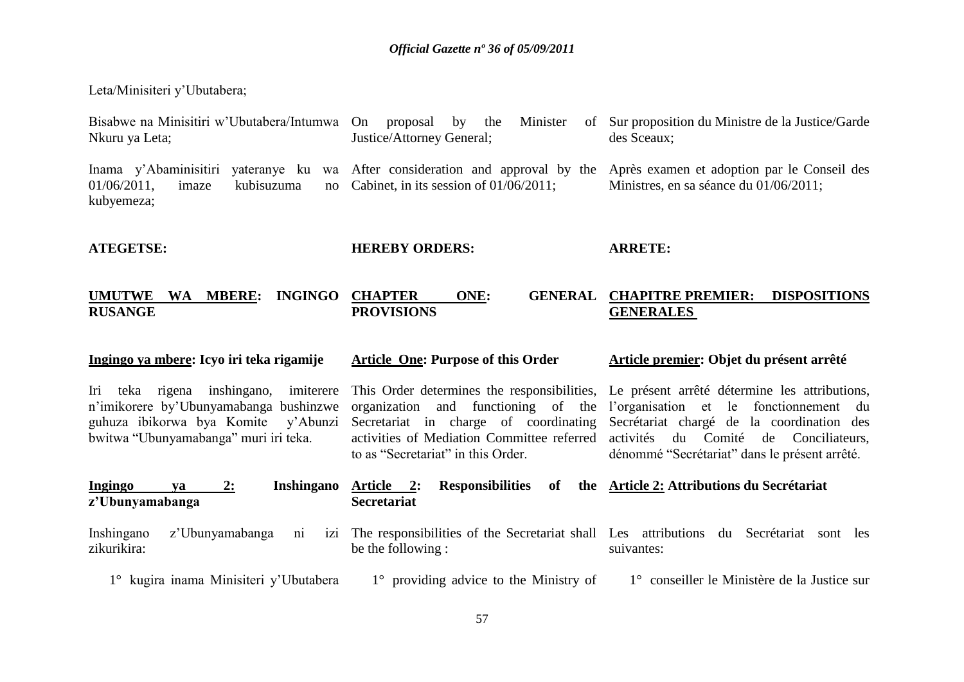Leta/Minisiteri y"Ubutabera;

| Bisabwe na Minisitiri w'Ubutabera/Intumwa On proposal by the<br>Nkuru ya Leta;                                                                                     | Minister<br>of<br>Justice/Attorney General;                                                                                                                      | Sur proposition du Ministre de la Justice/Garde<br>des Sceaux;                                                                                                                                                                                                                |
|--------------------------------------------------------------------------------------------------------------------------------------------------------------------|------------------------------------------------------------------------------------------------------------------------------------------------------------------|-------------------------------------------------------------------------------------------------------------------------------------------------------------------------------------------------------------------------------------------------------------------------------|
| Inama y'Abaminisitiri<br>$01/06/2011$ ,<br>imaze<br>kubisuzuma<br>no<br>kubyemeza;                                                                                 | yateranye ku wa After consideration and approval by the<br>Cabinet, in its session of $01/06/2011$ ;                                                             | Après examen et adoption par le Conseil des<br>Ministres, en sa séance du 01/06/2011;                                                                                                                                                                                         |
| <b>ATEGETSE:</b>                                                                                                                                                   | <b>HEREBY ORDERS:</b>                                                                                                                                            | <b>ARRETE:</b>                                                                                                                                                                                                                                                                |
| WA MBERE:<br><b>INGINGO</b><br><b>UMUTWE</b><br><b>RUSANGE</b>                                                                                                     | ONE:<br><b>GENERAL</b><br><b>CHAPTER</b><br><b>PROVISIONS</b>                                                                                                    | <b>CHAPITRE PREMIER:</b><br><b>DISPOSITIONS</b><br><b>GENERALES</b>                                                                                                                                                                                                           |
| Ingingo ya mbere: Icyo iri teka rigamije                                                                                                                           | <b>Article One: Purpose of this Order</b>                                                                                                                        | Article premier: Objet du présent arrêté                                                                                                                                                                                                                                      |
| Iri teka rigena inshingano, imiterere<br>n'imikorere by'Ubunyamabanga bushinzwe<br>guhuza ibikorwa bya Komite<br>y'Abunzi<br>bwitwa "Ubunyamabanga" muri iri teka. | organization and functioning of the<br>Secretariat in charge of coordinating<br>activities of Mediation Committee referred<br>to as "Secretariat" in this Order. | This Order determines the responsibilities, Le présent arrêté détermine les attributions,<br>l'organisation et le fonctionnement du<br>Secrétariat chargé de la coordination des<br>activités<br>du Comité de Conciliateurs,<br>dénommé "Secrétariat" dans le présent arrêté. |
| Ingingo<br>2:<br><b>Inshingano</b><br>ya<br>z'Ubunyamabanga                                                                                                        | Article 2:<br><b>Responsibilities</b><br><b>Secretariat</b>                                                                                                      | of the Article 2: Attributions du Secrétariat                                                                                                                                                                                                                                 |
| Inshingano<br>z'Ubunyamabanga<br>$\overline{ni}$<br>1Z1<br>zikurikira:                                                                                             | The responsibilities of the Secretariat shall Les attributions<br>be the following :                                                                             | du Secrétariat sont les<br>suivantes:                                                                                                                                                                                                                                         |
| 1° kugira inama Minisiteri y'Ubutabera                                                                                                                             | $1^\circ$ providing advice to the Ministry of                                                                                                                    | 1° conseiller le Ministère de la Justice sur                                                                                                                                                                                                                                  |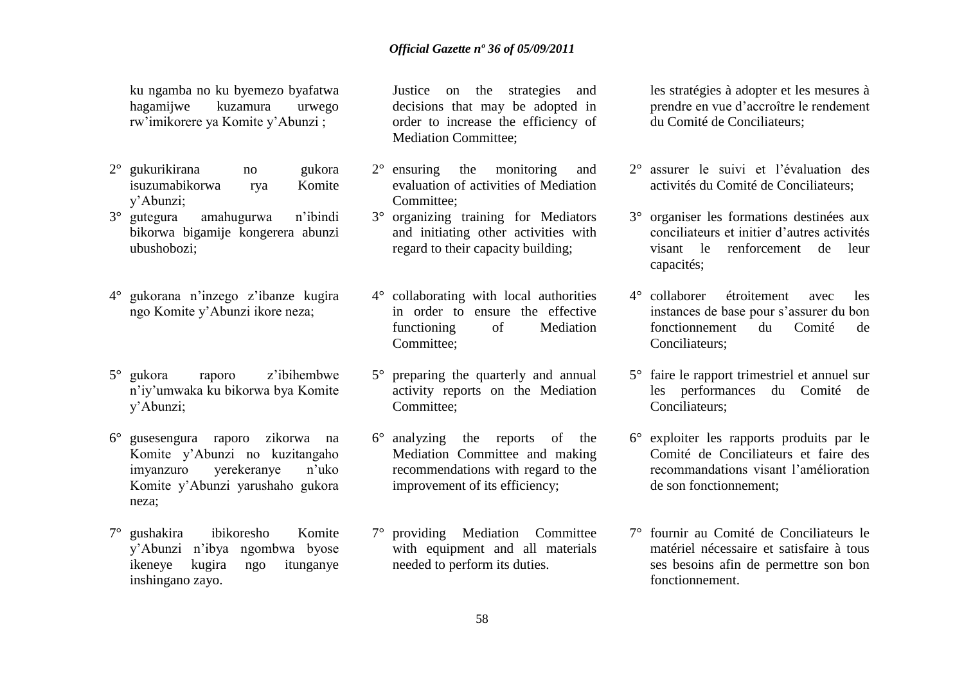ku ngamba no ku byemezo byafatwa hagamijwe kuzamura urwego rw"imikorere ya Komite y"Abunzi ;

- 2° gukurikirana no gukora isuzumabikorwa rya Komite y"Abunzi;
- 3° gutegura amahugurwa n"ibindi bikorwa bigamije kongerera abunzi ubushobozi;
- 4° gukorana n"inzego z"ibanze kugira ngo Komite y"Abunzi ikore neza;
- 5° gukora raporo z"ibihembwe n"iy"umwaka ku bikorwa bya Komite y"Abunzi;
- 6° gusesengura raporo zikorwa na Komite y"Abunzi no kuzitangaho imyanzuro yerekeranye n"uko Komite y"Abunzi yarushaho gukora neza;
- 7° gushakira ibikoresho Komite y"Abunzi n"ibya ngombwa byose ikeneye kugira ngo itunganye inshingano zayo.

Justice on the strategies and decisions that may be adopted in order to increase the efficiency of Mediation Committee;

- 2° ensuring the monitoring and evaluation of activities of Mediation Committee;
- 3° organizing training for Mediators and initiating other activities with regard to their capacity building;
- 4° collaborating with local authorities in order to ensure the effective functioning of Mediation Committee;
- 5° preparing the quarterly and annual activity reports on the Mediation Committee;
- 6° analyzing the reports of the Mediation Committee and making recommendations with regard to the improvement of its efficiency;
- 7° providing Mediation Committee with equipment and all materials needed to perform its duties.

les stratégies à adopter et les mesures à prendre en vue d"accroître le rendement du Comité de Conciliateurs;

- 2° assurer le suivi et l"évaluation des activités du Comité de Conciliateurs;
- 3° organiser les formations destinées aux conciliateurs et initier d"autres activités visant le renforcement de leur capacités;
- 4° collaborer étroitement avec les instances de base pour s"assurer du bon fonctionnement du Comité de Conciliateurs;
- 5° faire le rapport trimestriel et annuel sur les performances du Comité de Conciliateurs;
- 6° exploiter les rapports produits par le Comité de Conciliateurs et faire des recommandations visant l"amélioration de son fonctionnement;
- 7° fournir au Comité de Conciliateurs le matériel nécessaire et satisfaire à tous ses besoins afin de permettre son bon fonctionnement.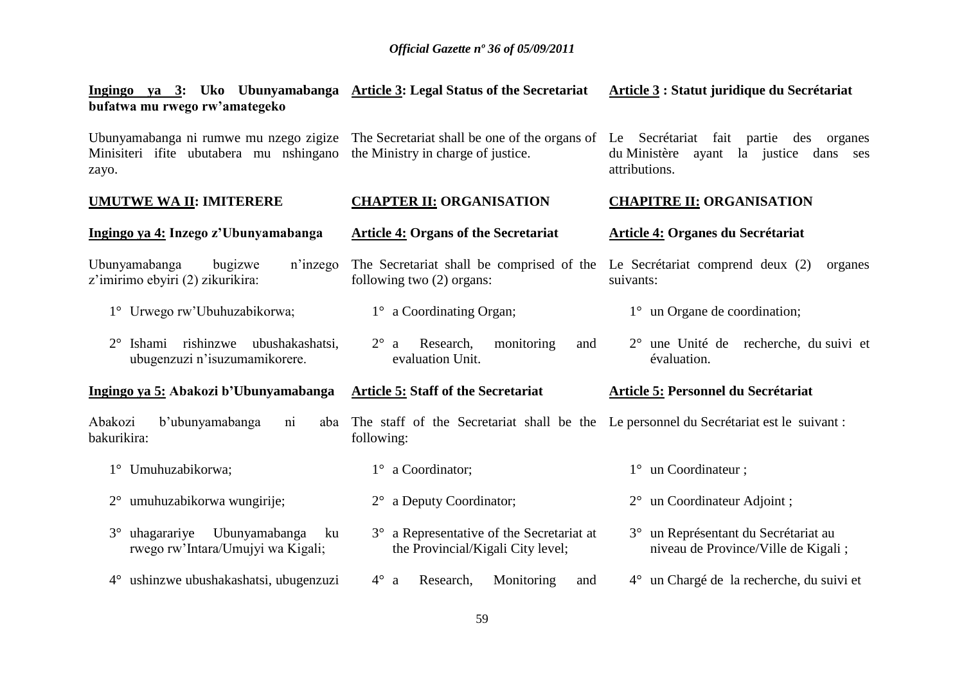| Ingingo ya 3: Uko Ubunyamabanga Article 3: Legal Status of the Secretariat<br>bufatwa mu rwego rw'amategeko |                                                                                                      | Article 3 : Statut juridique du Secrétariat                                                                                                                                                        |
|-------------------------------------------------------------------------------------------------------------|------------------------------------------------------------------------------------------------------|----------------------------------------------------------------------------------------------------------------------------------------------------------------------------------------------------|
| Minisiteri ifite ubutabera mu nshingano<br>zayo.                                                            | the Ministry in charge of justice.                                                                   | Ubunyamabanga ni rumwe mu nzego zigize The Secretariat shall be one of the organs of Le Secretariat fait partie des organes<br>du Ministère<br>la justice<br>ayant<br>dans<br>ses<br>attributions. |
| <b>UMUTWE WA II: IMITERERE</b>                                                                              | <b>CHAPTER II: ORGANISATION</b>                                                                      | <b>CHAPITRE II: ORGANISATION</b>                                                                                                                                                                   |
| Ingingo ya 4: Inzego z'Ubunyamabanga                                                                        | <b>Article 4: Organs of the Secretariat</b>                                                          | <b>Article 4: Organes du Secrétariat</b>                                                                                                                                                           |
| Ubunyamabanga<br>bugizwe<br>n'inzego<br>z'imirimo ebyiri (2) zikurikira:                                    | The Secretariat shall be comprised of the<br>following two $(2)$ organs:                             | Le Secrétariat comprend deux (2)<br>organes<br>suivants:                                                                                                                                           |
| 1° Urwego rw'Ubuhuzabikorwa;                                                                                | 1° a Coordinating Organ;                                                                             | $1^{\circ}$ un Organe de coordination;                                                                                                                                                             |
| Ishami rishinzwe<br>ubushakashatsi,<br>$2^{\circ}$<br>ubugenzuzi n'isuzumamikorere.                         | $2^{\circ}$ a<br>monitoring<br>Research,<br>and<br>evaluation Unit.                                  | $2^{\circ}$ une Unité de recherche, du suivi et<br>évaluation.                                                                                                                                     |
| Ingingo ya 5: Abakozi b'Ubunyamabanga                                                                       | <b>Article 5: Staff of the Secretariat</b>                                                           | Article 5: Personnel du Secrétariat                                                                                                                                                                |
| b'ubunyamabanga<br>Abakozi<br>$\overline{ni}$<br>aba<br>bakurikira:                                         | The staff of the Secretariat shall be the Le personnel du Secretariat est le suivant :<br>following: |                                                                                                                                                                                                    |
| 1° Umuhuzabikorwa;                                                                                          | 1° a Coordinator;                                                                                    | 1° un Coordinateur;                                                                                                                                                                                |
| 2° umuhuzabikorwa wungirije;                                                                                | 2° a Deputy Coordinator;                                                                             | 2° un Coordinateur Adjoint;                                                                                                                                                                        |
| uhagarariye<br>Ubunyamabanga<br>$3^\circ$<br>ku<br>rwego rw'Intara/Umujyi wa Kigali;                        | 3° a Representative of the Secretariat at<br>the Provincial/Kigali City level;                       | 3° un Représentant du Secrétariat au<br>niveau de Province/Ville de Kigali;                                                                                                                        |
| 4° ushinzwe ubushakashatsi, ubugenzuzi                                                                      | $4^\circ$ a<br>Monitoring<br>Research,<br>and                                                        | 4° un Chargé de la recherche, du suivi et                                                                                                                                                          |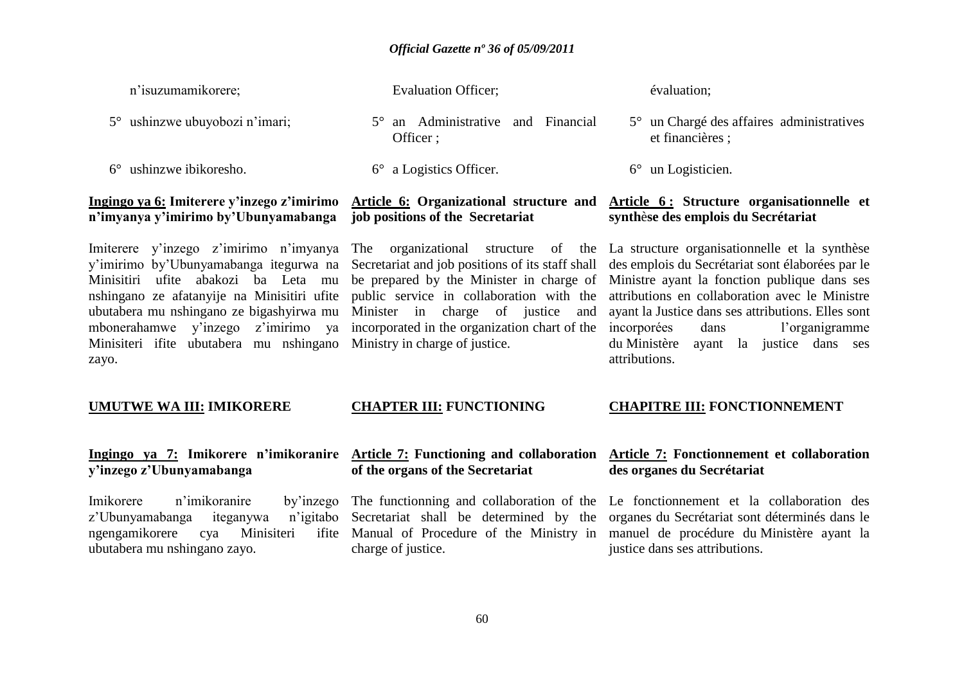| n'isuzumamikorere;                                                                                                                                                                                                                                                                                           | <b>Evaluation Officer;</b>                                                                                                                                                                                                                                                                                             | évaluation;                                                                                                                                                                                                                                                                                                                                                      |
|--------------------------------------------------------------------------------------------------------------------------------------------------------------------------------------------------------------------------------------------------------------------------------------------------------------|------------------------------------------------------------------------------------------------------------------------------------------------------------------------------------------------------------------------------------------------------------------------------------------------------------------------|------------------------------------------------------------------------------------------------------------------------------------------------------------------------------------------------------------------------------------------------------------------------------------------------------------------------------------------------------------------|
| ushinzwe ubuyobozi n'imari;<br>$5^{\circ}$                                                                                                                                                                                                                                                                   | 5° an Administrative and Financial<br>Officer ;                                                                                                                                                                                                                                                                        | 5° un Chargé des affaires administratives<br>et financières;                                                                                                                                                                                                                                                                                                     |
| ushinzwe ibikoresho.<br>$6^{\circ}$                                                                                                                                                                                                                                                                          | a Logistics Officer.<br>$6^{\circ}$                                                                                                                                                                                                                                                                                    | $6^\circ$ un Logisticien.                                                                                                                                                                                                                                                                                                                                        |
| Ingingo ya 6: Imiterere y'inzego z'imirimo<br>n'imyanya y'imirimo by'Ubunyamabanga                                                                                                                                                                                                                           | job positions of the Secretariat                                                                                                                                                                                                                                                                                       | Article 6: Organizational structure and Article 6: Structure organisationnelle et<br>synthèse des emplois du Secrétariat                                                                                                                                                                                                                                         |
| Imiterere y'inzego z'imirimo n'imyanya<br>y'imirimo by'Ubunyamabanga itegurwa na<br>Minisitiri ufite abakozi ba Leta mu<br>nshingano ze afatanyije na Minisitiri ufite<br>ubutabera mu nshingano ze bigashyirwa mu<br>mbonerahamwe y'inzego z'imirimo ya<br>Minisiteri ifite ubutabera mu nshingano<br>zayo. | organizational<br>The<br>structure of<br>the<br>Secretariat and job positions of its staff shall<br>be prepared by the Minister in charge of<br>public service in collaboration with the<br>Minister in<br>charge of justice<br>and<br>incorporated in the organization chart of the<br>Ministry in charge of justice. | La structure organisationnelle et la synthèse<br>des emplois du Secrétariat sont élaborées par le<br>Ministre ayant la fonction publique dans ses<br>attributions en collaboration avec le Ministre<br>ayant la Justice dans ses attributions. Elles sont<br>incorporées<br>l'organigramme<br>dans<br>du Ministère<br>ayant la justice dans ses<br>attributions. |
| <b>UMUTWE WA III: IMIKORERE</b>                                                                                                                                                                                                                                                                              | <b>CHAPTER III: FUNCTIONING</b>                                                                                                                                                                                                                                                                                        | <b>CHAPITRE III: FONCTIONNEMENT</b>                                                                                                                                                                                                                                                                                                                              |
| y'inzego z'Ubunyamabanga                                                                                                                                                                                                                                                                                     | of the organs of the Secretariat                                                                                                                                                                                                                                                                                       | Ingingo ya 7: Imikorere n'imikoranire Article 7: Functioning and collaboration Article 7: Fonctionnement et collaboration<br>des organes du Secrétariat                                                                                                                                                                                                          |
| n'imikoranire<br>by'inzego<br>Imikorere<br>z'Ubunyamabanga<br>iteganywa<br>n'igitabo<br>ngengamikorere<br>Minisiteri<br>cya<br>ifite<br>ubutabera mu nshingano zayo.                                                                                                                                         | charge of justice.                                                                                                                                                                                                                                                                                                     | The functionning and collaboration of the Le fonctionnement et la collaboration des<br>Secretariat shall be determined by the organes du Secrétariat sont déterminés dans le<br>Manual of Procedure of the Ministry in manuel de procédure du Ministère ayant la<br>justice dans ses attributions.                                                               |
|                                                                                                                                                                                                                                                                                                              |                                                                                                                                                                                                                                                                                                                        |                                                                                                                                                                                                                                                                                                                                                                  |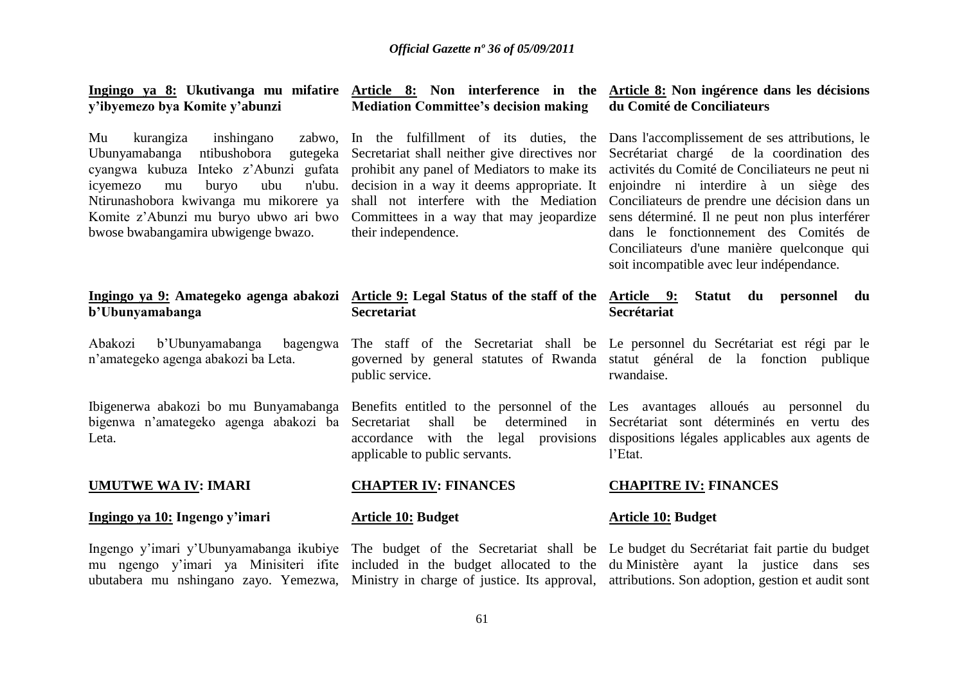#### **Ingingo ya 8: Ukutivanga mu mifatire Article 8: Non interference in the Article 8: Non ingérence dans les décisions y'ibyemezo bya Komite y'abunzi Mediation Committee's decision making du Comité de Conciliateurs**

Mu kurangiza inshingano cyangwa kubuza Inteko z"Abunzi gufata prohibit any panel of Mediators to make its icyemezo mu buryo ubu bwose bwabangamira ubwigenge bwazo.

# **b'Ubunyamabanga**

Abakozi b'Ubunyamabanga n"amategeko agenga abakozi ba Leta.

bigenwa n"amategeko agenga abakozi ba Leta.

#### **UMUTWE WA IV: IMARI**

#### **Ingingo ya 10: Ingengo y'imari**

their independence.

# **Ingingo ya 9: Amategeko agenga abakozi Article 9: Legal Status of the staff of the Secretariat**

public service.

Secretariat shall be determined applicable to public servants.

Ubunyamabanga ntibushobora gutegeka Secretariat shall neither give directives nor Secrétariat chargé de la coordination des Ntirunashobora kwivanga mu mikorere ya shall not interfere with the Mediation Conciliateurs de prendre une décision dans un Komite z"Abunzi mu buryo ubwo ari bwo Committees in a way that may jeopardize sens déterminé. Il ne peut non plus interférer In the fulfillment of its duties, the Dans l'accomplissement de ses attributions, le decision in a way it deems appropriate. It enjoindre ni interdire à un siège des activités du Comité de Conciliateurs ne peut ni dans le fonctionnement des Comités de Conciliateurs d'une manière quelconque qui soit incompatible avec leur indépendance.

#### **Article 9: Statut du personnel du Secrétariat**

The staff of the Secretariat shall be Le personnel du Secrétariat est régi par le governed by general statutes of Rwanda statut général de la fonction publique rwandaise.

Ibigenerwa abakozi bo mu Bunyamabanga Benefits entitled to the personnel of the Les avantages alloués au personnel du accordance with the legal provisions dispositions légales applicables aux agents de Secrétariat sont déterminés en vertu des l"Etat.

### **CHAPITRE IV: FINANCES**

#### **Article 10: Budget**

**CHAPTER IV: FINANCES**

**Article 10: Budget**

Ingengo y"imari y"Ubunyamabanga ikubiye The budget of the Secretariat shall be Le budget du Secrétariat fait partie du budget mu ngengo y"imari ya Minisiteri ifite included in the budget allocated to the du Ministère ayant la justice dans ses ubutabera mu nshingano zayo. Yemezwa, Ministry in charge of justice. Its approval, attributions. Son adoption, gestion et audit sont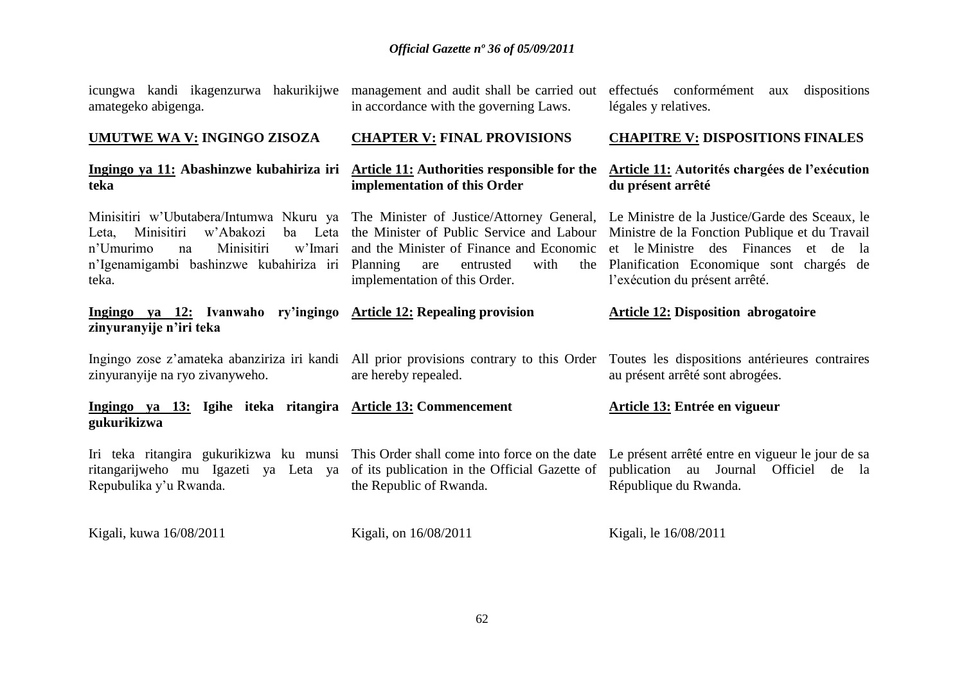|                     | icungwa kandi ikagenzurwa hakurikijwe |  |
|---------------------|---------------------------------------|--|
| amategeko abigenga. |                                       |  |

**UMUTWE WA V: INGINGO ZISOZA**

**teka**

management and audit shall be carried out effectués conformément aux dispositions in accordance with the governing Laws.

légales y relatives.

**Article 11: Autorités chargées de l'exécution** 

#### **CHAPTER V: FINAL PROVISIONS CHAPITRE V: DISPOSITIONS FINALES**

#### **Ingingo ya 11: Abashinzwe kubahiriza iri Article 11: Authorities responsible for the implementation of this Order**

Leta, Minisitiri w'Abakozi n"Umurimo na Minisitiri w"Imari n"Igenamigambi bashinzwe kubahiriza iri Planning are entrusted with the teka.

**Ingingo ya 12: Ivanwaho ry'ingingo Article 12: Repealing provision zinyuranyije n'iri teka**

zinyuranyije na ryo zivanyweho.

**Ingingo ya 13: Igihe iteka ritangira Article 13: Commencement gukurikizwa Article 13: Entrée en vigueur**

implementation of this Order.

ritangarijweho mu Igazeti ya Leta ya of its publication in the Official Gazette of Repubulika y"u Rwanda.

Kigali, kuwa 16/08/2011

Kigali, on 16/08/2011

the Republic of Rwanda.

are hereby repealed.

Kigali, le 16/08/2011

**du présent arrêté**

Minisitiri w'Ubutabera/Intumwa Nkuru ya The Minister of Justice/Attorney General, Le Ministre de la Justice/Garde des Sceaux, le the Minister of Public Service and Labour Ministre de la Fonction Publique et du Travail and the Minister of Finance and Economic et le Ministre des Finances et de la Planification Economique sont chargés de l'exécution du présent arrêté.

## **Article 12: Disposition abrogatoire**

Ingingo zose z'amateka abanziriza iri kandi All prior provisions contrary to this Order Toutes les dispositions antérieures contraires au présent arrêté sont abrogées.

Iri teka ritangira gukurikizwa ku munsi This Order shall come into force on the date Le présent arrêté entre en vigueur le jour de sa publication au Journal Officiel de la République du Rwanda.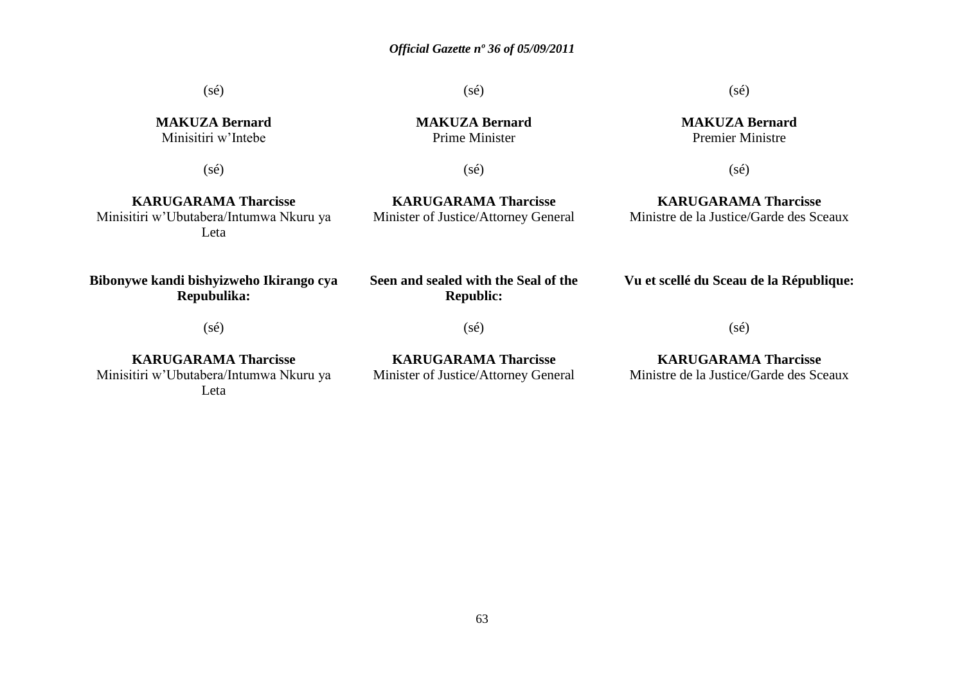(sé)

**MAKUZA Bernard** Minisitiri w"Intebe

(sé)

**MAKUZA Bernard** Prime Minister

(sé)

(sé)

**KARUGARAMA Tharcisse** Minisitiri w"Ubutabera/Intumwa Nkuru ya Leta

**KARUGARAMA Tharcisse** Minister of Justice/Attorney General  $(sé)$ 

**MAKUZA Bernard** Premier Ministre

(sé)

**KARUGARAMA Tharcisse** Ministre de la Justice/Garde des Sceaux

**Bibonywe kandi bishyizweho Ikirango cya Repubulika:**

**Seen and sealed with the Seal of the Republic:**

(sé)

**Vu et scellé du Sceau de la République:**

(sé)

**KARUGARAMA Tharcisse** Minisitiri w"Ubutabera/Intumwa Nkuru ya Leta

**KARUGARAMA Tharcisse** Minister of Justice/Attorney General

(sé)

**KARUGARAMA Tharcisse** Ministre de la Justice/Garde des Sceaux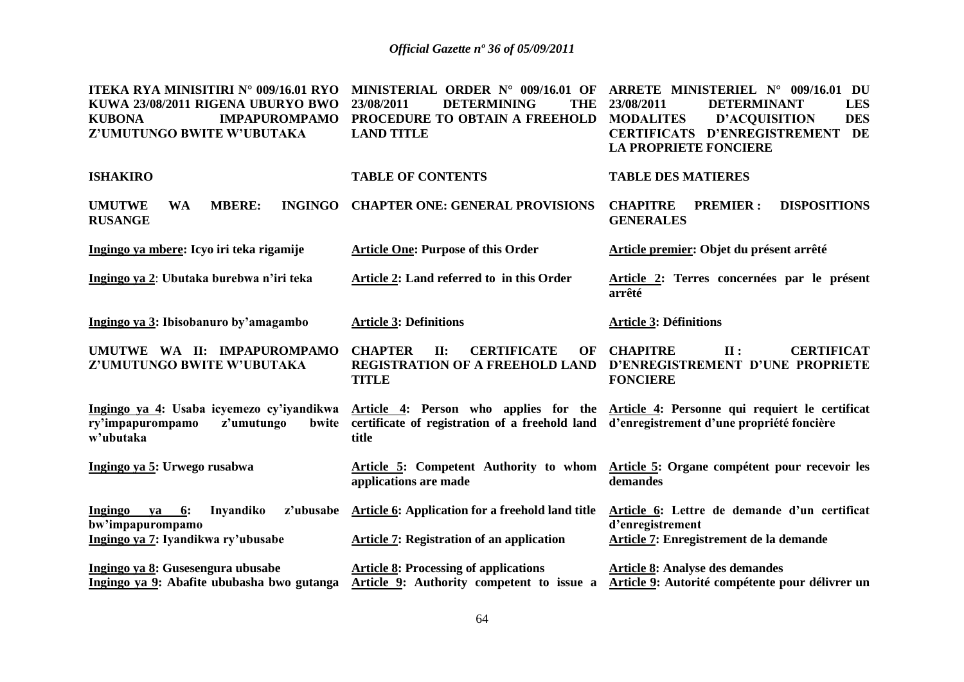| ITEKA RYA MINISITIRI N° 009/16.01 RYO<br>KUWA 23/08/2011 RIGENA UBURYO BWO<br><b>KUBONA</b><br><b>IMPAPUROMPAMO</b><br>Z'UMUTUNGO BWITE W'UBUTAKA | MINISTERIAL ORDER N° 009/16.01 OF<br>23/08/2011<br><b>DETERMINING</b><br><b>THE</b><br>PROCEDURE TO OBTAIN A FREEHOLD<br><b>LAND TITLE</b> | ARRETE MINISTERIEL N° 009/16.01 DU<br>23/08/2011<br><b>DETERMINANT</b><br><b>LES</b><br><b>D'ACQUISITION</b><br><b>DES</b><br><b>MODALITES</b><br><b>CERTIFICATS D'ENREGISTREMENT</b><br>DE<br><b>LA PROPRIETE FONCIERE</b> |
|---------------------------------------------------------------------------------------------------------------------------------------------------|--------------------------------------------------------------------------------------------------------------------------------------------|-----------------------------------------------------------------------------------------------------------------------------------------------------------------------------------------------------------------------------|
| <b>ISHAKIRO</b>                                                                                                                                   | <b>TABLE OF CONTENTS</b>                                                                                                                   | <b>TABLE DES MATIERES</b>                                                                                                                                                                                                   |
| <b>MBERE:</b><br><b>UMUTWE</b><br><b>INGINGO</b><br><b>WA</b><br><b>RUSANGE</b>                                                                   | <b>CHAPTER ONE: GENERAL PROVISIONS</b>                                                                                                     | <b>CHAPITRE</b><br><b>PREMIER:</b><br><b>DISPOSITIONS</b><br><b>GENERALES</b>                                                                                                                                               |
| Ingingo ya mbere: Icyo iri teka rigamije                                                                                                          | <b>Article One: Purpose of this Order</b>                                                                                                  | Article premier: Objet du présent arrêté                                                                                                                                                                                    |
| Ingingo ya 2: Ubutaka burebwa n'iri teka                                                                                                          | Article 2: Land referred to in this Order                                                                                                  | Article 2: Terres concernées par le présent<br>arrêté                                                                                                                                                                       |
| Ingingo ya 3: Ibisobanuro by'amagambo                                                                                                             | <b>Article 3: Definitions</b>                                                                                                              | <b>Article 3: Définitions</b>                                                                                                                                                                                               |
| UMUTWE WA II: IMPAPUROMPAMO<br>Z'UMUTUNGO BWITE W'UBUTAKA                                                                                         | <b>CHAPTER</b><br>II:<br><b>CERTIFICATE</b><br>OF<br>REGISTRATION OF A FREEHOLD LAND<br><b>TITLE</b>                                       | <b>CHAPITRE</b><br>$\mathbf{II}$ :<br><b>CERTIFICAT</b><br>D'ENREGISTREMENT D'UNE PROPRIETE<br><b>FONCIERE</b>                                                                                                              |
| z'umutungo<br>ry'impapurompamo<br>bwite<br>w'ubutaka                                                                                              | certificate of registration of a freehold land d'enregistrement d'une propriété foncière<br>title                                          | Ingingo ya 4: Usaba icyemezo cy'iyandikwa Article 4: Person who applies for the Article 4: Personne qui requiert le certificat                                                                                              |
| Ingingo ya 5: Urwego rusabwa                                                                                                                      | applications are made                                                                                                                      | Article 5: Competent Authority to whom Article 5: Organe compétent pour recevoir les<br>demandes                                                                                                                            |
| 6:<br>Inyandiko<br>z'ubusabe<br>Ingingo<br>ya<br>bw'impapurompamo<br>Ingingo ya 7: Iyandikwa ry'ubusabe                                           | <b>Article 6: Application for a freehold land title</b><br>Article 7: Registration of an application                                       | Article 6: Lettre de demande d'un certificat<br>d'enregistrement<br>Article 7: Enregistrement de la demande                                                                                                                 |
| Ingingo ya 8: Gusesengura ubusabe<br>Ingingo ya 9: Abafite ububasha bwo gutanga                                                                   | <b>Article 8: Processing of applications</b><br>Article 9: Authority competent to issue a                                                  | <b>Article 8: Analyse des demandes</b><br>Article 9: Autorité compétente pour délivrer un                                                                                                                                   |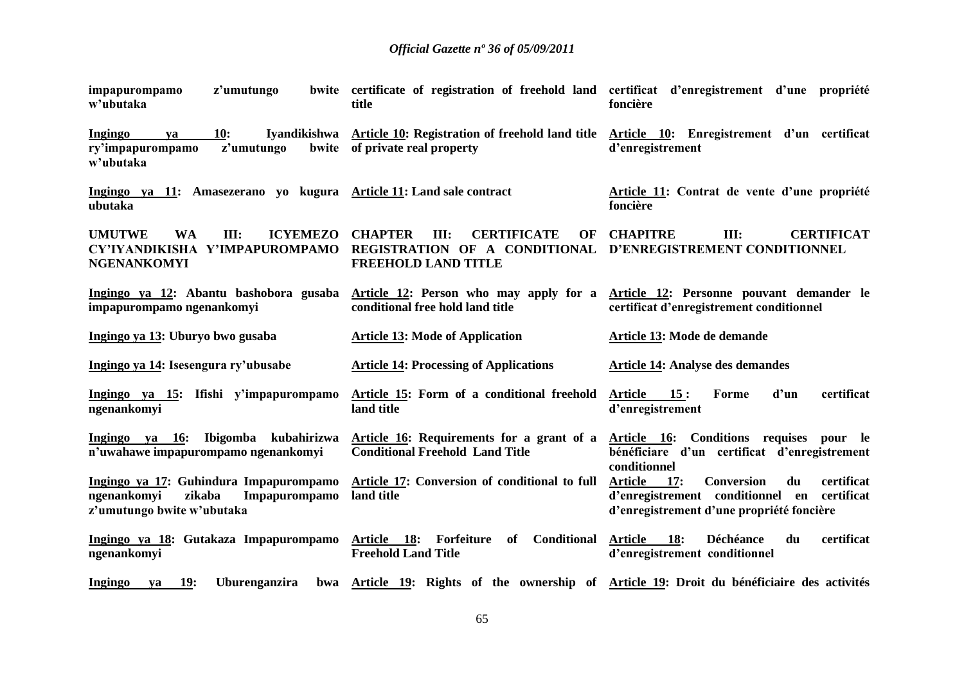| z'umutungo<br>impapurompamo<br>w'ubutaka                                                                       | title                                                                                                             | bwite certificate of registration of freehold land certificat d'enregistrement d'une propriété<br>foncière                                                    |
|----------------------------------------------------------------------------------------------------------------|-------------------------------------------------------------------------------------------------------------------|---------------------------------------------------------------------------------------------------------------------------------------------------------------|
| 10:<br><b>Ingingo</b><br>va<br>ry'impapurompamo<br>z'umutungo<br>bwite<br>w'ubutaka                            | Iyandikishwa Article 10: Registration of freehold land title<br>of private real property                          | Article 10: Enregistrement d'un certificat<br>d'enregistrement                                                                                                |
| Ingingo ya 11: Amasezerano yo kugura Article 11: Land sale contract<br>ubutaka                                 |                                                                                                                   | Article 11: Contrat de vente d'une propriété<br>foncière                                                                                                      |
| <b>ICYEMEZO</b><br><b>UMUTWE</b><br><b>WA</b><br>III:<br>CY'IYANDIKISHA Y'IMPAPUROMPAMO<br><b>NGENANKOMYI</b>  | <b>CERTIFICATE</b><br><b>CHAPTER</b><br>III:<br>OF<br>REGISTRATION OF A CONDITIONAL<br><b>FREEHOLD LAND TITLE</b> | <b>CHAPITRE</b><br>III:<br><b>CERTIFICAT</b><br>D'ENREGISTREMENT CONDITIONNEL                                                                                 |
| Ingingo ya 12: Abantu bashobora gusaba<br>impapurompamo ngenankomyi                                            | Article 12: Person who may apply for a<br>conditional free hold land title                                        | Article 12: Personne pouvant demander le<br>certificat d'enregistrement conditionnel                                                                          |
| Ingingo ya 13: Uburyo bwo gusaba                                                                               | <b>Article 13: Mode of Application</b>                                                                            | Article 13: Mode de demande                                                                                                                                   |
| Ingingo ya 14: Isesengura ry'ubusabe                                                                           | <b>Article 14: Processing of Applications</b>                                                                     | <b>Article 14: Analyse des demandes</b>                                                                                                                       |
| Ingingo ya 15: Ifishi y'impapurompamo<br>ngenankomyi                                                           | Article 15: Form of a conditional freehold<br>land title                                                          | 15:<br>d'un<br>certificat<br><b>Article</b><br>Forme<br>d'enregistrement                                                                                      |
| Ingingo ya 16:<br>Ibigomba kubahirizwa<br>n'uwahawe impapurompamo ngenankomyi                                  | Article 16: Requirements for a grant of a<br><b>Conditional Freehold Land Title</b>                               | Article 16: Conditions requises pour le<br>bénéficiare d'un certificat d'enregistrement<br>conditionnel                                                       |
| Ingingo ya 17: Guhindura Impapurompamo<br>ngenankomyi<br>zikaba<br>Impapurompamo<br>z'umutungo bwite w'ubutaka | Article 17: Conversion of conditional to full<br>land title                                                       | certificat<br><b>Article</b><br>17:<br><b>Conversion</b><br>du<br>d'enregistrement conditionnel en<br>certificat<br>d'enregistrement d'une propriété foncière |
| Ingingo ya 18: Gutakaza Impapurompamo Article 18:<br>ngenankomyi                                               | Conditional<br>Forfeiture<br>of<br><b>Freehold Land Title</b>                                                     | certificat<br><b>Article</b><br>18:<br>Déchéance<br>du<br>d'enregistrement conditionnel                                                                       |
| <b>19:</b><br><b>Ingingo</b><br>Uburenganzira<br>va                                                            |                                                                                                                   | bwa Article 19: Rights of the ownership of Article 19: Droit du bénéficiaire des activités                                                                    |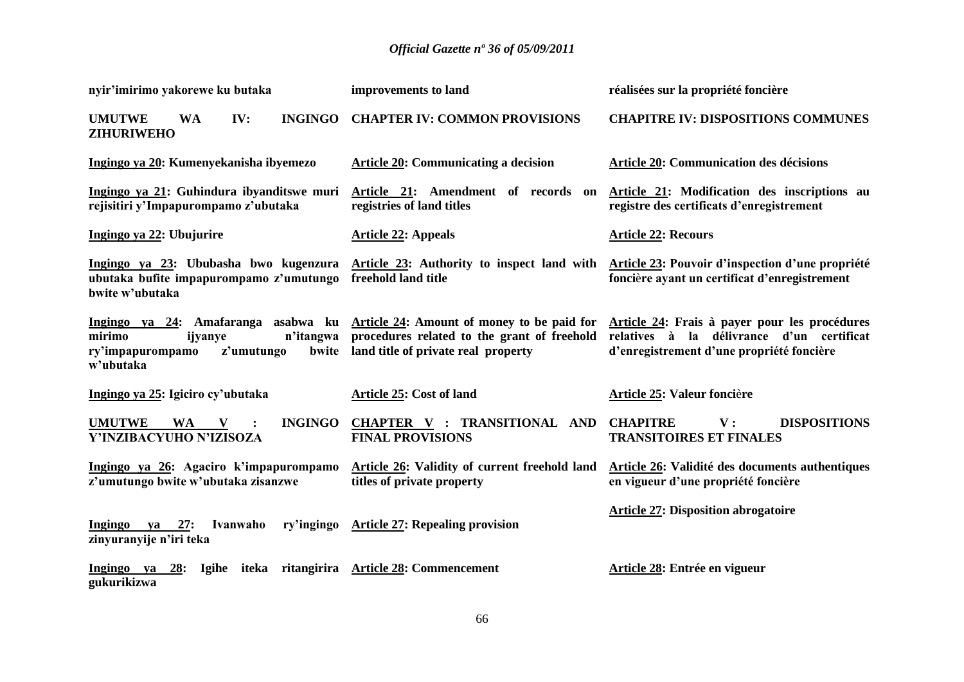| nyir'imirimo yakorewe ku butaka                                                                                                                                    | improvements to land                                                                     | réalisées sur la propriété foncière                                                                                                     |
|--------------------------------------------------------------------------------------------------------------------------------------------------------------------|------------------------------------------------------------------------------------------|-----------------------------------------------------------------------------------------------------------------------------------------|
| <b>UMUTWE</b><br>IV:<br><b>INGINGO</b><br><b>WA</b><br><b>ZIHURIWEHO</b>                                                                                           | <b>CHAPTER IV: COMMON PROVISIONS</b>                                                     | <b>CHAPITRE IV: DISPOSITIONS COMMUNES</b>                                                                                               |
| Ingingo ya 20: Kumenyekanisha ibyemezo                                                                                                                             | <b>Article 20: Communicating a decision</b>                                              | <b>Article 20: Communication des décisions</b>                                                                                          |
| Ingingo ya 21: Guhindura ibyanditswe muri<br>rejisitiri y'Impapurompamo z'ubutaka                                                                                  | Article 21: Amendment of records on<br>registries of land titles                         | Article 21: Modification des inscriptions au<br>registre des certificats d'enregistrement                                               |
| Ingingo ya 22: Ubujurire                                                                                                                                           | <b>Article 22: Appeals</b>                                                               | <b>Article 22: Recours</b>                                                                                                              |
| Ingingo ya 23: Ububasha bwo kugenzura Article 23: Authority to inspect land with<br>ubutaka bufite impapurompamo z'umutungo freehold land title<br>bwite w'ubutaka |                                                                                          | <b>Article 23: Pouvoir d'inspection d'une propriété</b><br>foncière ayant un certificat d'enregistrement                                |
| Ingingo ya 24: Amafaranga asabwa ku Article 24: Amount of money to be paid for<br>n'itangwa<br>mirimo<br>ijyanye<br>z'umutungo<br>ry'impapurompamo<br>w'ubutaka    | procedures related to the grant of freehold<br>bwite land title of private real property | Article 24: Frais à payer pour les procédures<br>relatives à la délivrance d'un certificat<br>d'enregistrement d'une propriété foncière |
| Ingingo ya 25: Igiciro cy'ubutaka                                                                                                                                  | Article 25: Cost of land                                                                 | Article 25: Valeur foncière                                                                                                             |
| <b>UMUTWE</b><br><b>INGINGO</b><br><b>WA</b><br>V<br>Y'INZIBACYUHO N'IZISOZA                                                                                       | <b>CHAPTER V : TRANSITIONAL AND</b><br><b>FINAL PROVISIONS</b>                           | <b>CHAPITRE</b><br><b>DISPOSITIONS</b><br>$\mathbf{V}$ :<br><b>TRANSITOIRES ET FINALES</b>                                              |
| Ingingo ya 26: Agaciro k'impapurompamo<br>z'umutungo bwite w'ubutaka zisanzwe                                                                                      | Article 26: Validity of current freehold land<br>titles of private property              | Article 26: Validité des documents authentiques<br>en vigueur d'une propriété foncière                                                  |
| Ingingo ya<br>Ivanwaho<br>27:<br>zinyuranyije n'iri teka                                                                                                           | ry'ingingo Article 27: Repealing provision                                               | <b>Article 27: Disposition abrogatoire</b>                                                                                              |
| Ingingo ya<br>28:<br>gukurikizwa                                                                                                                                   | Igihe iteka ritangirira Article 28: Commencement                                         | Article 28: Entrée en vigueur                                                                                                           |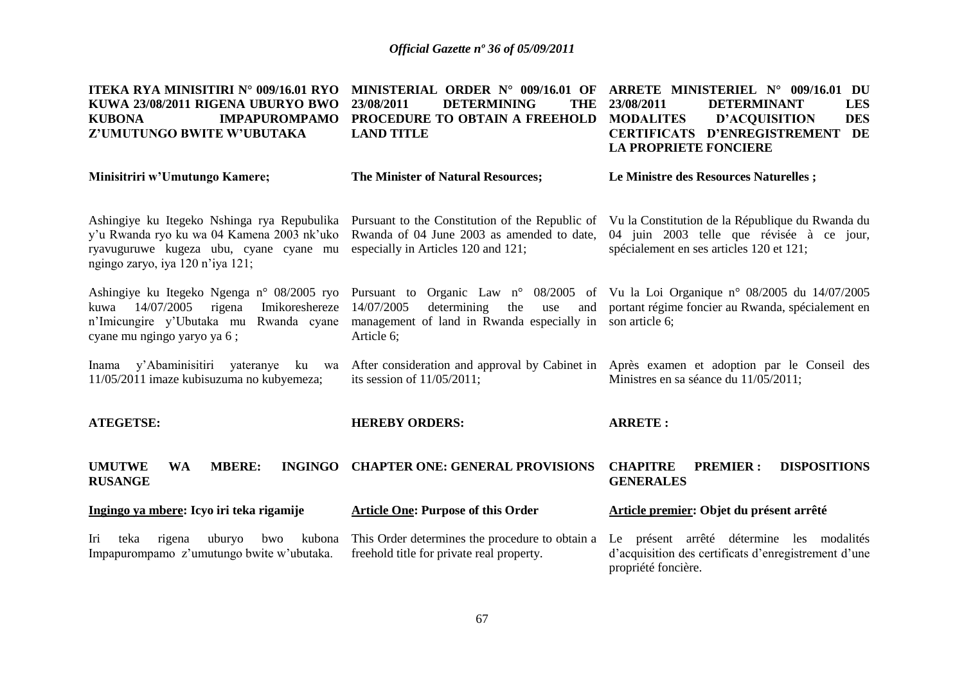| <b>ITEKA RYA MINISITIRI N° 009/16.01 RYO</b><br>KUWA 23/08/2011 RIGENA UBURYO BWO<br><b>IMPAPUROMPAMO</b><br><b>KUBONA</b><br>Z'UMUTUNGO BWITE W'UBUTAKA                | MINISTERIAL ORDER N° 009/16.01 OF<br>23/08/2011<br><b>DETERMINING</b><br><b>THE</b><br>PROCEDURE TO OBTAIN A FREEHOLD<br><b>LAND TITLE</b> | ARRETE MINISTERIEL N° 009/16.01 DU<br>23/08/2011<br><b>DETERMINANT</b><br><b>LES</b><br><b>MODALITES</b><br><b>D'ACQUISITION</b><br><b>DES</b><br><b>CERTIFICATS D'ENREGISTREMENT</b><br>DE<br><b>LA PROPRIETE FONCIERE</b> |  |
|-------------------------------------------------------------------------------------------------------------------------------------------------------------------------|--------------------------------------------------------------------------------------------------------------------------------------------|-----------------------------------------------------------------------------------------------------------------------------------------------------------------------------------------------------------------------------|--|
| Minisitriri w'Umutungo Kamere;                                                                                                                                          | The Minister of Natural Resources;                                                                                                         | Le Ministre des Resources Naturelles;                                                                                                                                                                                       |  |
| Ashingiye ku Itegeko Nshinga rya Repubulika<br>y'u Rwanda ryo ku wa 04 Kamena 2003 nk'uko<br>ryavuguruwe kugeza ubu, cyane cyane mu<br>ngingo zaryo, iya 120 n'iya 121; | Pursuant to the Constitution of the Republic of<br>Rwanda of 04 June 2003 as amended to date,<br>especially in Articles 120 and 121;       | Vu la Constitution de la République du Rwanda du<br>04 juin 2003 telle que révisée à ce jour,<br>spécialement en ses articles 120 et 121;                                                                                   |  |
| Ashingiye ku Itegeko Ngenga n° 08/2005 ryo<br>14/07/2005<br>Imikoreshereze<br>rigena<br>kuwa<br>n'Imicungire y'Ubutaka mu Rwanda cyane<br>cyane mu ngingo yaryo ya 6;   | 14/07/2005<br>determining<br>the<br>use<br>management of land in Rwanda especially in son article 6;<br>Article 6;                         | Pursuant to Organic Law n° 08/2005 of Vu la Loi Organique n° 08/2005 du 14/07/2005<br>and portant régime foncier au Rwanda, spécialement en                                                                                 |  |
| y'Abaminisitiri yateranye<br>Inama<br>ku<br>wa<br>11/05/2011 imaze kubisuzuma no kubyemeza;                                                                             | its session of $11/05/2011$ ;                                                                                                              | After consideration and approval by Cabinet in Après examen et adoption par le Conseil des<br>Ministres en sa séance du 11/05/2011;                                                                                         |  |
| <b>ATEGETSE:</b>                                                                                                                                                        | <b>HEREBY ORDERS:</b>                                                                                                                      | <b>ARRETE:</b>                                                                                                                                                                                                              |  |
| <b>MBERE:</b><br><b>INGINGO</b><br><b>UMUTWE</b><br><b>WA</b><br><b>RUSANGE</b>                                                                                         | <b>CHAPTER ONE: GENERAL PROVISIONS</b>                                                                                                     | <b>CHAPITRE</b><br><b>PREMIER:</b><br><b>DISPOSITIONS</b><br><b>GENERALES</b>                                                                                                                                               |  |
| Ingingo ya mbere: Icyo iri teka rigamije                                                                                                                                | <b>Article One: Purpose of this Order</b>                                                                                                  | Article premier: Objet du présent arrêté                                                                                                                                                                                    |  |
| Iri<br>teka<br>rigena<br>uburyo<br>bwo<br>kubona<br>Impapurompamo z'umutungo bwite w'ubutaka.                                                                           | This Order determines the procedure to obtain a<br>freehold title for private real property.                                               | Le présent arrêté détermine les modalités<br>d'acquisition des certificats d'enregistrement d'une<br>propriété foncière.                                                                                                    |  |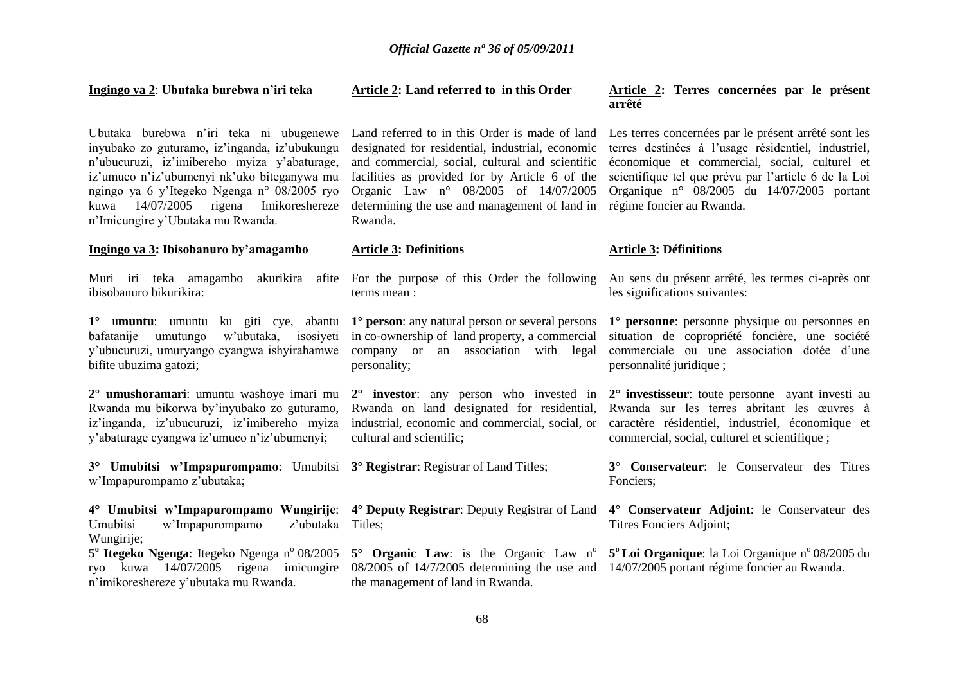#### **Ingingo ya 2**: **Ubutaka burebwa n'iri teka**

inyubako zo guturamo, iz"inganda, iz"ubukungu n"ubucuruzi, iz"imibereho myiza y"abaturage, iz"umuco n"iz"ubumenyi nk"uko biteganywa mu ngingo ya 6 y"Itegeko Ngenga n° 08/2005 ryo kuwa 14/07/2005 rigena Imikoreshereze n"Imicungire y"Ubutaka mu Rwanda.

#### **Ingingo ya 3: Ibisobanuro by'amagambo**

ibisobanuro bikurikira:

bafatanije umutungo w"ubutaka, isosiyeti in co-ownership of land property, a commercial y"ubucuruzi, umuryango cyangwa ishyirahamwe company or an association with legal bifite ubuzima gatozi;

**2° umushoramari**: umuntu washoye imari mu Rwanda mu bikorwa by"inyubako zo guturamo, iz"inganda, iz"ubucuruzi, iz"imibereho myiza y"abaturage cyangwa iz"umuco n"iz"ubumenyi;

**3° Umubitsi w'Impapurompamo**: Umubitsi **3° Registrar**: Registrar of Land Titles; w"Impapurompamo z"ubutaka;

Umubitsi w'Impapurompamo Wungirije: z'ubutaka Titles:

5<sup>°</sup> Itegeko Ngenga: Itegeko Ngenga n<sup>º</sup> 08/2005 ryo kuwa 14/07/2005 rigena imicungire 08/2005 of 14/7/2005 determining the use and 14/07/2005 portant régime foncier au Rwanda. n"imikoreshereze y"ubutaka mu Rwanda.

#### **Article 2: Land referred to in this Order**

facilities as provided for by Article 6 of the Organic Law n° 08/2005 of 14/07/2005 determining the use and management of land in régime foncier au Rwanda. Rwanda.

#### **Article 3: Definitions**

terms mean :

personality;

**2° investor**: any person who invested in **2° investisseur**: toute personne ayant investi au cultural and scientific;

the management of land in Rwanda.

#### **Article 2: Terres concernées par le présent arrêté**

Ubutaka burebwa n'iri teka ni ubugenewe Land referred to in this Order is made of land Les terres concernées par le présent arrêté sont les designated for residential, industrial, economic terres destinées à l"usage résidentiel, industriel, and commercial, social, cultural and scientific économique et commercial, social, culturel et scientifique tel que prévu par l"article 6 de la Loi Organique n° 08/2005 du 14/07/2005 portant

#### **Article 3: Définitions**

Muri iri teka amagambo akurikira afite For the purpose of this Order the following Au sens du présent arrêté, les termes ci-après ont les significations suivantes:

1<sup>°</sup> umuntu: umuntu ku giti cye, abantu 1<sup>°</sup> person: any natural person or several persons 1<sup>°</sup> personne: personne physique ou personnes en situation de copropriété foncière, une société commerciale ou une association dotée d"une personnalité juridique ;

> Rwanda on land designated for residential, Rwanda sur les terres abritant les œuvres à industrial, economic and commercial, social, or caractère résidentiel, industriel, économique et commercial, social, culturel et scientifique ;

> > **3° Conservateur**: le Conservateur des Titres Fonciers;

**4° Umubitsi w'Impapurompamo Wungirije**: **4° Deputy Registrar**: Deputy Registrar of Land **4° Conservateur Adjoint**: le Conservateur des Titres Fonciers Adjoint;

**5<sup>°</sup> Organic Law**: is the Organic Law n<sup>°</sup> **5<sup>°</sup>Loi Organique**: la Loi Organique n<sup>°</sup> 08/2005 du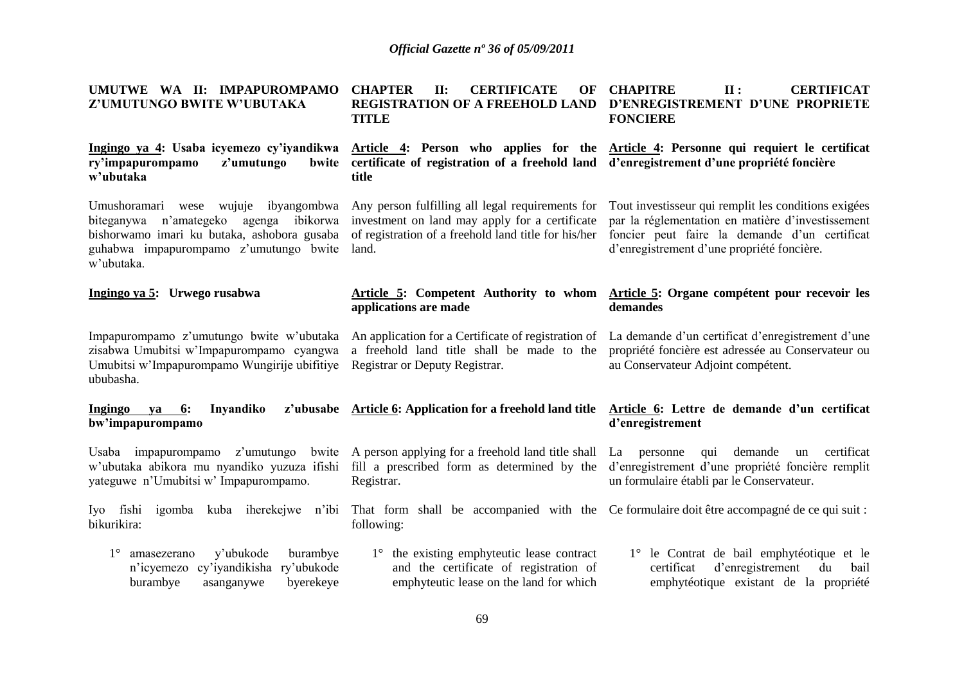| UMUTWE WA II: IMPAPUROMPAMO<br>Z'UMUTUNGO BWITE W'UBUTAKA                                                                                                                                                                                 | <b>CHAPTER</b><br><b>CERTIFICATE</b><br>II:<br>OF<br><b>REGISTRATION OF A FREEHOLD LAND</b><br><b>TITLE</b>                         | <b>CHAPITRE</b><br><b>CERTIFICAT</b><br>II:<br>D'ENREGISTREMENT D'UNE PROPRIETE<br><b>FONCIERE</b>                                                                                                       |
|-------------------------------------------------------------------------------------------------------------------------------------------------------------------------------------------------------------------------------------------|-------------------------------------------------------------------------------------------------------------------------------------|----------------------------------------------------------------------------------------------------------------------------------------------------------------------------------------------------------|
| ry'impapurompamo<br>z'umutungo<br>bwite<br>w'ubutaka                                                                                                                                                                                      | certificate of registration of a freehold land d'enregistrement d'une propriété foncière<br>title                                   | Ingingo ya 4: Usaba icyemezo cy'iyandikwa Article 4: Person who applies for the Article 4: Personne qui requiert le certificat                                                                           |
| Umushoramari wese wujuje ibyangombwa Any person fulfilling all legal requirements for<br>agenga ibikorwa<br>biteganywa n'amategeko<br>bishorwamo imari ku butaka, ashobora gusaba<br>guhabwa impapurompamo z'umutungo bwite<br>w'ubutaka. | investment on land may apply for a certificate<br>of registration of a freehold land title for his/her<br>land.                     | Tout investisseur qui remplit les conditions exigées<br>par la réglementation en matière d'investissement<br>foncier peut faire la demande d'un certificat<br>d'enregistrement d'une propriété foncière. |
| Ingingo ya 5: Urwego rusabwa                                                                                                                                                                                                              | applications are made                                                                                                               | Article 5: Competent Authority to whom Article 5: Organe compétent pour recevoir les<br>demandes                                                                                                         |
| Impapurompamo z'umutungo bwite w'ubutaka<br>zisabwa Umubitsi w'Impapurompamo cyangwa<br>Umubitsi w'Impapurompamo Wungirije ubifitiye<br>ububasha.                                                                                         | An application for a Certificate of registration of<br>a freehold land title shall be made to the<br>Registrar or Deputy Registrar. | La demande d'un certificat d'enregistrement d'une<br>propriété foncière est adressée au Conservateur ou<br>au Conservateur Adjoint compétent.                                                            |
| Ingingo<br>6:<br>Inyandiko<br>ya<br>bw'impapurompamo                                                                                                                                                                                      | z'ubusabe Article 6: Application for a freehold land title                                                                          | Article 6: Lettre de demande d'un certificat<br>d'enregistrement                                                                                                                                         |
| Usaba impapurompamo z'umutungo<br>w'ubutaka abikora mu nyandiko yuzuza ifishi<br>yateguwe n'Umubitsi w'Impapurompamo.                                                                                                                     | bwite A person applying for a freehold land title shall<br>fill a prescribed form as determined by the<br>Registrar.                | demande<br>un certificat<br>La<br>personne<br>qui<br>d'enregistrement d'une propriété foncière remplit<br>un formulaire établi par le Conservateur.                                                      |
| Iyo fishi<br>igomba<br>kuba iherekejwe n'ibi<br>bikurikira:                                                                                                                                                                               | following:                                                                                                                          | That form shall be accompanied with the Ce formulaire doit être accompagné de ce qui suit :                                                                                                              |
| $1^{\circ}$<br>y'ubukode<br>burambye<br>amasezerano<br>cy'iyandikisha ry'ubukode<br>n'icyemezo<br>burambye<br>byerekeye<br>asanganywe                                                                                                     | 1° the existing emphyteutic lease contract<br>and the certificate of registration of<br>emphyteutic lease on the land for which     | 1° le Contrat de bail emphytéotique et le<br>d'enregistrement<br>certificat<br>du<br>bail<br>emphytéotique existant de la propriété                                                                      |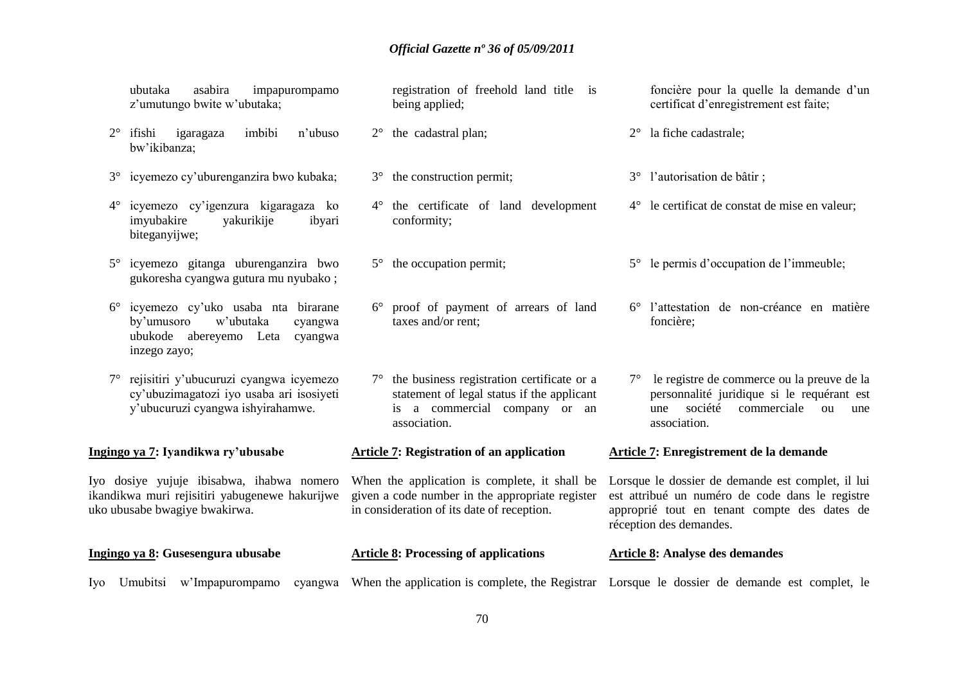ubutaka asabira impapurompamo z"umutungo bwite w"ubutaka;

- 2° ifishi igaragaza imbibi n"ubuso bw"ikibanza;
- 3° icyemezo cy"uburenganzira bwo kubaka;
- 4° icyemezo cy"igenzura kigaragaza ko imyubakire yakurikije ibyari biteganyijwe;
- 5° icyemezo gitanga uburenganzira bwo gukoresha cyangwa gutura mu nyubako ;
- 6° icyemezo cy"uko usaba nta birarane by"umusoro w"ubutaka cyangwa ubukode abereyemo Leta cyangwa inzego zayo;
- 7° rejisitiri y"ubucuruzi cyangwa icyemezo cy"ubuzimagatozi iyo usaba ari isosiyeti y"ubucuruzi cyangwa ishyirahamwe.

**Ingingo ya 7: Iyandikwa ry'ubusabe** 

Iyo dosiye yujuje ibisabwa, ihabwa nomero ikandikwa muri rejisitiri yabugenewe hakurijwe uko ubusabe bwagiye bwakirwa.

- registration of freehold land title is being applied;
- 2° the cadastral plan;
- 3° the construction permit;
- 4° the certificate of land development conformity;
- 5° the occupation permit;
- 6° proof of payment of arrears of land taxes and/or rent;
- 7° the business registration certificate or a statement of legal status if the applicant is a commercial company or an association.

#### **Article 7: Registration of an application**

When the application is complete, it shall be Lorsque le dossier de demande est complet, il lui given a code number in the appropriate register in consideration of its date of reception.

- **Ingingo ya 8: Gusesengura ubusabe Article 8: Processing of applications Article 8: Analyse des demandes**
- Iyo Umubitsi w'Impapurompamo cyangwa When the application is complete, the Registrar Lorsque le dossier de demande est complet, le

foncière pour la quelle la demande d"un certificat d"enregistrement est faite;

- 2° la fiche cadastrale;
- 3° l"autorisation de bâtir ;
- 4° le certificat de constat de mise en valeur;
- 5° le permis d"occupation de l"immeuble;
- 6° l"attestation de non-créance en matière foncière;
- 7° le registre de commerce ou la preuve de la personnalité juridique si le requérant est une société commerciale ou une association.

#### **Article 7: Enregistrement de la demande**

est attribué un numéro de code dans le registre approprié tout en tenant compte des dates de réception des demandes.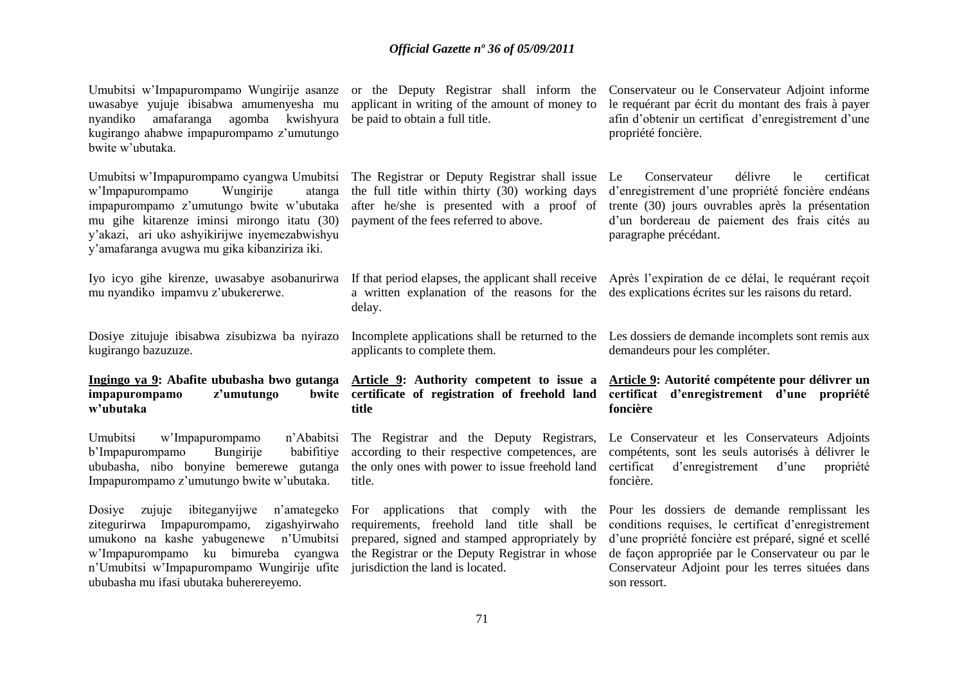Umubitsi w'Impapurompamo Wungirije asanze or the Deputy Registrar shall inform the Conservateur ou le Conservateur Adjoint informe uwasabye yujuje ibisabwa amumenyesha mu nyandiko amafaranga agomba kwishyura kugirango ahabwe impapurompamo z"umutungo bwite w"ubutaka. Umubitsi w"Impapurompamo cyangwa Umubitsi w"Impapurompamo Wungirije atanga impapurompamo z"umutungo bwite w"ubutaka mu gihe kitarenze iminsi mirongo itatu (30) y"akazi, ari uko ashyikirijwe inyemezabwishyu y"amafaranga avugwa mu gika kibanziriza iki. Iyo icyo gihe kirenze, uwasabye asobanurirwa If that period elapses, the applicant shall receive Après l'expiration de ce délai, le requérant reçoit mu nyandiko impamvu z"ubukererwe. Dosiye zitujuje ibisabwa zisubizwa ba nyirazo kugirango bazuzuze. **Ingingo ya 9: Abafite ububasha bwo gutanga impapurompamo** z'umutungo **w'ubutaka** Umubitsi w'Impapurompamo n'Ababitsi<br>b'Impapurompamo Bungirije babifitiye b"Impapurompamo Bungirije babifitiye ububasha, nibo bonyine bemerewe gutanga Impapurompamo z"umutungo bwite w"ubutaka. Dosiye zujuje ibiteganyijwe n"amategeko zitegurirwa Impapurompamo, zigashyirwaho umukono na kashe yabugenewe n"Umubitsi w"Impapurompamo ku bimureba cyangwa n"Umubitsi w"Impapurompamo Wungirije ufite jurisdiction the land is located. ububasha mu ifasi ubutaka buherereyemo. applicant in writing of the amount of money to be paid to obtain a full title. The Registrar or Deputy Registrar shall issue Le the full title within thirty (30) working days after he/she is presented with a proof of payment of the fees referred to above. a written explanation of the reasons for the des explications écrites sur les raisons du retard. delay. Incomplete applications shall be returned to the Les dossiers de demande incomplets sont remis aux applicants to complete them. **Article 9: Authority competent to issue a Article 9: Autorité compétente pour délivrer un certificate of registration of freehold land certificat d'enregistrement d'une propriété title** The Registrar and the Deputy Registrars, according to their respective competences, are the only ones with power to issue freehold land certificat title. For applications that comply with the requirements, freehold land title shall be prepared, signed and stamped appropriately by the Registrar or the Deputy Registrar in whose le requérant par écrit du montant des frais à payer afin d"obtenir un certificat d"enregistrement d"une propriété foncière. Conservateur délivre le certificat d"enregistrement d"une propriété foncière endéans trente (30) jours ouvrables après la présentation d"un bordereau de paiement des frais cités au paragraphe précédant. demandeurs pour les compléter. **foncière** Le Conservateur et les Conservateurs Adjoints compétents, sont les seuls autorisés à délivrer le d'enregistrement d'une propriété foncière. Pour les dossiers de demande remplissant les conditions requises, le certificat d"enregistrement d"une propriété foncière est préparé, signé et scellé de façon appropriée par le Conservateur ou par le Conservateur Adjoint pour les terres situées dans son ressort.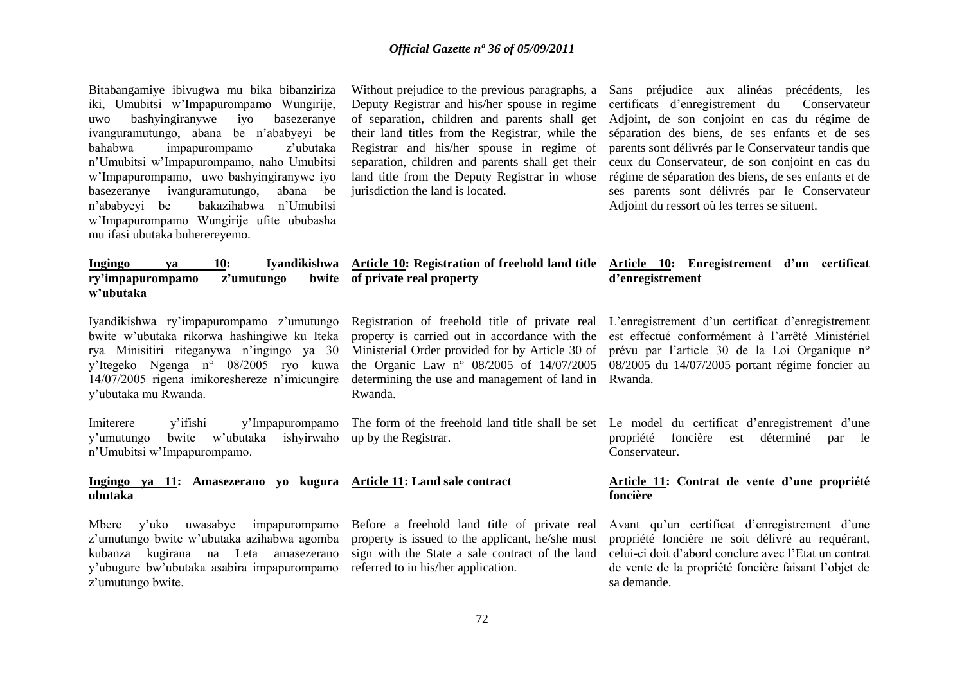Bitabangamiye ibivugwa mu bika bibanziriza iki, Umubitsi w"Impapurompamo Wungirije, uwo bashyingiranywe iyo basezeranye ivanguramutungo, abana be n"ababyeyi be bahabwa impapurompamo z"ubutaka n"Umubitsi w"Impapurompamo, naho Umubitsi w"Impapurompamo, uwo bashyingiranywe iyo basezeranye ivanguramutungo, abana be n"ababyeyi be bakazihabwa n"Umubitsi w"Impapurompamo Wungirije ufite ububasha mu ifasi ubutaka buherereyemo.

Deputy Registrar and his/her spouse in regime their land titles from the Registrar, while the Registrar and his/her spouse in regime of separation, children and parents shall get their land title from the Deputy Registrar in whose jurisdiction the land is located.

Without prejudice to the previous paragraphs, a Sans préjudice aux alinéas précédents, les of separation, children and parents shall get Adjoint, de son conjoint en cas du régime de certificats d"enregistrement du Conservateur séparation des biens, de ses enfants et de ses parents sont délivrés par le Conservateur tandis que ceux du Conservateur, de son conjoint en cas du régime de séparation des biens, de ses enfants et de ses parents sont délivrés par le Conservateur Adjoint du ressort où les terres se situent.

#### **Ingingo ya 10: Iyandikishwa Article 10: Registration of freehold land title Article 10: Enregistrement d'un certificat of private real property d'enregistrement**

Iyandikishwa ry"impapurompamo z"umutungo bwite w"ubutaka rikorwa hashingiwe ku Iteka rya Minisitiri riteganywa n"ingingo ya 30 y"Itegeko Ngenga n° 08/2005 ryo kuwa 14/07/2005 rigena imikoreshereze n"imicungire y"ubutaka mu Rwanda.

ry'impapurompamo z'umutungo

**w'ubutaka**

Imiterere y"ifishi y"Impapurompamo y"umutungo bwite w"ubutaka ishyirwaho up by the Registrar. n"Umubitsi w"Impapurompamo.

#### **Ingingo ya 11: Amasezerano yo kugura Article 11: Land sale contract ubutaka**

Mbere y"uko uwasabye impapurompamo z"umutungo bwite w"ubutaka azihabwa agomba kubanza kugirana na Leta amasezerano y"ubugure bw"ubutaka asabira impapurompamo z'umutungo bwite.

determining the use and management of land in Rwanda. Rwanda.

Before a freehold land title of private real property is issued to the applicant, he/she must sign with the State a sale contract of the land referred to in his/her application.

Registration of freehold title of private real L'enregistrement d'un certificat d'enregistrement property is carried out in accordance with the est effectué conformément à l"arrêté Ministériel Ministerial Order provided for by Article 30 of prévu par l'article 30 de la Loi Organique n° the Organic Law n° 08/2005 of 14/07/2005 08/2005 du 14/07/2005 portant régime foncier au

The form of the freehold land title shall be set Le model du certificat d'enregistrement d'une propriété foncière est déterminé par le Conservateur.

#### **Article 11: Contrat de vente d'une propriété foncière**

Avant qu"un certificat d"enregistrement d"une propriété foncière ne soit délivré au requérant, celui-ci doit d"abord conclure avec l"Etat un contrat de vente de la propriété foncière faisant l"objet de sa demande.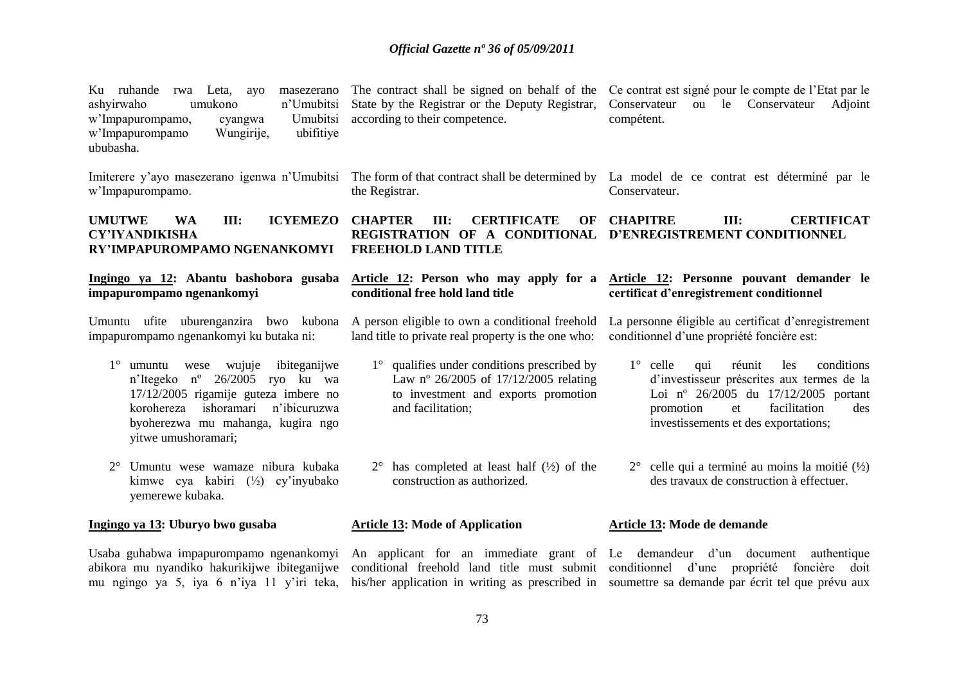| Ku ruhande<br>rwa Leta,<br>masezerano<br>ayo<br>umukono<br>n'Umubitsi<br>ashyirwaho<br>Umubitsi<br>w'Impapurompamo,<br>cyangwa<br>w'Impapurompamo<br>ubifitiye<br>Wungirije,<br>ububasha.                                      | The contract shall be signed on behalf of the<br>State by the Registrar or the Deputy Registrar,<br>according to their competence.               | Ce contrat est signé pour le compte de l'Etat par le<br>Conservateur<br>ou le Conservateur Adjoint<br>compétent.                                                                                                                                                                                                    |
|--------------------------------------------------------------------------------------------------------------------------------------------------------------------------------------------------------------------------------|--------------------------------------------------------------------------------------------------------------------------------------------------|---------------------------------------------------------------------------------------------------------------------------------------------------------------------------------------------------------------------------------------------------------------------------------------------------------------------|
| w'Impapurompamo.                                                                                                                                                                                                               | the Registrar.                                                                                                                                   | Imiterere y'ayo masezerano igenwa n'Umubitsi The form of that contract shall be determined by La model de ce contrat est déterminé par le<br>Conservateur.                                                                                                                                                          |
| <b>ICYEMEZO</b><br><b>UMUTWE</b><br>III:<br><b>WA</b><br><b>CY'IYANDIKISHA</b><br>RY'IMPAPUROMPAMO NGENANKOMYI                                                                                                                 | <b>CERTIFICATE</b><br><b>CHAPTER</b><br>III:<br>OF<br>REGISTRATION OF A CONDITIONAL<br><b>FREEHOLD LAND TITLE</b>                                | <b>CHAPITRE</b><br>III:<br><b>CERTIFICAT</b><br>D'ENREGISTREMENT CONDITIONNEL                                                                                                                                                                                                                                       |
| Ingingo ya 12: Abantu bashobora gusaba<br>impapurompamo ngenankomyi                                                                                                                                                            | conditional free hold land title                                                                                                                 | Article 12: Person who may apply for a Article 12: Personne pouvant demander le<br>certificat d'enregistrement conditionnel                                                                                                                                                                                         |
| Umuntu ufite uburenganzira bwo kubona<br>impapurompamo ngenankomyi ku butaka ni:                                                                                                                                               | A person eligible to own a conditional freehold<br>land title to private real property is the one who:                                           | La personne éligible au certificat d'enregistrement<br>conditionnel d'une propriété foncière est:                                                                                                                                                                                                                   |
| $1^\circ$ umuntu wese wujuje<br>ibiteganijwe<br>n'Itegeko nº 26/2005 ryo ku wa<br>17/12/2005 rigamije guteza imbere no<br>ishoramari<br>n'ibicuruzwa<br>korohereza<br>byoherezwa mu mahanga, kugira ngo<br>yitwe umushoramari; | 1° qualifies under conditions prescribed by<br>Law nº 26/2005 of 17/12/2005 relating<br>to investment and exports promotion<br>and facilitation; | $1^\circ$ celle<br>réunit<br>qui<br>les<br>conditions<br>d'investisseur préscrites aux termes de la<br>Loi nº 26/2005 du 17/12/2005 portant<br>facilitation<br>promotion<br>et<br>des<br>investissements et des exportations;                                                                                       |
| Umuntu wese wamaze nibura kubaka<br>$2^{\circ}$<br>kimwe cya kabiri $(\frac{1}{2})$ cy'inyubako<br>yemerewe kubaka.                                                                                                            | $2^{\circ}$ has completed at least half $(\frac{1}{2})$ of the<br>construction as authorized.                                                    | $2^{\circ}$ celle qui a terminé au moins la moitié $(\frac{1}{2})$<br>des travaux de construction à effectuer.                                                                                                                                                                                                      |
| Ingingo ya 13: Uburyo bwo gusaba                                                                                                                                                                                               | <b>Article 13: Mode of Application</b>                                                                                                           | Article 13: Mode de demande                                                                                                                                                                                                                                                                                         |
| abikora mu nyandiko hakurikijwe ibiteganijwe<br>mu ngingo ya 5, iya 6 n'iya 11 y'iri teka,                                                                                                                                     |                                                                                                                                                  | Usaba guhabwa impapurompamo ngenankomyi An applicant for an immediate grant of Le demandeur d'un document authentique<br>conditional freehold land title must submit conditionnel d'une propriété foncière doit<br>his/her application in writing as prescribed in soumettre sa demande par écrit tel que prévu aux |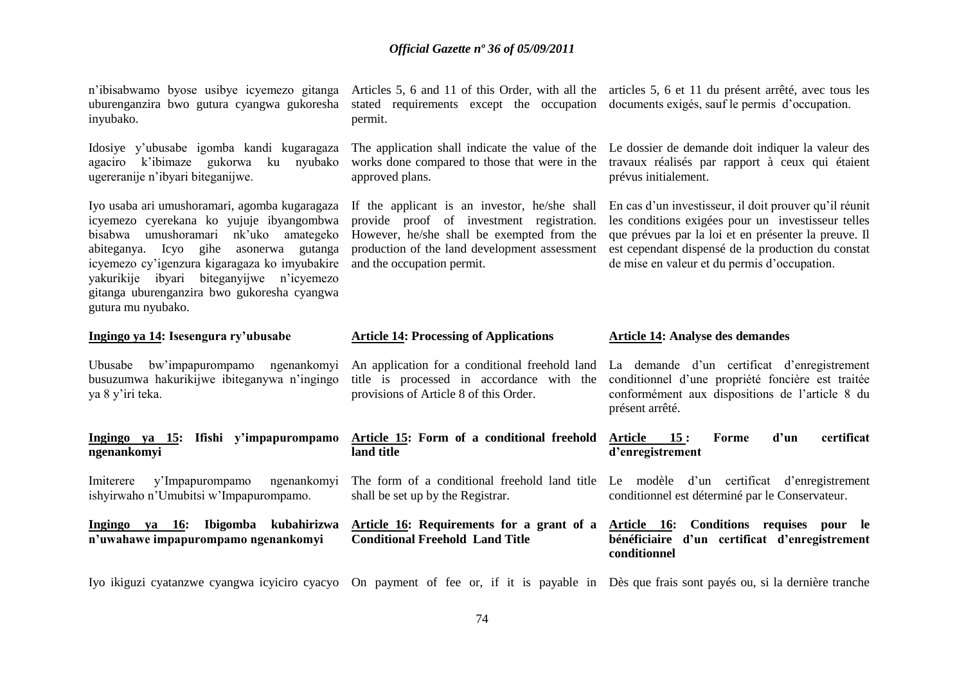## *Official Gazette nº 36 of 05/09/2011*

| n'ibisabwamo byose usibye icyemezo gitanga<br>uburenganzira bwo gutura cyangwa gukoresha<br>inyubako.                                                                                                                                                                                                                                                    | stated requirements except the occupation documents exigés, sauf le permis d'occupation.<br>permit.                                                                                                                     | Articles 5, 6 and 11 of this Order, with all the articles 5, 6 et 11 du présent arrêté, avec tous les                                                                                                                                                                      |
|----------------------------------------------------------------------------------------------------------------------------------------------------------------------------------------------------------------------------------------------------------------------------------------------------------------------------------------------------------|-------------------------------------------------------------------------------------------------------------------------------------------------------------------------------------------------------------------------|----------------------------------------------------------------------------------------------------------------------------------------------------------------------------------------------------------------------------------------------------------------------------|
| Idosiye y'ubusabe igomba kandi kugaragaza<br>agaciro k'ibimaze<br>gukorwa<br>nyubako<br>ku<br>ugereranije n'ibyari biteganijwe.                                                                                                                                                                                                                          | works done compared to those that were in the<br>approved plans.                                                                                                                                                        | The application shall indicate the value of the Le dossier de demande doit indiquer la valeur des<br>travaux réalisés par rapport à ceux qui étaient<br>prévus initialement.                                                                                               |
| Iyo usaba ari umushoramari, agomba kugaragaza<br>icyemezo cyerekana ko yujuje ibyangombwa<br>bisabwa umushoramari<br>nk'uko<br>amategeko<br>abiteganya. Icyo gihe<br>asonerwa gutanga<br>icyemezo cy'igenzura kigaragaza ko imyubakire<br>yakurikije ibyari biteganyijwe n'icyemezo<br>gitanga uburenganzira bwo gukoresha cyangwa<br>gutura mu nyubako. | If the applicant is an investor, he/she shall<br>provide proof of investment registration.<br>However, he/she shall be exempted from the<br>production of the land development assessment<br>and the occupation permit. | En cas d'un investisseur, il doit prouver qu'il réunit<br>les conditions exigées pour un investisseur telles<br>que prévues par la loi et en présenter la preuve. Il<br>est cependant dispensé de la production du constat<br>de mise en valeur et du permis d'occupation. |
|                                                                                                                                                                                                                                                                                                                                                          |                                                                                                                                                                                                                         |                                                                                                                                                                                                                                                                            |
| Ingingo ya 14: Isesengura ry'ubusabe                                                                                                                                                                                                                                                                                                                     | <b>Article 14: Processing of Applications</b>                                                                                                                                                                           | <b>Article 14: Analyse des demandes</b>                                                                                                                                                                                                                                    |
| bw'impapurompamo ngenankomyi<br>Ubusabe<br>busuzumwa hakurikijwe ibiteganywa n'ingingo<br>ya 8 y'iri teka.                                                                                                                                                                                                                                               | An application for a conditional freehold land<br>title is processed in accordance with the<br>provisions of Article 8 of this Order.                                                                                   | La demande d'un certificat d'enregistrement<br>conditionnel d'une propriété foncière est traitée<br>conformément aux dispositions de l'article 8 du<br>présent arrêté.                                                                                                     |
| Ingingo ya $15$ :<br>Ifishi y'impapurompamo<br>ngenankomyi                                                                                                                                                                                                                                                                                               | Article 15: Form of a conditional freehold<br>land title                                                                                                                                                                | Forme<br>d'un<br>certificat<br><b>Article</b><br>15:<br>d'enregistrement                                                                                                                                                                                                   |
| y'Impapurompamo<br>ngenankomyi<br>Imiterere<br>ishyirwaho n'Umubitsi w'Impapurompamo.                                                                                                                                                                                                                                                                    | shall be set up by the Registrar.                                                                                                                                                                                       | The form of a conditional freehold land title Le modèle d'un certificat d'enregistrement<br>conditionnel est déterminé par le Conservateur.                                                                                                                                |

Iyo ikiguzi cyatanzwe cyangwa icyiciro cyacyo On payment of fee or, if it is payable in Dès que frais sont payés ou, si la dernière tranche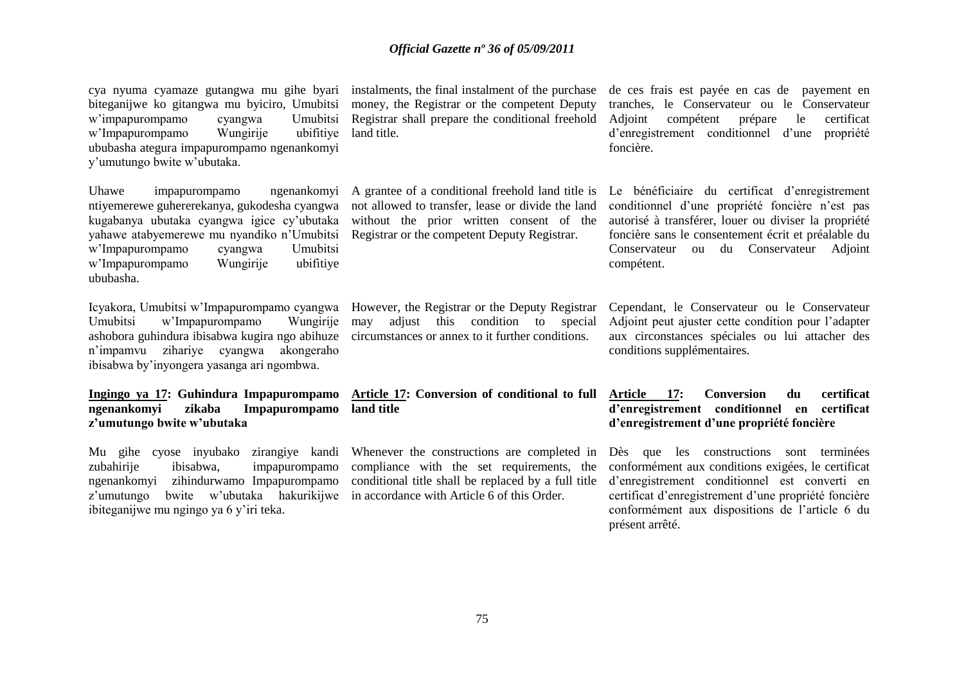biteganijwe ko gitangwa mu byiciro, Umubitsi w'impapurompamo cyangwa w'Impapurompamo Wungirije ububasha ategura impapurompamo ngenankomyi y"umutungo bwite w"ubutaka. ubifitive land title.

Uhawe impapurompamo ntiyemerewe guhererekanya, gukodesha cyangwa kugabanya ubutaka cyangwa igice cy"ubutaka yahawe atabyemerewe mu nyandiko n'Umubitsi Registrar or the competent Deputy Registrar. w"Impapurompamo cyangwa Umubitsi w"Impapurompamo Wungirije ubifitiye ububasha.

Icyakora, Umubitsi w"Impapurompamo cyangwa However, the Registrar or the Deputy Registrar Umubitsi w"Impapurompamo Wungirije ashobora guhindura ibisabwa kugira ngo abihuze circumstances or annex to it further conditions. n"impamvu zihariye cyangwa akongeraho ibisabwa by"inyongera yasanga ari ngombwa.

**Ingingo ya 17: Guhindura Impapurompamo ngenankomyi zikaba Impapurompamo land title z'umutungo bwite w'ubutaka** 

Mu gihe cyose inyubako zirangiye kandi zubahirije ibisabwa, impapurompamo ngenankomyi zihindurwamo Impapurompamo z'umutungo bwite w'ubutaka hakurikijwe in accordance with Article 6 of this Order. ibiteganijwe mu ngingo ya 6 y"iri teka.

money, the Registrar or the competent Deputy Umubitsi Registrar shall prepare the conditional freehold Adjoint

not allowed to transfer, lease or divide the land

may adjust this condition to special

Whenever the constructions are completed in compliance with the set requirements, the conditional title shall be replaced by a full title

cya nyuma cyamaze gutangwa mu gihe byari instalments, the final instalment of the purchase de ces frais est payée en cas de payement en tranches, le Conservateur ou le Conservateur Adjoint compétent prépare le certificat d"enregistrement conditionnel d"une propriété foncière.

> A grantee of a conditional freehold land title is Le bénéficiaire du certificat d"enregistrement without the prior written consent of the autorisé à transférer, louer ou diviser la propriété conditionnel d"une propriété foncière n"est pas foncière sans le consentement écrit et préalable du Conservateur ou du Conservateur Adjoint compétent.

> > Cependant, le Conservateur ou le Conservateur Adjoint peut ajuster cette condition pour l"adapter aux circonstances spéciales ou lui attacher des conditions supplémentaires.

## **Article 17: Conversion of conditional to full Article 17: Conversion du certificat d'enregistrement conditionnel en certificat d'enregistrement d'une propriété foncière**

Dès que les constructions sont terminées conformément aux conditions exigées, le certificat d"enregistrement conditionnel est converti en certificat d"enregistrement d"une propriété foncière conformément aux dispositions de l"article 6 du présent arrêté.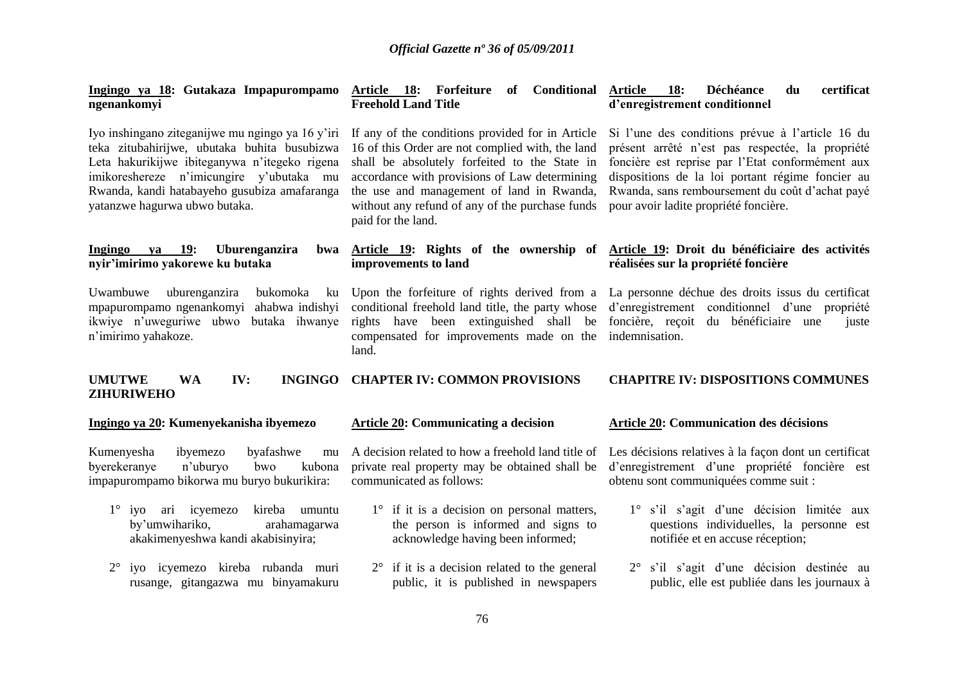| Ingingo ya 18: Gutakaza Impapurompamo<br>ngenankomyi                                                                                                                                                                                                                           | Article 18: Forfeiture<br>of Conditional<br><b>Freehold Land Title</b>                                                                                                                                                                                                                                                       | <b>18:</b><br><b>Article</b><br>Déchéance<br>du<br>certificat<br>d'enregistrement conditionnel                                                                                                                                                                                                           |
|--------------------------------------------------------------------------------------------------------------------------------------------------------------------------------------------------------------------------------------------------------------------------------|------------------------------------------------------------------------------------------------------------------------------------------------------------------------------------------------------------------------------------------------------------------------------------------------------------------------------|----------------------------------------------------------------------------------------------------------------------------------------------------------------------------------------------------------------------------------------------------------------------------------------------------------|
| Iyo inshingano ziteganijwe mu ngingo ya 16 y'iri<br>teka zitubahirijwe, ubutaka buhita busubizwa<br>Leta hakurikijwe ibiteganywa n'itegeko rigena<br>imikoreshereze n'imicungire y'ubutaka mu<br>Rwanda, kandi hatabayeho gusubiza amafaranga<br>yatanzwe hagurwa ubwo butaka. | If any of the conditions provided for in Article<br>16 of this Order are not complied with, the land<br>shall be absolutely forfeited to the State in<br>accordance with provisions of Law determining<br>the use and management of land in Rwanda,<br>without any refund of any of the purchase funds<br>paid for the land. | Si l'une des conditions prévue à l'article 16 du<br>présent arrêté n'est pas respectée, la propriété<br>foncière est reprise par l'Etat conformément aux<br>dispositions de la loi portant régime foncier au<br>Rwanda, sans remboursement du coût d'achat payé<br>pour avoir ladite propriété foncière. |
| Ingingo<br>ya 19:<br>Uburenganzira<br>bwa<br>nyir'imirimo yakorewe ku butaka                                                                                                                                                                                                   | Article 19: Rights of the ownership of<br>improvements to land                                                                                                                                                                                                                                                               | Article 19: Droit du bénéficiaire des activités<br>réalisées sur la propriété foncière                                                                                                                                                                                                                   |
| Uwambuwe<br>bukomoka<br>uburenganzira<br>ku<br>mpapurompamo ngenankomyi<br>ahabwa indishyi<br>ikwiye n'uweguriwe ubwo<br>butaka ihwanye<br>n'imirimo yahakoze.                                                                                                                 | Upon the forfeiture of rights derived from a<br>conditional freehold land title, the party whose<br>rights have been extinguished shall be<br>compensated for improvements made on the<br>land.                                                                                                                              | La personne déchue des droits issus du certificat<br>d'enregistrement conditionnel d'une propriété<br>foncière, reçoit du bénéficiaire une<br>juste<br>indemnisation.                                                                                                                                    |
| <b>UMUTWE</b><br><b>WA</b><br>IV:<br><b>INGINGO</b><br><b>ZIHURIWEHO</b>                                                                                                                                                                                                       | <b>CHAPTER IV: COMMON PROVISIONS</b>                                                                                                                                                                                                                                                                                         | <b>CHAPITRE IV: DISPOSITIONS COMMUNES</b>                                                                                                                                                                                                                                                                |
| Ingingo ya 20: Kumenyekanisha ibyemezo                                                                                                                                                                                                                                         | <b>Article 20: Communicating a decision</b>                                                                                                                                                                                                                                                                                  | <b>Article 20: Communication des décisions</b>                                                                                                                                                                                                                                                           |
| Kumenyesha<br>ibyemezo<br>byafashwe<br>mu<br>byerekeranye<br>n'uburyo<br>bwo<br>kubona<br>impapurompamo bikorwa mu buryo bukurikira:                                                                                                                                           | A decision related to how a freehold land title of<br>private real property may be obtained shall be<br>communicated as follows:                                                                                                                                                                                             | Les décisions relatives à la façon dont un certificat<br>d'enregistrement d'une propriété foncière est<br>obtenu sont communiquées comme suit :                                                                                                                                                          |
| $1^\circ$ iyo<br>ari icyemezo<br>kireba umuntu<br>by'umwihariko,<br>arahamagarwa<br>akakimenyeshwa kandi akabisinyira;                                                                                                                                                         | $1^\circ$ if it is a decision on personal matters,<br>the person is informed and signs to<br>acknowledge having been informed;                                                                                                                                                                                               | 1° s'il s'agit d'une décision limitée aux<br>questions individuelles, la personne est<br>notifiée et en accuse réception;                                                                                                                                                                                |
| iyo icyemezo kireba rubanda muri<br>$2^{\circ}$<br>rusange, gitangazwa mu binyamakuru                                                                                                                                                                                          | $2^{\circ}$ if it is a decision related to the general<br>public, it is published in newspapers                                                                                                                                                                                                                              | 2° s'il s'agit d'une décision destinée au<br>public, elle est publiée dans les journaux à                                                                                                                                                                                                                |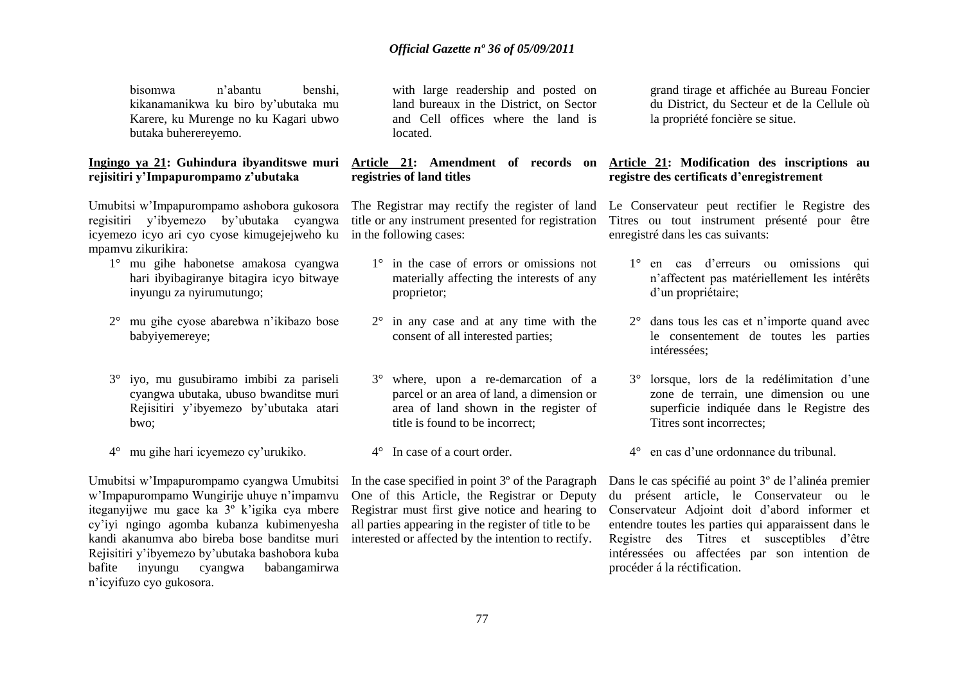bisomwa n"abantu benshi, kikanamanikwa ku biro by"ubutaka mu Karere, ku Murenge no ku Kagari ubwo butaka buherereyemo.

## **Ingingo ya 21: Guhindura ibyanditswe muri rejisitiri y'Impapurompamo z'ubutaka**

Umubitsi w"Impapurompamo ashobora gukosora regisitiri y"ibyemezo by"ubutaka cyangwa icyemezo icyo ari cyo cyose kimugejejweho ku in the following cases: mpamvu zikurikira:

- 1° mu gihe habonetse amakosa cyangwa hari ibyibagiranye bitagira icyo bitwaye inyungu za nyirumutungo;
- 2° mu gihe cyose abarebwa n"ikibazo bose babyiyemereye;
- 3° iyo, mu gusubiramo imbibi za pariseli cyangwa ubutaka, ubuso bwanditse muri Rejisitiri y"ibyemezo by"ubutaka atari bwo;
- 4° mu gihe hari icyemezo cy"urukiko.

Umubitsi w"Impapurompamo cyangwa Umubitsi w"Impapurompamo Wungirije uhuye n"impamvu iteganyijwe mu gace ka 3º k"igika cya mbere cy"iyi ngingo agomba kubanza kubimenyesha kandi akanumva abo bireba bose banditse muri Rejisitiri y"ibyemezo by"ubutaka bashobora kuba bafite inyungu cyangwa babangamirwa n"icyifuzo cyo gukosora.

with large readership and posted on land bureaux in the District, on Sector and Cell offices where the land is located.

# **registries of land titles**

- 1° in the case of errors or omissions not materially affecting the interests of any proprietor;
- 2° in any case and at any time with the consent of all interested parties;
- 3° where, upon a re-demarcation of a parcel or an area of land, a dimension or area of land shown in the register of title is found to be incorrect;
- 4° In case of a court order.

One of this Article, the Registrar or Deputy Registrar must first give notice and hearing to all parties appearing in the register of title to be interested or affected by the intention to rectify.

grand tirage et affichée au Bureau Foncier du District, du Secteur et de la Cellule où la propriété foncière se situe.

## **Article 21: Amendment of records on Article 21: Modification des inscriptions au registre des certificats d'enregistrement**

The Registrar may rectify the register of land Le Conservateur peut rectifier le Registre des title or any instrument presented for registration Titres ou tout instrument présenté pour être enregistré dans les cas suivants:

- 1° en cas d"erreurs ou omissions qui n"affectent pas matériellement les intérêts d'un propriétaire;
- 2° dans tous les cas et n"importe quand avec le consentement de toutes les parties intéressées;
- 3° lorsque, lors de la redélimitation d"une zone de terrain, une dimension ou une superficie indiquée dans le Registre des Titres sont incorrectes;
- 4° en cas d"une ordonnance du tribunal.

In the case specified in point 3° of the Paragraph Dans le cas spécifié au point 3° de l'alinéa premier du présent article, le Conservateur ou le Conservateur Adjoint doit d"abord informer et entendre toutes les parties qui apparaissent dans le Registre des Titres et susceptibles d"être intéressées ou affectées par son intention de procéder á la réctification.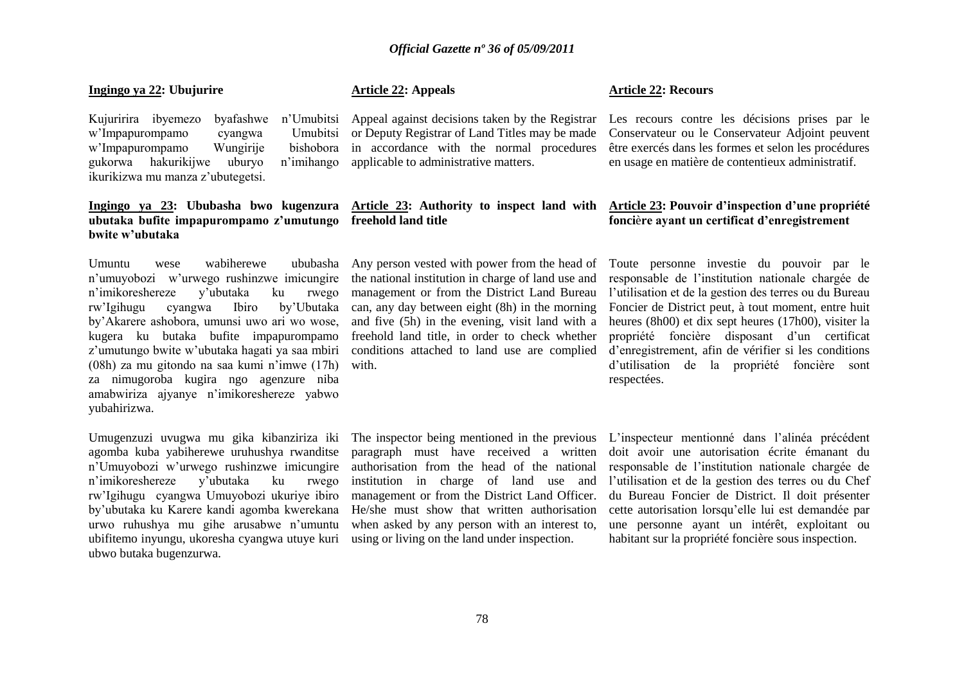#### **Ingingo ya 22: Ubujurire**

w'Impapurompamo cyangwa w'Impapurompamo Wungirije gukorwa hakurikijwe uburyo n"imihango ikurikizwa mu manza z"ubutegetsi.

## **ubutaka bufite impapurompamo z'umutungo freehold land title bwite w'ubutaka**

Umuntu wese wabiherewe n"umuyobozi w"urwego rushinzwe imicungire n"imikoreshereze y"ubutaka ku rwego rw"Igihugu cyangwa Ibiro by"Ubutaka by"Akarere ashobora, umunsi uwo ari wo wose, kugera ku butaka bufite impapurompamo z"umutungo bwite w"ubutaka hagati ya saa mbiri (08h) za mu gitondo na saa kumi n"imwe (17h) za nimugoroba kugira ngo agenzure niba amabwiriza ajyanye n"imikoreshereze yabwo yubahirizwa.

Umugenzuzi uvugwa mu gika kibanziriza iki agomba kuba yabiherewe uruhushya rwanditse n"Umuyobozi w"urwego rushinzwe imicungire n"imikoreshereze y"ubutaka ku rwego rw"Igihugu cyangwa Umuyobozi ukuriye ibiro by"ubutaka ku Karere kandi agomba kwerekana urwo ruhushya mu gihe arusabwe n"umuntu ubifitemo inyungu, ukoresha cyangwa utuye kuri ubwo butaka bugenzurwa.

## **Article 22: Appeals**

bishobora in accordance with the normal procedures applicable to administrative matters.

the national institution in charge of land use and can, any day between eight (8h) in the morning and five (5h) in the evening, visit land with a freehold land title, in order to check whether conditions attached to land use are complied with.

#### **Article 22: Recours**

Kujuririra ibyemezo byafashwe n"Umubitsi Appeal against decisions taken by the Registrar Les recours contre les décisions prises par le or Deputy Registrar of Land Titles may be made Conservateur ou le Conservateur Adjoint peuvent être exercés dans les formes et selon les procédures en usage en matière de contentieux administratif.

### **Ingingo ya 23: Ububasha bwo kugenzura Article 23: Authority to inspect land with Article 23: Pouvoir d'inspection d'une propriété fonci**è**re ayant un certificat d'enregistrement**

Any person vested with power from the head of Toute personne investie du pouvoir par le management or from the District Land Bureau l'utilisation et de la gestion des terres ou du Bureau responsable de l"institution nationale chargée de Foncier de District peut, à tout moment, entre huit heures (8h00) et dix sept heures (17h00), visiter la propriété foncière disposant d"un certificat d"enregistrement, afin de vérifier si les conditions d"utilisation de la propriété foncière sont respectées.

paragraph must have received a written authorisation from the head of the national management or from the District Land Officer. He/she must show that written authorisation when asked by any person with an interest to, using or living on the land under inspection.

The inspector being mentioned in the previous L"inspecteur mentionné dans l"alinéa précédent institution in charge of land use and l"utilisation et de la gestion des terres ou du Chef doit avoir une autorisation écrite émanant du responsable de l"institution nationale chargée de du Bureau Foncier de District. Il doit présenter cette autorisation lorsqu"elle lui est demandée par une personne ayant un intérêt, exploitant ou habitant sur la propriété foncière sous inspection.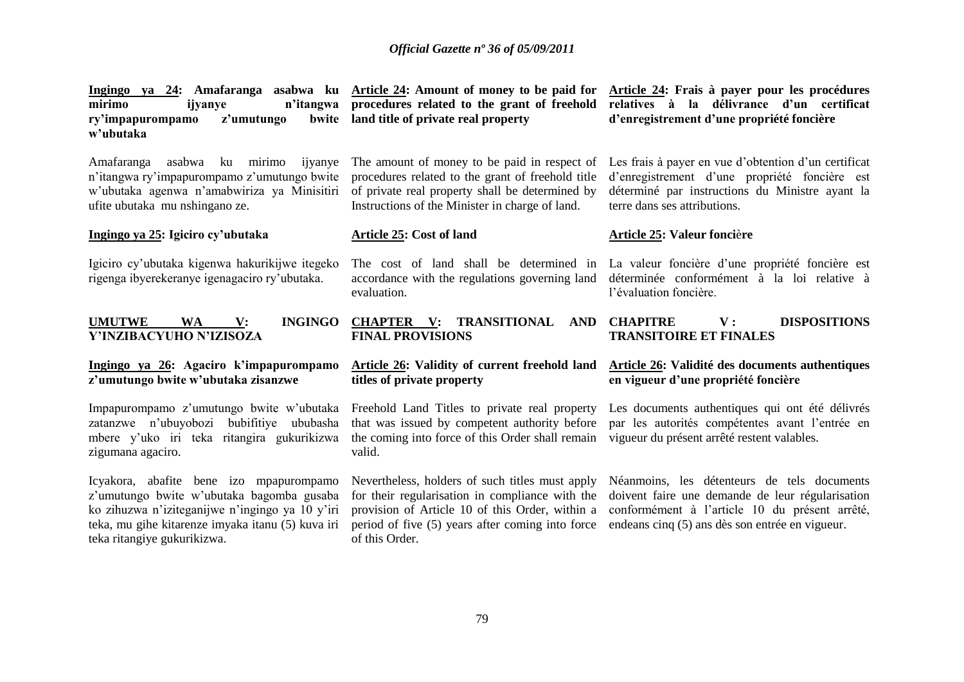| Ingingo ya 24: Amafaranga asabwa ku Article 24: Amount of money to be paid for<br>mirimo<br>n'itangwa<br>ijyanye<br>ry'impapurompamo<br>z'umutungo<br>bwite<br>w'ubutaka                                                    | procedures related to the grant of freehold<br>land title of private real property                                                                                                                                          | Article 24: Frais à payer pour les procédures<br>relatives à la délivrance d'un certificat<br>d'enregistrement d'une propriété foncière                                                              |
|-----------------------------------------------------------------------------------------------------------------------------------------------------------------------------------------------------------------------------|-----------------------------------------------------------------------------------------------------------------------------------------------------------------------------------------------------------------------------|------------------------------------------------------------------------------------------------------------------------------------------------------------------------------------------------------|
| ku mirimo<br>Amafaranga<br>asabwa<br>ijyanye<br>n'itangwa ry'impapurompamo z'umutungo bwite<br>w'ubutaka agenwa n'amabwiriza ya Minisitiri<br>ufite ubutaka mu nshingano ze.                                                | The amount of money to be paid in respect of<br>procedures related to the grant of freehold title<br>of private real property shall be determined by<br>Instructions of the Minister in charge of land.                     | Les frais à payer en vue d'obtention d'un certificat<br>d'enregistrement d'une propriété foncière est<br>déterminé par instructions du Ministre ayant la<br>terre dans ses attributions.             |
| Ingingo ya 25: Igiciro cy'ubutaka                                                                                                                                                                                           | Article 25: Cost of land                                                                                                                                                                                                    | Article 25: Valeur foncière                                                                                                                                                                          |
| Igiciro cy'ubutaka kigenwa hakurikijwe itegeko<br>rigenga ibyerekeranye igenagaciro ry'ubutaka.                                                                                                                             | The cost of land shall be determined in<br>accordance with the regulations governing land<br>evaluation.                                                                                                                    | La valeur foncière d'une propriété foncière est<br>déterminée conformément à la loi relative à<br>l'évaluation foncière.                                                                             |
| <b>UMUTWE</b><br><b>INGINGO</b><br><b>WA</b><br>V:<br>Y'INZIBACYUHO N'IZISOZA                                                                                                                                               | <b>CHAPTER</b><br>TRANSITIONAL<br>$\mathbf{V}$ :<br>AND<br><b>FINAL PROVISIONS</b>                                                                                                                                          | <b>CHAPITRE</b><br><b>DISPOSITIONS</b><br>$\mathbf{V}$ :<br><b>TRANSITOIRE ET FINALES</b>                                                                                                            |
| Ingingo ya 26: Agaciro k'impapurompamo<br>z'umutungo bwite w'ubutaka zisanzwe                                                                                                                                               | Article 26: Validity of current freehold land<br>titles of private property                                                                                                                                                 | Article 26: Validité des documents authentiques<br>en vigueur d'une propriété foncière                                                                                                               |
| Impapurompamo z'umutungo bwite w'ubutaka<br>zatanzwe n'ubuyobozi bubifitiye ububasha<br>mbere y'uko iri teka ritangira gukurikizwa<br>zigumana agaciro.                                                                     | Freehold Land Titles to private real property<br>that was issued by competent authority before<br>the coming into force of this Order shall remain<br>valid.                                                                | Les documents authentiques qui ont été délivrés<br>par les autorités compétentes avant l'entrée en<br>vigueur du présent arrêté restent valables.                                                    |
| Icyakora, abafite bene izo mpapurompamo<br>z'umutungo bwite w'ubutaka bagomba gusaba<br>ko zihuzwa n'iziteganijwe n'ingingo ya 10 y'iri<br>teka, mu gihe kitarenze imyaka itanu (5) kuva iri<br>teka ritangiye gukurikizwa. | Nevertheless, holders of such titles must apply<br>for their regularisation in compliance with the<br>provision of Article 10 of this Order, within a<br>period of five (5) years after coming into force<br>of this Order. | Néanmoins, les détenteurs de tels documents<br>doivent faire une demande de leur régularisation<br>conformément à l'article 10 du présent arrêté,<br>endeans cinq (5) ans dès son entrée en vigueur. |